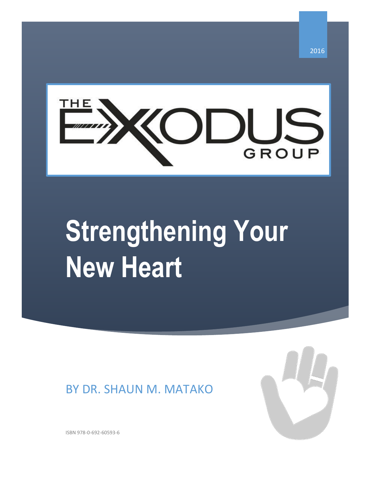

# **Strengthening Your New Heart**

## BY DR. SHAUN M. MATAKO



ISBN 978-0-692-60593-6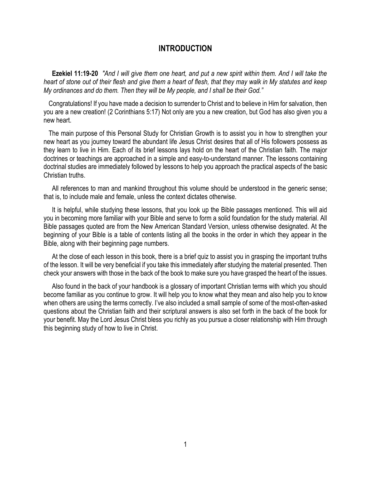## **INTRODUCTION**

 **Ezekiel 11:19-20** *"And I will give them one heart, and put a new spirit within them. And I will take the heart of stone out of their flesh and give them a heart of flesh, that they may walk in My statutes and keep My ordinances and do them. Then they will be My people, and I shall be their God."*

 Congratulations! If you have made a decision to surrender to Christ and to believe in Him for salvation, then you are a new creation! (2 Corinthians 5:17) Not only are you a new creation, but God has also given you a new heart.

 The main purpose of this Personal Study for Christian Growth is to assist you in how to strengthen your new heart as you journey toward the abundant life Jesus Christ desires that all of His followers possess as they learn to live in Him. Each of its brief lessons lays hold on the heart of the Christian faith. The major doctrines or teachings are approached in a simple and easy-to-understand manner. The lessons containing doctrinal studies are immediately followed by lessons to help you approach the practical aspects of the basic Christian truths.

 All references to man and mankind throughout this volume should be understood in the generic sense; that is, to include male and female, unless the context dictates otherwise.

 It is helpful, while studying these lessons, that you look up the Bible passages mentioned. This will aid you in becoming more familiar with your Bible and serve to form a solid foundation for the study material. All Bible passages quoted are from the New American Standard Version, unless otherwise designated. At the beginning of your Bible is a table of contents listing all the books in the order in which they appear in the Bible, along with their beginning page numbers.

 At the close of each lesson in this book, there is a brief quiz to assist you in grasping the important truths of the lesson. It will be very beneficial if you take this immediately after studying the material presented. Then check your answers with those in the back of the book to make sure you have grasped the heart of the issues.

 Also found in the back of your handbook is a glossary of important Christian terms with which you should become familiar as you continue to grow. It will help you to know what they mean and also help you to know when others are using the terms correctly. I've also included a small sample of some of the most-often-asked questions about the Christian faith and their scriptural answers is also set forth in the back of the book for your benefit. May the Lord Jesus Christ bless you richly as you pursue a closer relationship with Him through this beginning study of how to live in Christ.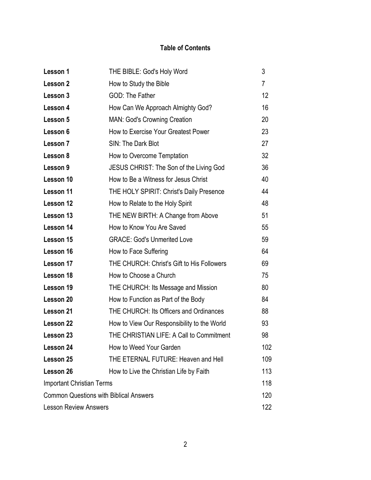## **Table of Contents**

| Lesson 1                                      | THE BIBLE: God's Holy Word                  | 3              |
|-----------------------------------------------|---------------------------------------------|----------------|
| Lesson 2                                      | How to Study the Bible                      | $\overline{7}$ |
| Lesson 3                                      | <b>GOD: The Father</b>                      | 12             |
| Lesson 4                                      | How Can We Approach Almighty God?           | 16             |
| Lesson 5                                      | <b>MAN: God's Crowning Creation</b>         | 20             |
| Lesson 6                                      | How to Exercise Your Greatest Power         | 23             |
| Lesson 7                                      | SIN: The Dark Blot                          | 27             |
| Lesson 8                                      | How to Overcome Temptation                  | 32             |
| Lesson 9                                      | JESUS CHRIST: The Son of the Living God     | 36             |
| Lesson 10                                     | How to Be a Witness for Jesus Christ        | 40             |
| Lesson 11                                     | THE HOLY SPIRIT: Christ's Daily Presence    | 44             |
| Lesson 12                                     | How to Relate to the Holy Spirit            | 48             |
| Lesson 13                                     | THE NEW BIRTH: A Change from Above          | 51             |
| Lesson 14                                     | How to Know You Are Saved                   | 55             |
| Lesson 15                                     | <b>GRACE: God's Unmerited Love</b>          | 59             |
| Lesson 16                                     | How to Face Suffering                       | 64             |
| Lesson 17                                     | THE CHURCH: Christ's Gift to His Followers  | 69             |
| Lesson 18                                     | How to Choose a Church                      | 75             |
| Lesson 19                                     | THE CHURCH: Its Message and Mission         | 80             |
| Lesson 20                                     | How to Function as Part of the Body         | 84             |
| Lesson 21                                     | THE CHURCH: Its Officers and Ordinances     | 88             |
| Lesson 22                                     | How to View Our Responsibility to the World | 93             |
| <b>Lesson 23</b>                              | THE CHRISTIAN LIFE: A Call to Commitment    | 98             |
| Lesson 24                                     | How to Weed Your Garden                     | 102            |
| Lesson 25                                     | THE ETERNAL FUTURE: Heaven and Hell         | 109            |
| Lesson 26                                     | How to Live the Christian Life by Faith     | 113            |
| <b>Important Christian Terms</b>              |                                             | 118            |
| <b>Common Questions with Biblical Answers</b> |                                             | 120            |
| <b>Lesson Review Answers</b>                  |                                             | 122            |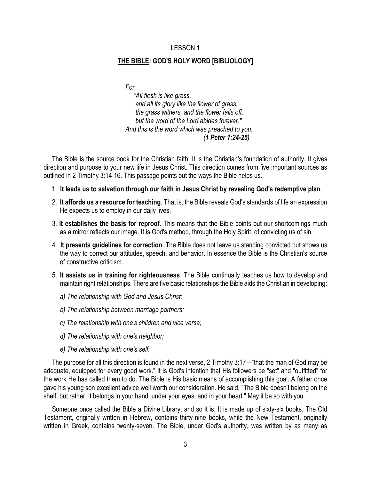#### **THE BIBLE: GOD'S HOLY WORD [BIBLIOLOGY]**

*For,* 

 *"All flesh is like grass, and all its glory like the flower of grass, the grass withers, and the flower falls off, but the word of the Lord abides forever." And this is the word which was preached to you. (1 Peter 1:24-25)*

 The Bible is the source book for the Christian faith! It is the Christian's foundation of authority. It gives direction and purpose to your new life in Jesus Christ. This direction comes from five important sources as outlined in 2 Timothy 3:14-16. This passage points out the ways the Bible helps us.

- 1. **It leads us to salvation through our faith in Jesus Christ by revealing God's redemptive plan**.
- 2. **It affords us a resource for teaching**. That is, the Bible reveals God's standards of life an expression He expects us to employ in our daily lives.
- 3. **It establishes the basis for reproof**. This means that the Bible points out our shortcomings much as a mirror reflects our image. It is God's method, through the Holy Spirit, of convicting us of sin.
- 4. **It presents guidelines for correction**. The Bible does not leave us standing convicted but shows us the way to correct our attitudes, speech, and behavior. In essence the Bible is the Christian's source of constructive criticism.
- 5. **It assists us in training for righteousness**. The Bible continually teaches us how to develop and maintain right relationships. There are five basic relationships the Bible aids the Christian in developing:
	- *a) The relationship with God and Jesus Christ;*
	- *b) The relationship between marriage partners;*
	- *c) The relationship with one's children and vice versa;*
	- *d) The relationship with one's neighbor;*
	- *e) The relationship with one's self.*

 The purpose for all this direction is found in the next verse, 2 Timothy 3:17—"that the man of God may be adequate, equipped for every good work." It is God's intention that His followers be "set" and "outfitted" for the work He has called them to do. The Bible is His basic means of accomplishing this goal. A father once gave his young son excellent advice well worth our consideration. He said, "The Bible doesn't belong on the shelf, but rather, it belongs in your hand, under your eyes, and in your heart." May it be so with you.

 Someone once called the Bible a Divine Library, and so it is. It is made up of sixty-six books. The Old Testament, originally written in Hebrew, contains thirty-nine books, while the New Testament, originally written in Greek, contains twenty-seven. The Bible, under God's authority, was written by as many as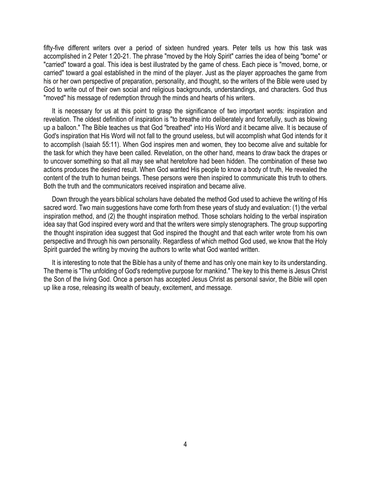fifty-five different writers over a period of sixteen hundred years. Peter tells us how this task was accomplished in 2 Peter 1:20-21. The phrase "moved by the Holy Spirit" carries the idea of being "borne" or "carried" toward a goal. This idea is best illustrated by the game of chess. Each piece is "moved, borne, or carried" toward a goal established in the mind of the player. Just as the player approaches the game from his or her own perspective of preparation, personality, and thought, so the writers of the Bible were used by God to write out of their own social and religious backgrounds, understandings, and characters. God thus "moved" his message of redemption through the minds and hearts of his writers.

 It is necessary for us at this point to grasp the significance of two important words: inspiration and revelation. The oldest definition of inspiration is "to breathe into deliberately and forcefully, such as blowing up a balloon." The Bible teaches us that God "breathed" into His Word and it became alive. It is because of God's inspiration that His Word will not fall to the ground useless, but will accomplish what God intends for it to accomplish (Isaiah 55:11). When God inspires men and women, they too become alive and suitable for the task for which they have been called. Revelation, on the other hand, means to draw back the drapes or to uncover something so that all may see what heretofore had been hidden. The combination of these two actions produces the desired result. When God wanted His people to know a body of truth, He revealed the content of the truth to human beings. These persons were then inspired to communicate this truth to others. Both the truth and the communicators received inspiration and became alive.

 Down through the years biblical scholars have debated the method God used to achieve the writing of His sacred word. Two main suggestions have come forth from these years of study and evaluation: (1) the verbal inspiration method, and (2) the thought inspiration method. Those scholars holding to the verbal inspiration idea say that God inspired every word and that the writers were simply stenographers. The group supporting the thought inspiration idea suggest that God inspired the thought and that each writer wrote from his own perspective and through his own personality. Regardless of which method God used, we know that the Holy Spirit guarded the writing by moving the authors to write what God wanted written.

 It is interesting to note that the Bible has a unity of theme and has only one main key to its understanding. The theme is "The unfolding of God's redemptive purpose for mankind." The key to this theme is Jesus Christ the Son of the living God. Once a person has accepted Jesus Christ as personal savior, the Bible will open up like a rose, releasing its wealth of beauty, excitement, and message.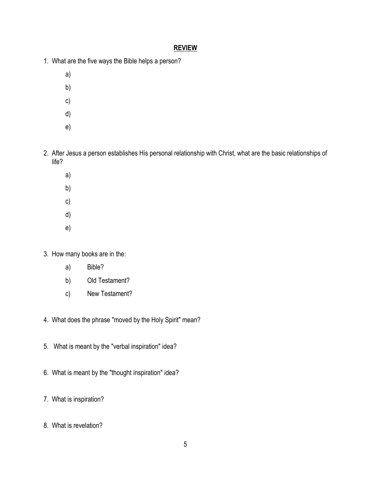- 1. What are the five ways the Bible helps a person?
	- a)
	- b)
	- c)
	- d)
	- e)
- 2. After Jesus a person establishes His personal relationship with Christ, what are the basic relationships of life?
	- a)
	- b)
	- c)
	- d)
	- e)
- 3. How many books are in the:
	- a) Bible?
	- b) Old Testament?
	- c) New Testament?
- 4. What does the phrase "moved by the Holy Spirit" mean?
- 5. What is meant by the "verbal inspiration" idea?
- 6. What is meant by the "thought inspiration" idea?
- 7. What is inspiration?
- 8. What is revelation?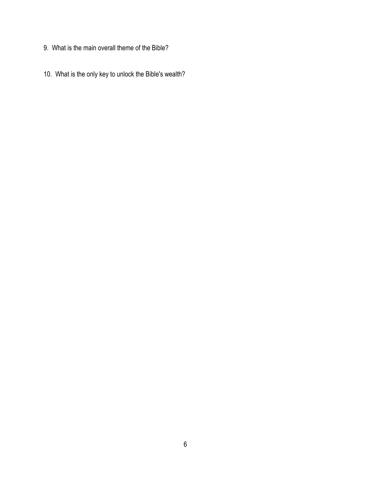- 9. What is the main overall theme of the Bible?
- 10. What is the only key to unlock the Bible's wealth?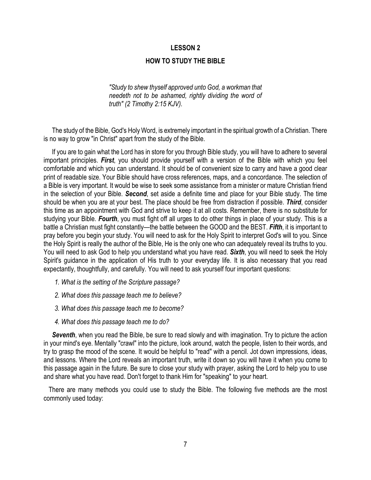#### **HOW TO STUDY THE BIBLE**

*"Study to shew thyself approved unto God, a workman that needeth not to be ashamed, rightly dividing the word of truth" (2 Timothy 2:15 KJV).* 

 The study of the Bible, God's Holy Word, is extremely important in the spiritual growth of a Christian. There is no way to grow "in Christ" apart from the study of the Bible.

 If you are to gain what the Lord has in store for you through Bible study, you will have to adhere to several important principles. *First*, you should provide yourself with a version of the Bible with which you feel comfortable and which you can understand. It should be of convenient size to carry and have a good clear print of readable size. Your Bible should have cross references, maps, and a concordance. The selection of a Bible is very important. It would be wise to seek some assistance from a minister or mature Christian friend in the selection of your Bible. *Second*, set aside a definite time and place for your Bible study. The time should be when you are at your best. The place should be free from distraction if possible. *Third*, consider this time as an appointment with God and strive to keep it at all costs. Remember, there is no substitute for studying your Bible. *Fourth*, you must fight off all urges to do other things in place of your study. This is a battle a Christian must fight constantly—the battle between the GOOD and the BEST. *Fifth*, it is important to pray before you begin your study. You will need to ask for the Holy Spirit to interpret God's will to you. Since the Holy Spirit is really the author of the Bible, He is the only one who can adequately reveal its truths to you. You will need to ask God to help you understand what you have read. *Sixth*, you will need to seek the Holy Spirit's guidance in the application of His truth to your everyday life. It is also necessary that you read expectantly, thoughtfully, and carefully. You will need to ask yourself four important questions:

- *1. What is the setting of the Scripture passage?*
- *2. What does this passage teach me to believe?*
- *3. What does this passage teach me to become?*
- *4. What does this passage teach me to do?*

 *Seventh*, when you read the Bible, be sure to read slowly and with imagination. Try to picture the action in your mind's eye. Mentally "crawl" into the picture, look around, watch the people, listen to their words, and try to grasp the mood of the scene. It would be helpful to "read" with a pencil. Jot down impressions, ideas, and lessons. Where the Lord reveals an important truth, write it down so you will have it when you come to this passage again in the future. Be sure to close your study with prayer, asking the Lord to help you to use and share what you have read. Don't forget to thank Him for "speaking" to your heart.

 There are many methods you could use to study the Bible. The following five methods are the most commonly used today: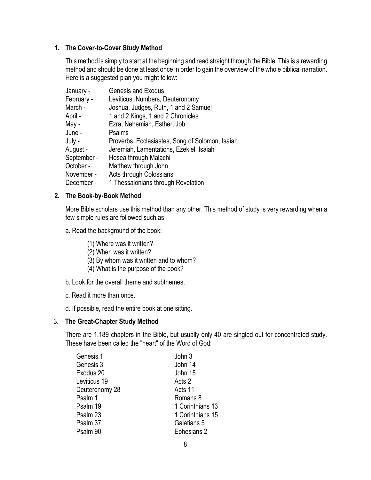## **1. The Cover-to-Cover Study Method**

This method is simply to start at the beginning and read straight through the Bible. This is a rewarding method and should be done at least once in order to gain the overview of the whole biblical narration. Here is a suggested plan you might follow:

| January -   | <b>Genesis and Exodus</b>                       |
|-------------|-------------------------------------------------|
| February -  | Leviticus, Numbers, Deuteronomy                 |
| March -     | Joshua, Judges, Ruth, 1 and 2 Samuel            |
| April -     | 1 and 2 Kings, 1 and 2 Chronicles               |
| May -       | Ezra, Nehemiah, Esther, Job                     |
| June -      | Psalms                                          |
| July -      | Proverbs, Ecclesiastes, Song of Solomon, Isaiah |
| August -    | Jeremiah, Lamentations, Ezekiel, Isaiah         |
| September - | Hosea through Malachi                           |
| October -   | Matthew through John                            |
| November -  | <b>Acts through Colossians</b>                  |
| December -  | 1 Thessalonians through Revelation              |

## **2. The Book-by-Book Method**

More Bible scholars use this method than any other. This method of study is very rewarding when a few simple rules are followed such as:

a. Read the background of the book:

- (1) Where was it written?
- (2) When was it written?
- (3) By whom was it written and to whom?
- (4) What is the purpose of the book?
- b. Look for the overall theme and subthemes.
- c. Read it more than once.
- d. If possible, read the entire book at one sitting.

## 3. **The Great-Chapter Study Method**

There are 1,189 chapters in the Bible, but usually only 40 are singled out for concentrated study. These have been called the "heart" of the Word of God:

| Genesis 1      | John 3           |
|----------------|------------------|
| Genesis 3      | John 14          |
| Exodus 20      | John 15          |
| Leviticus 19   | Acts 2           |
| Deuteronomy 28 | Acts 11          |
| Psalm 1        | Romans 8         |
| Psalm 19       | 1 Corinthians 13 |
| Psalm 23       | 1 Corinthians 15 |
| Psalm 37       | Galatians 5      |
| Psalm 90       | Ephesians 2      |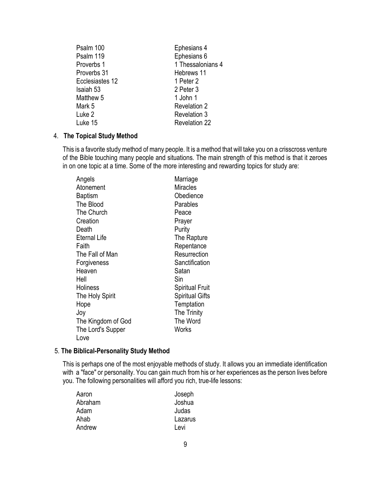| Psalm 100       | Ephesians 4          |
|-----------------|----------------------|
| Psalm 119       | Ephesians 6          |
| Proverbs 1      | 1 Thessalonians 4    |
| Proverbs 31     | Hebrews 11           |
| Ecclesiastes 12 | 1 Peter 2            |
| Isaiah 53       | 2 Peter 3            |
| Matthew 5       | 1 John 1             |
| Mark 5          | <b>Revelation 2</b>  |
| Luke 2          | <b>Revelation 3</b>  |
| Luke 15         | <b>Revelation 22</b> |

## 4. **The Topical Study Method**

This is a favorite study method of many people. It is a method that will take you on a crisscross venture of the Bible touching many people and situations. The main strength of this method is that it zeroes in on one topic at a time. Some of the more interesting and rewarding topics for study are:

| Angels              | Marriage               |
|---------------------|------------------------|
| Atonement           | Miracles               |
| Baptism             | Obedience              |
| The Blood           | Parables               |
| The Church          | Peace                  |
| Creation            | Prayer                 |
| Death               | Purity                 |
| <b>Eternal Life</b> | The Rapture            |
| Faith               | Repentance             |
| The Fall of Man     | Resurrection           |
| Forgiveness         | Sanctification         |
| Heaven              | Satan                  |
| Hell                | Sin                    |
| <b>Holiness</b>     | <b>Spiritual Fruit</b> |
| The Holy Spirit     | <b>Spiritual Gifts</b> |
| Hope                | Temptation             |
| Joy                 | The Trinity            |
| The Kingdom of God  | The Word               |
| The Lord's Supper   | Works                  |
| Love                |                        |

#### 5. **The Biblical-Personality Study Method**

This is perhaps one of the most enjoyable methods of study. It allows you an immediate identification with a "face" or personality. You can gain much from his or her experiences as the person lives before you. The following personalities will afford you rich, true-life lessons:

| Aaron   | Joseph  |
|---------|---------|
| Abraham | Joshua  |
| Adam    | Judas   |
| Ahab    | Lazarus |
| Andrew  | Levi    |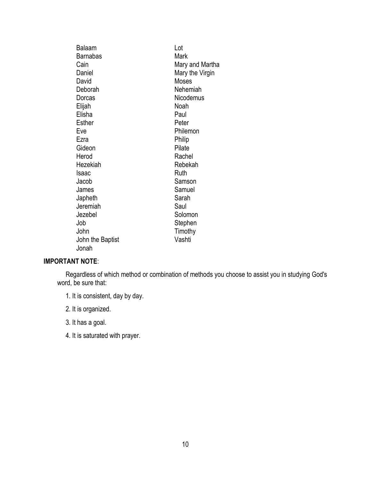| <b>Balaam</b>    | Lot             |
|------------------|-----------------|
| <b>Barnabas</b>  | Mark            |
| Cain             | Mary and Martha |
| Daniel           | Mary the Virgin |
| David            | Moses           |
| Deborah          | Nehemiah        |
| Dorcas           | Nicodemus       |
| Elijah           | Noah            |
| Elisha           | Paul            |
| <b>Esther</b>    | Peter           |
| Eve              | Philemon        |
| Ezra             | Philip          |
| Gideon           | Pilate          |
| Herod            | Rachel          |
| Hezekiah         | Rebekah         |
| Isaac            | Ruth            |
| Jacob            | Samson          |
| James            | Samuel          |
| Japheth          | Sarah           |
| Jeremiah         | Saul            |
| Jezebel          | Solomon         |
| Job              | Stephen         |
| John             | Timothy         |
| John the Baptist | Vashti          |
| Jonah            |                 |

## **IMPORTANT NOTE**:

 Regardless of which method or combination of methods you choose to assist you in studying God's word, be sure that:

1. It is consistent, day by day.

2. It is organized.

3. It has a goal.

4. It is saturated with prayer.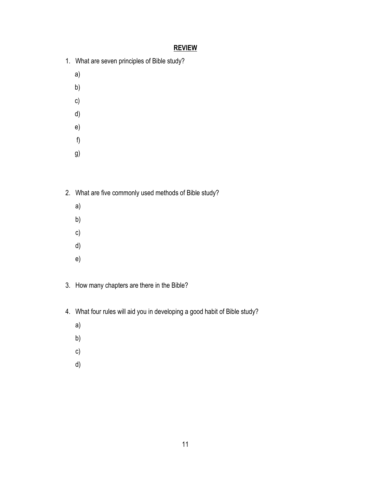- 1. What are seven principles of Bible study?
	- a)
	- b)
	- c)
	- d)
	- e)
	- f)
	-
	- g)
- 2. What are five commonly used methods of Bible study?
	- a)
	- b)
	- c)
	- d)
	- e)
- 3. How many chapters are there in the Bible?
- 4. What four rules will aid you in developing a good habit of Bible study?
	- a)
	- b)
	- c)
	- d)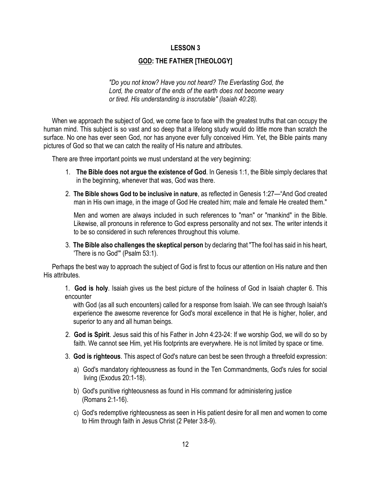## **GOD: THE FATHER [THEOLOGY]**

*"Do you not know? Have you not heard? The Everlasting God, the Lord, the creator of the ends of the earth does not become weary or tired. His understanding is inscrutable" (Isaiah 40:28).*

 When we approach the subject of God, we come face to face with the greatest truths that can occupy the human mind. This subject is so vast and so deep that a lifelong study would do little more than scratch the surface. No one has ever seen God, nor has anyone ever fully conceived Him. Yet, the Bible paints many pictures of God so that we can catch the reality of His nature and attributes.

There are three important points we must understand at the very beginning:

- 1. **The Bible does not argue the existence of God**. In Genesis 1:1, the Bible simply declares that in the beginning, whenever that was, God was there.
- 2. **The Bible shows God to be inclusive in nature**, as reflected in Genesis 1:27—"And God created man in His own image, in the image of God He created him; male and female He created them."

 Men and women are always included in such references to "man" or "mankind" in the Bible. Likewise, all pronouns in reference to God express personality and not sex. The writer intends it to be so considered in such references throughout this volume.

3. **The Bible also challenges the skeptical person** by declaring that "The fool has said in his heart, 'There is no God'" (Psalm 53:1).

 Perhaps the best way to approach the subject of God is first to focus our attention on His nature and then His attributes.

1. **God is holy**. Isaiah gives us the best picture of the holiness of God in Isaiah chapter 6. This encounter

 with God (as all such encounters) called for a response from Isaiah. We can see through Isaiah's experience the awesome reverence for God's moral excellence in that He is higher, holier, and superior to any and all human beings.

- 2. **God is Spirit**. Jesus said this of his Father in John 4:23-24: If we worship God, we will do so by faith. We cannot see Him, yet His footprints are everywhere. He is not limited by space or time.
- 3. **God is righteous**. This aspect of God's nature can best be seen through a threefold expression:
	- a) God's mandatory righteousness as found in the Ten Commandments, God's rules for social living (Exodus 20:1-18).
	- b) God's punitive righteousness as found in His command for administering justice (Romans 2:1-16).
	- c) God's redemptive righteousness as seen in His patient desire for all men and women to come to Him through faith in Jesus Christ (2 Peter 3:8-9).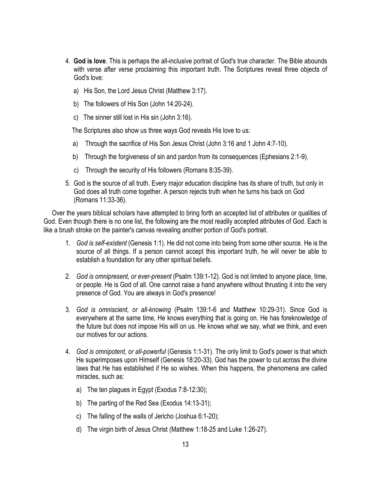- 4. **God is love**. This is perhaps the all-inclusive portrait of God's true character. The Bible abounds with verse after verse proclaiming this important truth. The Scriptures reveal three objects of God's love:
	- a) His Son, the Lord Jesus Christ (Matthew 3:17).
	- b) The followers of His Son (John 14:20-24).
	- c) The sinner still lost in His sin (John 3:16).

The Scriptures also show us three ways God reveals His love to us:

- a) Through the sacrifice of His Son Jesus Christ (John 3:16 and 1 John 4:7-10).
- b) Through the forgiveness of sin and pardon from its consequences (Ephesians 2:1-9).
- c) Through the security of His followers (Romans 8:35-39).
- 5. God is the source of all truth. Every major education discipline has its share of truth, but only in God does all truth come together. A person rejects truth when he turns his back on God (Romans 11:33-36).

 Over the years biblical scholars have attempted to bring forth an accepted list of attributes or qualities of God. Even though there is no one list, the following are the most readily accepted attributes of God. Each is like a brush stroke on the painter's canvas revealing another portion of God's portrait.

- 1. *God is self-existent* (Genesis 1:1). He did not come into being from some other source. He is the source of all things. If a person cannot accept this important truth, he will never be able to establish a foundation for any other spiritual beliefs.
- 2. *God is omnipresent, or ever-present* (Psalm 139:1-12). God is not limited to anyone place, time, or people. He is God of all. One cannot raise a hand anywhere without thrusting it into the very presence of God. You are always in God's presence!
- 3. *God is omniscient, or all-knowing* (Psalm 139:1-6 and Matthew 10:29-31). Since God is everywhere at the same time, He knows everything that is going on. He has foreknowledge of the future but does not impose His will on us. He knows what we say, what we think, and even our motives for our actions.
- 4. *God is omnipotent, or all-powerful* (Genesis 1:1-31). The only limit to God's power is that which He superimposes upon Himself (Genesis 18:20-33). God has the power to cut across the divine laws that He has established if He so wishes. When this happens, the phenomena are called miracles, such as:
	- a) The ten plagues in Egypt (Exodus 7:8-12:30);
	- b) The parting of the Red Sea (Exodus 14:13-31);
	- c) The falling of the walls of Jericho (Joshua 6:1-20);
	- d) The virgin birth of Jesus Christ (Matthew 1:18-25 and Luke 1:26-27).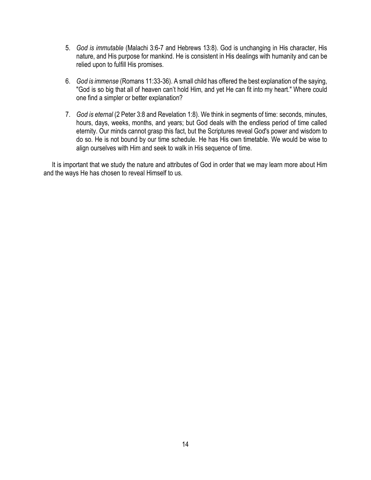- 5. *God is immutable* (Malachi 3:6-7 and Hebrews 13:8). God is unchanging in His character, His nature, and His purpose for mankind. He is consistent in His dealings with humanity and can be relied upon to fulfill His promises.
- 6. *God is immense* (Romans 11:33-36). A small child has offered the best explanation of the saying, "God is so big that all of heaven can't hold Him, and yet He can fit into my heart." Where could one find a simpler or better explanation?
- 7. *God is eternal* (2 Peter 3:8 and Revelation 1:8). We think in segments of time: seconds, minutes, hours, days, weeks, months, and years; but God deals with the endless period of time called eternity. Our minds cannot grasp this fact, but the Scriptures reveal God's power and wisdom to do so. He is not bound by our time schedule. He has His own timetable. We would be wise to align ourselves with Him and seek to walk in His sequence of time.

 It is important that we study the nature and attributes of God in order that we may learn more about Him and the ways He has chosen to reveal Himself to us.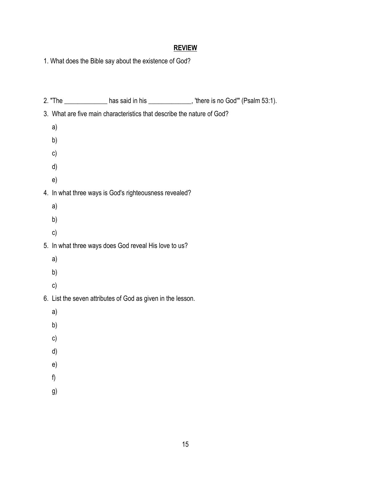1. What does the Bible say about the existence of God?

|    |                                                                        | 2. "The $\_\_\_\_\_\_\_\_\$ has said in his $\_\_\_\_\_\_\_\$ there is no God" (Psalm 53:1). |
|----|------------------------------------------------------------------------|----------------------------------------------------------------------------------------------|
|    | 3. What are five main characteristics that describe the nature of God? |                                                                                              |
| a) |                                                                        |                                                                                              |
| b) |                                                                        |                                                                                              |
| c) |                                                                        |                                                                                              |
| d) |                                                                        |                                                                                              |
| e) |                                                                        |                                                                                              |
|    | 4. In what three ways is God's righteousness revealed?                 |                                                                                              |
| a) |                                                                        |                                                                                              |
| b) |                                                                        |                                                                                              |
| c) |                                                                        |                                                                                              |
|    | 5. In what three ways does God reveal His love to us?                  |                                                                                              |
| a) |                                                                        |                                                                                              |
| b) |                                                                        |                                                                                              |
| c) |                                                                        |                                                                                              |
|    | 6. List the seven attributes of God as given in the lesson.            |                                                                                              |
| a) |                                                                        |                                                                                              |
| b) |                                                                        |                                                                                              |
| c) |                                                                        |                                                                                              |
| d) |                                                                        |                                                                                              |
| e) |                                                                        |                                                                                              |
| f) |                                                                        |                                                                                              |
| g) |                                                                        |                                                                                              |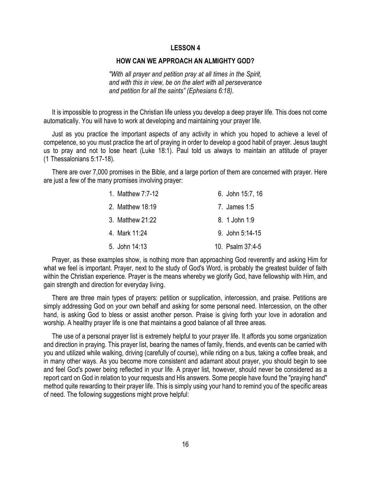#### **HOW CAN WE APPROACH AN ALMIGHTY GOD?**

*"With all prayer and petition pray at all times in the Spirit, and with this in view, be on the alert with all perseverance and petition for all the saints" (Ephesians 6:18).*

 It is impossible to progress in the Christian life unless you develop a deep prayer life. This does not come automatically. You will have to work at developing and maintaining your prayer life.

 Just as you practice the important aspects of any activity in which you hoped to achieve a level of competence, so you must practice the art of praying in order to develop a good habit of prayer. Jesus taught us to pray and not to lose heart (Luke 18:1). Paul told us always to maintain an attitude of prayer (1 Thessalonians 5:17-18).

 There are over 7,000 promises in the Bible, and a large portion of them are concerned with prayer. Here are just a few of the many promises involving prayer:

| 1. Matthew 7:7-12 | 6. John 15:7, 16 |
|-------------------|------------------|
| 2. Matthew 18:19  | 7. James 1:5     |
| 3. Matthew 21:22  | 8. 1 John 1:9    |
| 4. Mark 11:24     | 9. John 5:14-15  |
| 5. John 14:13     | 10. Psalm 37:4-5 |

 Prayer, as these examples show, is nothing more than approaching God reverently and asking Him for what we feel is important. Prayer, next to the study of God's Word, is probably the greatest builder of faith within the Christian experience. Prayer is the means whereby we glorify God, have fellowship with Him, and gain strength and direction for everyday living.

 There are three main types of prayers: petition or supplication, intercession, and praise. Petitions are simply addressing God on your own behalf and asking for some personal need. Intercession, on the other hand, is asking God to bless or assist another person. Praise is giving forth your love in adoration and worship. A healthy prayer life is one that maintains a good balance of all three areas.

 The use of a personal prayer list is extremely helpful to your prayer life. It affords you some organization and direction in praying. This prayer list, bearing the names of family, friends, and events can be carried with you and utilized while walking, driving (carefully of course), while riding on a bus, taking a coffee break, and in many other ways. As you become more consistent and adamant about prayer, you should begin to see and feel God's power being reflected in your life. A prayer list, however, should never be considered as a report card on God in relation to your requests and His answers. Some people have found the "praying hand" method quite rewarding to their prayer life. This is simply using your hand to remind you of the specific areas of need. The following suggestions might prove helpful: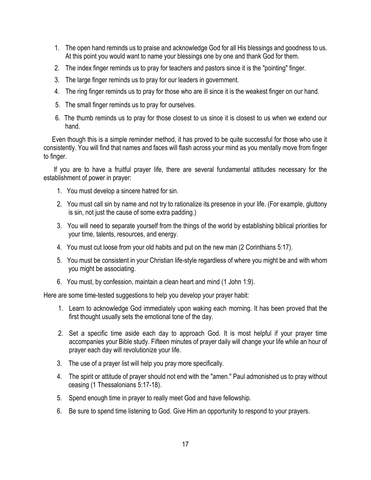- 1. The open hand reminds us to praise and acknowledge God for all His blessings and goodness to us. At this point you would want to name your blessings one by one and thank God for them.
- 2. The index finger reminds us to pray for teachers and pastors since it is the "pointing" finger.
- 3. The large finger reminds us to pray for our leaders in government.
- 4. The ring finger reminds us to pray for those who are ill since it is the weakest finger on our hand.
- 5. The small finger reminds us to pray for ourselves.
- 6. The thumb reminds us to pray for those closest to us since it is closest to us when we extend our hand.

 Even though this is a simple reminder method, it has proved to be quite successful for those who use it consistently. You will find that names and faces will flash across your mind as you mentally move from finger to finger.

 If you are to have a fruitful prayer life, there are several fundamental attitudes necessary for the establishment of power in prayer:

- 1. You must develop a sincere hatred for sin.
- 2. You must call sin by name and not try to rationalize its presence in your life. (For example, gluttony is sin, not just the cause of some extra padding.)
- 3. You will need to separate yourself from the things of the world by establishing biblical priorities for your time, talents, resources, and energy.
- 4. You must cut loose from your old habits and put on the new man (2 Corinthians 5:17).
- 5. You must be consistent in your Christian life-style regardless of where you might be and with whom you might be associating.
- 6. You must, by confession, maintain a clean heart and mind (1 John 1:9).

Here are some time-tested suggestions to help you develop your prayer habit:

- 1. Learn to acknowledge God immediately upon waking each morning. It has been proved that the first thought usually sets the emotional tone of the day.
- 2. Set a specific time aside each day to approach God. It is most helpful if your prayer time accompanies your Bible study. Fifteen minutes of prayer daily will change your life while an hour of prayer each day will revolutionize your life.
- 3. The use of a prayer list will help you pray more specifically.
- 4. The spirit or attitude of prayer should not end with the "amen." Paul admonished us to pray without ceasing (1 Thessalonians 5:17-18).
- 5. Spend enough time in prayer to really meet God and have fellowship.
- 6. Be sure to spend time listening to God. Give Him an opportunity to respond to your prayers.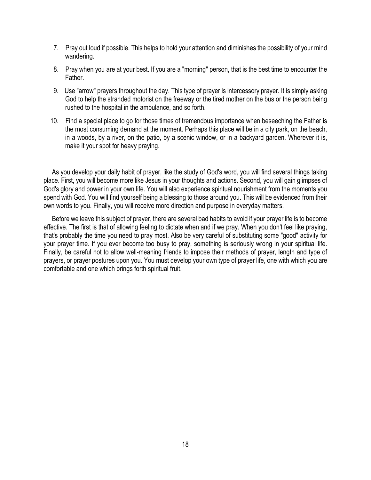- 7. Pray out loud if possible. This helps to hold your attention and diminishes the possibility of your mind wandering.
- 8. Pray when you are at your best. If you are a "morning" person, that is the best time to encounter the Father.
- 9. Use "arrow" prayers throughout the day. This type of prayer is intercessory prayer. It is simply asking God to help the stranded motorist on the freeway or the tired mother on the bus or the person being rushed to the hospital in the ambulance, and so forth.
- 10. Find a special place to go for those times of tremendous importance when beseeching the Father is the most consuming demand at the moment. Perhaps this place will be in a city park, on the beach, in a woods, by a river, on the patio, by a scenic window, or in a backyard garden. Wherever it is, make it your spot for heavy praying.

 As you develop your daily habit of prayer, like the study of God's word, you will find several things taking place. First, you will become more like Jesus in your thoughts and actions. Second, you will gain glimpses of God's glory and power in your own life. You will also experience spiritual nourishment from the moments you spend with God. You will find yourself being a blessing to those around you. This will be evidenced from their own words to you. Finally, you will receive more direction and purpose in everyday matters.

 Before we leave this subject of prayer, there are several bad habits to avoid if your prayer life is to become effective. The first is that of allowing feeling to dictate when and if we pray. When you don't feel like praying, that's probably the time you need to pray most. Also be very careful of substituting some "good" activity for your prayer time. If you ever become too busy to pray, something is seriously wrong in your spiritual life. Finally, be careful not to allow well-meaning friends to impose their methods of prayer, length and type of prayers, or prayer postures upon you. You must develop your own type of prayer life, one with which you are comfortable and one which brings forth spiritual fruit.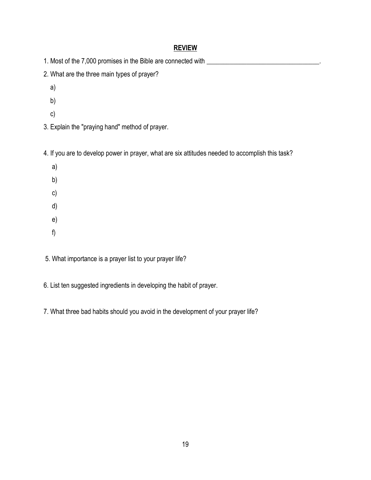1. Most of the 7,000 promises in the Bible are connected with \_\_\_\_\_\_\_\_\_\_\_\_\_\_\_\_\_\_\_

- 2. What are the three main types of prayer?
	- a)
	- b)
	- c)
- 3. Explain the "praying hand" method of prayer.

4. If you are to develop power in prayer, what are six attitudes needed to accomplish this task?

- a) b) c) d) e) f)
- 5. What importance is a prayer list to your prayer life?
- 6. List ten suggested ingredients in developing the habit of prayer.
- 7. What three bad habits should you avoid in the development of your prayer life?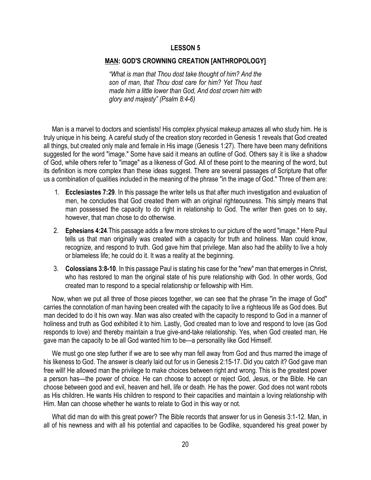#### **MAN: GOD'S CROWNING CREATION [ANTHROPOLOGY]**

*"What is man that Thou dost take thought of him? And the son of man, that Thou dost care for him? Yet Thou hast made him a little lower than God, And dost crown him with glory and majesty" (Psalm 8:4-6)*

 Man is a marvel to doctors and scientists! His complex physical makeup amazes all who study him. He is truly unique in his being. A careful study of the creation story recorded in Genesis 1 reveals that God created all things, but created only male and female in His image (Genesis 1:27). There have been many definitions suggested for the word "image." Some have said it means an outline of God. Others say it is like a shadow of God, while others refer to "image" as a likeness of God. All of these point to the meaning of the word, but its definition is more complex than these ideas suggest. There are several passages of Scripture that offer us a combination of qualities included in the meaning of the phrase "in the image of God." Three of them are:

- 1. **Ecclesiastes 7:29**. In this passage the writer tells us that after much investigation and evaluation of men, he concludes that God created them with an original righteousness. This simply means that man possessed the capacity to do right in relationship to God. The writer then goes on to say, however, that man chose to do otherwise.
- 2. **Ephesians 4:24**.This passage adds a few more strokes to our picture of the word "image." Here Paul tells us that man originally was created with a capacity for truth and holiness. Man could know, recognize, and respond to truth. God gave him that privilege. Man also had the ability to live a holy or blameless life; he could do it. It was a reality at the beginning.
- 3. **Colossians 3:8-10**. In this passage Paul is stating his case for the "new" man that emerges in Christ, who has restored to man the original state of his pure relationship with God. In other words, God created man to respond to a special relationship or fellowship with Him.

 Now, when we put all three of those pieces together, we can see that the phrase "in the image of God" carries the connotation of man having been created with the capacity to live a righteous life as God does. But man decided to do it his own way. Man was also created with the capacity to respond to God in a manner of holiness and truth as God exhibited it to him. Lastly, God created man to love and respond to love (as God responds to love) and thereby maintain a true give-and-take relationship. Yes, when God created man, He gave man the capacity to be all God wanted him to be—a personality like God Himself.

 We must go one step further if we are to see why man fell away from God and thus marred the image of his likeness to God. The answer is clearly laid out for us in Genesis 2:15-17. Did you catch it? God gave man free will! He allowed man the privilege to make choices between right and wrong. This is the greatest power a person has—the power of choice. He can choose to accept or reject God, Jesus, or the Bible. He can choose between good and evil, heaven and hell, life or death. He has the power. God does not want robots as His children. He wants His children to respond to their capacities and maintain a loving relationship with Him. Man can choose whether he wants to relate to God in this way or not.

 What did man do with this great power? The Bible records that answer for us in Genesis 3:1-12. Man, in all of his newness and with all his potential and capacities to be Godlike, squandered his great power by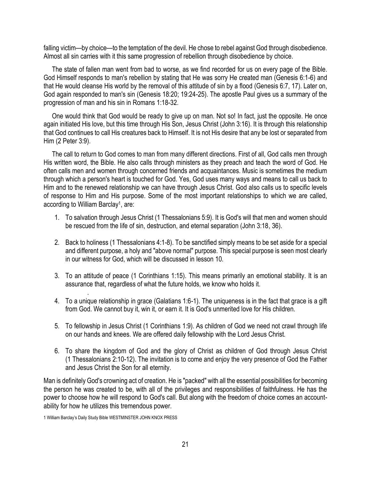falling victim—by choice—to the temptation of the devil. He chose to rebel against God through disobedience. Almost all sin carries with it this same progression of rebellion through disobedience by choice.

 The state of fallen man went from bad to worse, as we find recorded for us on every page of the Bible. God Himself responds to man's rebellion by stating that He was sorry He created man (Genesis 6:1-6) and that He would cleanse His world by the removal of this attitude of sin by a flood (Genesis 6:7, 17). Later on, God again responded to man's sin (Genesis 18:20; 19:24-25). The apostle Paul gives us a summary of the progression of man and his sin in Romans 1:18-32.

 One would think that God would be ready to give up on man. Not so! In fact, just the opposite. He once again initiated His love, but this time through His Son, Jesus Christ (John 3:16). It is through this relationship that God continues to call His creatures back to Himself. It is not His desire that any be lost or separated from Him (2 Peter 3:9).

 The call to return to God comes to man from many different directions. First of all, God calls men through His written word, the Bible. He also calls through ministers as they preach and teach the word of God. He often calls men and women through concerned friends and acquaintances. Music is sometimes the medium through which a person's heart is touched for God. Yes, God uses many ways and means to call us back to Him and to the renewed relationship we can have through Jesus Christ. God also calls us to specific levels of response to Him and His purpose. Some of the most important relationships to which we are called, according to William Barclay<sup>1</sup>, are:

- 1. To salvation through Jesus Christ (1 Thessalonians 5:9). It is God's will that men and women should be rescued from the life of sin, destruction, and eternal separation (John 3:18, 36).
- 2. Back to holiness (1 Thessalonians 4:1-8). To be sanctified simply means to be set aside for a special and different purpose, a holy and "above normal" purpose. This special purpose is seen most clearly in our witness for God, which will be discussed in lesson 10.
- 3. To an attitude of peace (1 Corinthians 1:15). This means primarily an emotional stability. It is an assurance that, regardless of what the future holds, we know who holds it.
- 4. To a unique relationship in grace (Galatians 1:6-1). The uniqueness is in the fact that grace is a gift from God. We cannot buy it, win it, or earn it. It is God's unmerited love for His children.
- 5. To fellowship in Jesus Christ (1 Corinthians 1:9). As children of God we need not crawl through life on our hands and knees. We are offered daily fellowship with the Lord Jesus Christ.
- 6. To share the kingdom of God and the glory of Christ as children of God through Jesus Christ (1 Thessalonians 2:10-12). The invitation is to come and enjoy the very presence of God the Father and Jesus Christ the Son for all eternity.

Man is definitely God's crowning act of creation. He is "packed" with all the essential possibilities for becoming the person he was created to be, with all of the privileges and responsibilities of faithfulness. He has the power to choose how he will respond to God's call. But along with the freedom of choice comes an accountability for how he utilizes this tremendous power.

.

<sup>1</sup> William Barclay's Daily Study Bible WESTMINSTER JOHN KNOX PRESS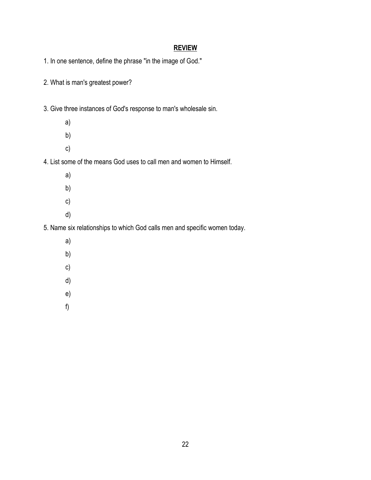1. In one sentence, define the phrase "in the image of God."

- 2. What is man's greatest power?
- 3. Give three instances of God's response to man's wholesale sin.
	- a)
	- b)
	- c)

4. List some of the means God uses to call men and women to Himself.

- a)
- b)
- c)
- 
- d)

5. Name six relationships to which God calls men and specific women today.

- a)
- b)
- c)
- d)
- e)
- f)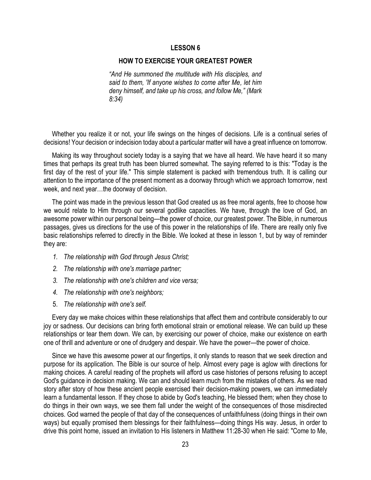#### **HOW TO EXERCISE YOUR GREATEST POWER**

*"And He summoned the multitude with His disciples, and said to them, 'If anyone wishes to come after Me, let him deny himself, and take up his cross, and follow Me," (Mark 8:34)*

 Whether you realize it or not, your life swings on the hinges of decisions. Life is a continual series of decisions! Your decision or indecision today about a particular matter will have a great influence on tomorrow.

 Making its way throughout society today is a saying that we have all heard. We have heard it so many times that perhaps its great truth has been blurred somewhat. The saying referred to is this: "Today is the first day of the rest of your life." This simple statement is packed with tremendous truth. It is calling our attention to the importance of the present moment as a doorway through which we approach tomorrow, next week, and next year…the doorway of decision.

 The point was made in the previous lesson that God created us as free moral agents, free to choose how we would relate to Him through our several godlike capacities. We have, through the love of God, an awesome power within our personal being—the power of choice, our greatest power. The Bible, in numerous passages, gives us directions for the use of this power in the relationships of life. There are really only five basic relationships referred to directly in the Bible. We looked at these in lesson 1, but by way of reminder they are:

- *1. The relationship with God through Jesus Christ;*
- *2. The relationship with one's marriage partner;*
- *3. The relationship with one's children and vice versa;*
- *4. The relationship with one's neighbors;*
- 5. *The relationship with one's self.*

 Every day we make choices within these relationships that affect them and contribute considerably to our joy or sadness. Our decisions can bring forth emotional strain or emotional release. We can build up these relationships or tear them down. We can, by exercising our power of choice, make our existence on earth one of thrill and adventure or one of drudgery and despair. We have the power—the power of choice.

 Since we have this awesome power at our fingertips, it only stands to reason that we seek direction and purpose for its application. The Bible is our source of help. Almost every page is aglow with directions for making choices. A careful reading of the prophets will afford us case histories of persons refusing to accept God's guidance in decision making. We can and should learn much from the mistakes of others. As we read story after story of how these ancient people exercised their decision-making powers, we can immediately learn a fundamental lesson. If they chose to abide by God's teaching, He blessed them; when they chose to do things in their own ways, we see them fall under the weight of the consequences of those misdirected choices. God warned the people of that day of the consequences of unfaithfulness (doing things in their own ways) but equally promised them blessings for their faithfulness—doing things His way. Jesus, in order to drive this point home, issued an invitation to His listeners in Matthew 11:28-30 when He said: "Come to Me,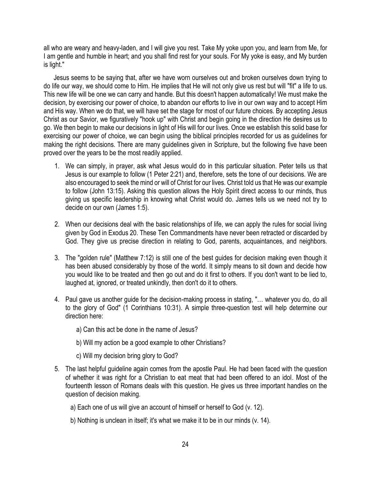all who are weary and heavy-laden, and I will give you rest. Take My yoke upon you, and learn from Me, for I am gentle and humble in heart; and you shall find rest for your souls. For My yoke is easy, and My burden is light."

 Jesus seems to be saying that, after we have worn ourselves out and broken ourselves down trying to do life our way, we should come to Him. He implies that He will not only give us rest but will "fit" a life to us. This new life will be one we can carry and handle. But this doesn't happen automatically! We must make the decision, by exercising our power of choice, to abandon our efforts to live in our own way and to accept Him and His way. When we do that, we will have set the stage for most of our future choices. By accepting Jesus Christ as our Savior, we figuratively "hook up" with Christ and begin going in the direction He desires us to go. We then begin to make our decisions in light of His will for our lives. Once we establish this solid base for exercising our power of choice, we can begin using the biblical principles recorded for us as guidelines for making the right decisions. There are many guidelines given in Scripture, but the following five have been proved over the years to be the most readily applied.

- 1. We can simply, in prayer, ask what Jesus would do in this particular situation. Peter tells us that Jesus is our example to follow (1 Peter 2:21) and, therefore, sets the tone of our decisions. We are also encouraged to seek the mind or will of Christ for our lives. Christ told us that He was our example to follow (John 13:15). Asking this question allows the Holy Spirit direct access to our minds, thus giving us specific leadership in knowing what Christ would do. James tells us we need not try to decide on our own (James 1:5).
- 2. When our decisions deal with the basic relationships of life, we can apply the rules for social living given by God in Exodus 20. These Ten Commandments have never been retracted or discarded by God. They give us precise direction in relating to God, parents, acquaintances, and neighbors.
- 3. The "golden rule" (Matthew 7:12) is still one of the best guides for decision making even though it has been abused considerably by those of the world. It simply means to sit down and decide how you would like to be treated and then go out and do it first to others. If you don't want to be lied to, laughed at, ignored, or treated unkindly, then don't do it to others.
- 4. Paul gave us another guide for the decision-making process in stating, "… whatever you do, do all to the glory of God" (1 Corinthians 10:31). A simple three-question test will help determine our direction here:
	- a) Can this act be done in the name of Jesus?
	- b) Will my action be a good example to other Christians?
	- c) Will my decision bring glory to God?
- 5. The last helpful guideline again comes from the apostle Paul. He had been faced with the question of whether it was right for a Christian to eat meat that had been offered to an idol. Most of the fourteenth lesson of Romans deals with this question. He gives us three important handles on the question of decision making.
	- a) Each one of us will give an account of himself or herself to God (v. 12).
	- b) Nothing is unclean in itself; it's what we make it to be in our minds (v. 14).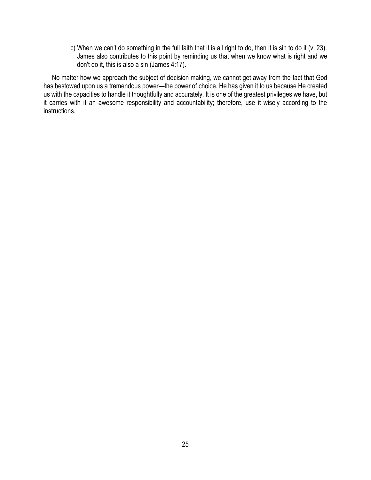c) When we can't do something in the full faith that it is all right to do, then it is sin to do it (v. 23). James also contributes to this point by reminding us that when we know what is right and we don't do it, this is also a sin (James 4:17).

 No matter how we approach the subject of decision making, we cannot get away from the fact that God has bestowed upon us a tremendous power—the power of choice. He has given it to us because He created us with the capacities to handle it thoughtfully and accurately. It is one of the greatest privileges we have, but it carries with it an awesome responsibility and accountability; therefore, use it wisely according to the instructions.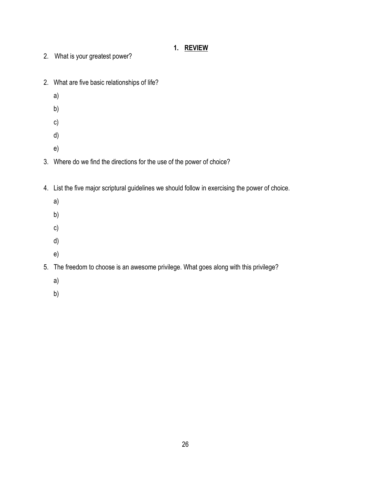## **1. REVIEW**

- 2. What is your greatest power?
- 2. What are five basic relationships of life?
	- a)
	- b)
	- c)
	- d)
	- e)
- 3. Where do we find the directions for the use of the power of choice?
- 4. List the five major scriptural guidelines we should follow in exercising the power of choice.
	- a)
	- b)
	- c)
	- d)
	- e)
- 5. The freedom to choose is an awesome privilege. What goes along with this privilege?
	- a)
	- b)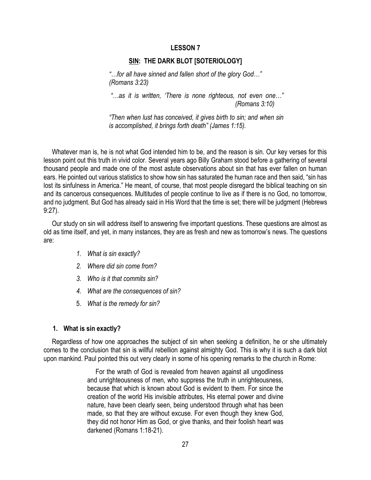#### **SIN: THE DARK BLOT [SOTERIOLOGY]**

*"…for all have sinned and fallen short of the glory God…" (Romans 3:23)*

*"…as it is written, 'There is none righteous, not even one…" (Romans 3:10)*

*"Then when lust has conceived, it gives birth to sin; and when sin is accomplished, it brings forth death" (James 1:15).*

 Whatever man is, he is not what God intended him to be, and the reason is sin. Our key verses for this lesson point out this truth in vivid color. Several years ago Billy Graham stood before a gathering of several thousand people and made one of the most astute observations about sin that has ever fallen on human ears. He pointed out various statistics to show how sin has saturated the human race and then said, "sin has lost its sinfulness in America." He meant, of course, that most people disregard the biblical teaching on sin and its cancerous consequences. Multitudes of people continue to live as if there is no God, no tomorrow, and no judgment. But God has already said in His Word that the time is set; there will be judgment (Hebrews 9:27).

 Our study on sin will address itself to answering five important questions. These questions are almost as old as time itself, and yet, in many instances, they are as fresh and new as tomorrow's news. The questions are:

- *1. What is sin exactly?*
- *2. Where did sin come from?*
- *3. Who is it that commits sin?*
- *4. What are the consequences of sin?*
- 5. *What is the remedy for sin?*

#### **1. What is sin exactly?**

 Regardless of how one approaches the subject of sin when seeking a definition, he or she ultimately comes to the conclusion that sin is willful rebellion against almighty God. This is why it is such a dark blot upon mankind. Paul pointed this out very clearly in some of his opening remarks to the church in Rome:

> For the wrath of God is revealed from heaven against all ungodliness and unrighteousness of men, who suppress the truth in unrighteousness, because that which is known about God is evident to them. For since the creation of the world His invisible attributes, His eternal power and divine nature, have been clearly seen, being understood through what has been made, so that they are without excuse. For even though they knew God, they did not honor Him as God, or give thanks, and their foolish heart was darkened (Romans 1:18-21).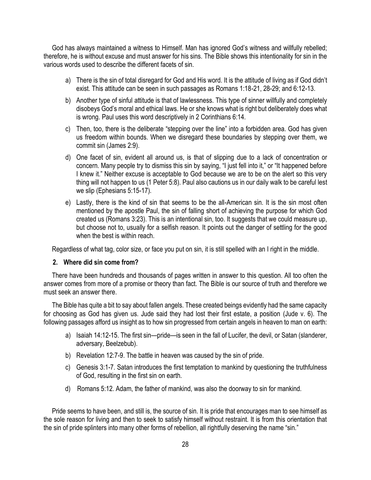God has always maintained a witness to Himself. Man has ignored God's witness and willfully rebelled; therefore, he is without excuse and must answer for his sins. The Bible shows this intentionality for sin in the various words used to describe the different facets of sin.

- a) There is the sin of total disregard for God and His word. It is the attitude of living as if God didn't exist. This attitude can be seen in such passages as Romans 1:18-21, 28-29; and 6:12-13.
- b) Another type of sinful attitude is that of lawlessness. This type of sinner willfully and completely disobeys God's moral and ethical laws. He or she knows what is right but deliberately does what is wrong. Paul uses this word descriptively in 2 Corinthians 6:14.
- c) Then, too, there is the deliberate "stepping over the line" into a forbidden area. God has given us freedom within bounds. When we disregard these boundaries by stepping over them, we commit sin (James 2:9).
- d) One facet of sin, evident all around us, is that of slipping due to a lack of concentration or concern. Many people try to dismiss this sin by saying, "I just fell into it," or "It happened before I knew it." Neither excuse is acceptable to God because we are to be on the alert so this very thing will not happen to us (1 Peter 5:8). Paul also cautions us in our daily walk to be careful lest we slip (Ephesians 5:15-17).
- e) Lastly, there is the kind of sin that seems to be the all-American sin. It is the sin most often mentioned by the apostle Paul, the sin of falling short of achieving the purpose for which God created us (Romans 3:23). This is an intentional sin, too. It suggests that we could measure up, but choose not to, usually for a selfish reason. It points out the danger of settling for the good when the best is within reach.

Regardless of what tag, color size, or face you put on sin, it is still spelled with an I right in the middle.

## **2. Where did sin come from?**

 There have been hundreds and thousands of pages written in answer to this question. All too often the answer comes from more of a promise or theory than fact. The Bible is our source of truth and therefore we must seek an answer there.

 The Bible has quite a bit to say about fallen angels. These created beings evidently had the same capacity for choosing as God has given us. Jude said they had lost their first estate, a position (Jude v. 6). The following passages afford us insight as to how sin progressed from certain angels in heaven to man on earth:

- a) Isaiah 14:12-15. The first sin—pride—is seen in the fall of Lucifer, the devil, or Satan (slanderer, adversary, Beelzebub).
- b) Revelation 12:7-9. The battle in heaven was caused by the sin of pride.
- c) Genesis 3:1-7. Satan introduces the first temptation to mankind by questioning the truthfulness of God, resulting in the first sin on earth.
- d) Romans 5:12. Adam, the father of mankind, was also the doorway to sin for mankind.

 Pride seems to have been, and still is, the source of sin. It is pride that encourages man to see himself as the sole reason for living and then to seek to satisfy himself without restraint. It is from this orientation that the sin of pride splinters into many other forms of rebellion, all rightfully deserving the name "sin."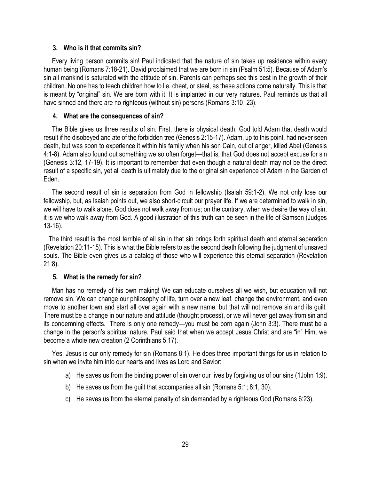## **3. Who is it that commits sin?**

 Every living person commits sin! Paul indicated that the nature of sin takes up residence within every human being (Romans 7:18-21). David proclaimed that we are born in sin (Psalm 51:5). Because of Adam's sin all mankind is saturated with the attitude of sin. Parents can perhaps see this best in the growth of their children. No one has to teach children how to lie, cheat, or steal, as these actions come naturally. This is that is meant by "original" sin. We are born with it. It is implanted in our very natures. Paul reminds us that all have sinned and there are no righteous (without sin) persons (Romans 3:10, 23).

## **4. What are the consequences of sin?**

 The Bible gives us three results of sin. First, there is physical death. God told Adam that death would result if he disobeyed and ate of the forbidden tree (Genesis 2:15-17). Adam, up to this point, had never seen death, but was soon to experience it within his family when his son Cain, out of anger, killed Abel (Genesis 4:1-8). Adam also found out something we so often forget—that is, that God does not accept excuse for sin (Genesis 3:12, 17-19). It is important to remember that even though a natural death may not be the direct result of a specific sin, yet all death is ultimately due to the original sin experience of Adam in the Garden of Eden.

 The second result of sin is separation from God in fellowship (Isaiah 59:1-2). We not only lose our fellowship, but, as Isaiah points out, we also short-circuit our prayer life. If we are determined to walk in sin, we will have to walk alone. God does not walk away from us; on the contrary, when we desire the way of sin, it is we who walk away from God. A good illustration of this truth can be seen in the life of Samson (Judges 13-16).

 The third result is the most terrible of all sin in that sin brings forth spiritual death and eternal separation (Revelation 20:11-15). This is what the Bible refers to as the second death following the judgment of unsaved souls. The Bible even gives us a catalog of those who will experience this eternal separation (Revelation 21:8).

## **5. What is the remedy for sin?**

 Man has no remedy of his own making! We can educate ourselves all we wish, but education will not remove sin. We can change our philosophy of life, turn over a new leaf, change the environment, and even move to another town and start all over again with a new name, but that will not remove sin and its guilt. There must be a change in our nature and attitude (thought process), or we will never get away from sin and its condemning effects. There is only one remedy—you must be born again (John 3:3). There must be a change in the person's spiritual nature. Paul said that when we accept Jesus Christ and are "in" Him, we become a whole new creation (2 Corinthians 5:17).

 Yes, Jesus is our only remedy for sin (Romans 8:1). He does three important things for us in relation to sin when we invite him into our hearts and lives as Lord and Savior:

- a) He saves us from the binding power of sin over our lives by forgiving us of our sins (1John 1:9).
- b) He saves us from the guilt that accompanies all sin (Romans 5:1; 8:1, 30).
- c) He saves us from the eternal penalty of sin demanded by a righteous God (Romans 6:23).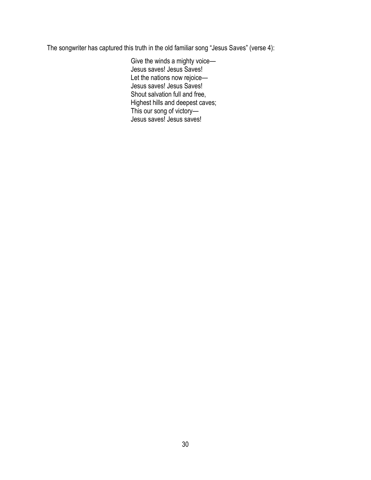The songwriter has captured this truth in the old familiar song "Jesus Saves" (verse 4):

Give the winds a mighty voice— Jesus saves! Jesus Saves! Let the nations now rejoice— Jesus saves! Jesus Saves! Shout salvation full and free, Highest hills and deepest caves; This our song of victory— Jesus saves! Jesus saves!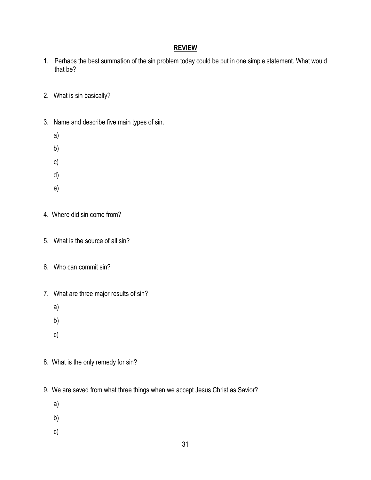- 1. Perhaps the best summation of the sin problem today could be put in one simple statement. What would that be?
- 2. What is sin basically?
- 3. Name and describe five main types of sin.
	- a)
	- b)
	- c)
	- d)
	- e)
- 4. Where did sin come from?
- 5. What is the source of all sin?
- 6. Who can commit sin?
- 7. What are three major results of sin?
	- a)
	- b)
	- c)
- 8. What is the only remedy for sin?
- 9. We are saved from what three things when we accept Jesus Christ as Savior?
	- a)
	- b)
	-
	- c)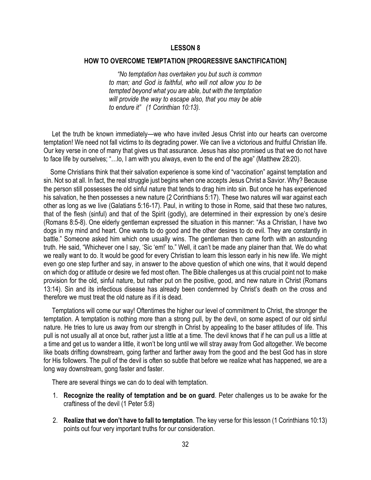#### **HOW TO OVERCOME TEMPTATION [PROGRESSIVE SANCTIFICATION]**

 *"No temptation has overtaken you but such is common to man; and God is faithful, who will not allow you to be tempted beyond what you are able, but with the temptation will provide the way to escape also, that you may be able to endure it" (1 Corinthian 10:13).*

 Let the truth be known immediately—we who have invited Jesus Christ into our hearts can overcome temptation! We need not fall victims to its degrading power. We can live a victorious and fruitful Christian life. Our key verse in one of many that gives us that assurance. Jesus has also promised us that we do not have to face life by ourselves; "…lo, I am with you always, even to the end of the age" (Matthew 28:20).

 Some Christians think that their salvation experience is some kind of "vaccination" against temptation and sin. Not so at all. In fact, the real struggle just begins when one accepts Jesus Christ a Savior. Why? Because the person still possesses the old sinful nature that tends to drag him into sin. But once he has experienced his salvation, he then possesses a new nature (2 Corinthians 5:17). These two natures will war against each other as long as we live (Galatians 5:16-17). Paul, in writing to those in Rome, said that these two natures, that of the flesh (sinful) and that of the Spirit (godly), are determined in their expression by one's desire (Romans 8:5-8). One elderly gentleman expressed the situation in this manner: "As a Christian, I have two dogs in my mind and heart. One wants to do good and the other desires to do evil. They are constantly in battle." Someone asked him which one usually wins. The gentleman then came forth with an astounding truth. He said, "Whichever one I say, 'Sic 'em!' to." Well, it can't be made any plainer than that. We do what we really want to do. It would be good for every Christian to learn this lesson early in his new life. We might even go one step further and say, in answer to the above question of which one wins, that it would depend on which dog or attitude or desire we fed most often. The Bible challenges us at this crucial point not to make provision for the old, sinful nature, but rather put on the positive, good, and new nature in Christ (Romans 13:14). Sin and its infectious disease has already been condemned by Christ's death on the cross and therefore we must treat the old nature as if it is dead.

 Temptations will come our way! Oftentimes the higher our level of commitment to Christ, the stronger the temptation. A temptation is nothing more than a strong pull, by the devil, on some aspect of our old sinful nature. He tries to lure us away from our strength in Christ by appealing to the baser attitudes of life. This pull is not usually all at once but, rather just a little at a time. The devil knows that if he can pull us a little at a time and get us to wander a little, it won't be long until we will stray away from God altogether. We become like boats drifting downstream, going farther and farther away from the good and the best God has in store for His followers. The pull of the devil is often so subtle that before we realize what has happened, we are a long way downstream, gong faster and faster.

There are several things we can do to deal with temptation.

- 1. **Recognize the reality of temptation and be on guard**. Peter challenges us to be awake for the craftiness of the devil (1 Peter 5:8)
- 2. **Realize that we don't have to fall to temptation**. The key verse for this lesson (1 Corinthians 10:13) points out four very important truths for our consideration.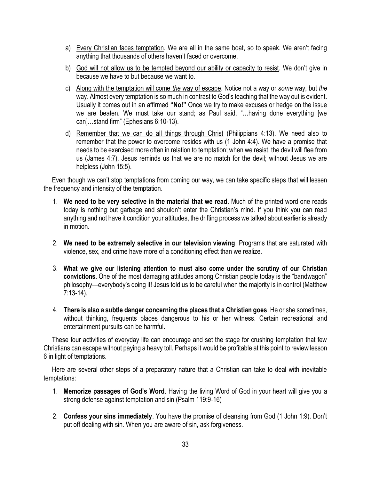- a) Every Christian faces temptation. We are all in the same boat, so to speak. We aren't facing anything that thousands of others haven't faced or overcome.
- b) God will not allow us to be tempted beyond our ability or capacity to resist. We don't give in because we have to but because we want to.
- c) Along with the temptation will come *the* way of escape. Notice not a way or *some* way, but *the* way. Almost every temptation is so much in contrast to God's teaching that the way out is evident. Usually it comes out in an affirmed **"No!"** Once we try to make excuses or hedge on the issue we are beaten. We must take our stand; as Paul said, "…having done everything [we can]…stand firm" (Ephesians 6:10-13).
- d) Remember that we can do all things through Christ (Philippians 4:13). We need also to remember that the power to overcome resides with us (1 John 4:4). We have a promise that needs to be exercised more often in relation to temptation; when we resist, the devil will flee from us (James 4:7). Jesus reminds us that we are no match for the devil; without Jesus we are helpless (John 15:5).

 Even though we can't stop temptations from coming our way, we can take specific steps that will lessen the frequency and intensity of the temptation.

- 1. **We need to be very selective in the material that we read**. Much of the printed word one reads today is nothing but garbage and shouldn't enter the Christian's mind. If you think you can read anything and not have it condition your attitudes, the drifting process we talked about earlier is already in motion.
- 2. **We need to be extremely selective in our television viewing**. Programs that are saturated with violence, sex, and crime have more of a conditioning effect than we realize.
- 3. **What we give our listening attention to must also come under the scrutiny of our Christian convictions.** One of the most damaging attitudes among Christian people today is the "bandwagon" philosophy—everybody's doing it! Jesus told us to be careful when the majority is in control (Matthew 7:13-14).
- 4. **There is also a subtle danger concerning the places that a Christian goes**. He or she sometimes, without thinking, frequents places dangerous to his or her witness. Certain recreational and entertainment pursuits can be harmful.

 These four activities of everyday life can encourage and set the stage for crushing temptation that few Christians can escape without paying a heavy toll. Perhaps it would be profitable at this point to review lesson 6 in light of temptations.

 Here are several other steps of a preparatory nature that a Christian can take to deal with inevitable temptations:

- 1. **Memorize passages of God's Word**. Having the living Word of God in your heart will give you a strong defense against temptation and sin (Psalm 119:9-16)
- 2. **Confess your sins immediately**. You have the promise of cleansing from God (1 John 1:9). Don't put off dealing with sin. When you are aware of sin, ask forgiveness.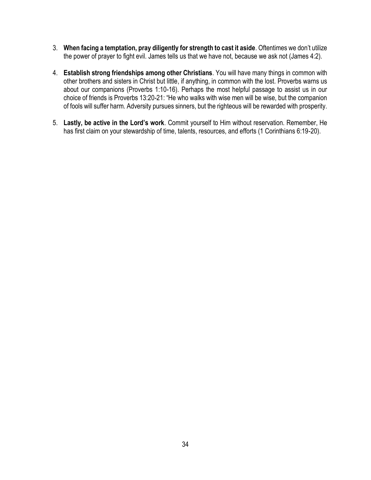- 3. **When facing a temptation, pray diligently for strength to cast it aside**. Oftentimes we don't utilize the power of prayer to fight evil. James tells us that we have not, because we ask not (James 4:2).
- 4. **Establish strong friendships among other Christians**. You will have many things in common with other brothers and sisters in Christ but little, if anything, in common with the lost. Proverbs warns us about our companions (Proverbs 1:10-16). Perhaps the most helpful passage to assist us in our choice of friends is Proverbs 13:20-21: "He who walks with wise men will be wise, but the companion of fools will suffer harm. Adversity pursues sinners, but the righteous will be rewarded with prosperity.
- 5. **Lastly, be active in the Lord's work**. Commit yourself to Him without reservation. Remember, He has first claim on your stewardship of time, talents, resources, and efforts (1 Corinthians 6:19-20).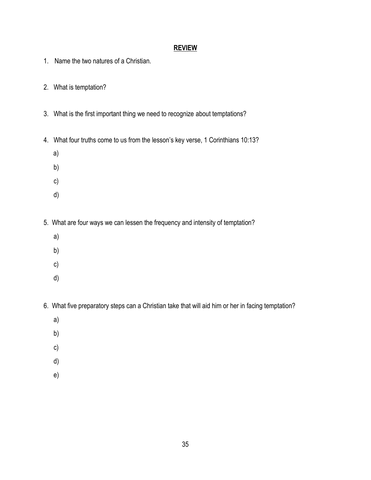- 1. Name the two natures of a Christian.
- 2. What is temptation?
- 3. What is the first important thing we need to recognize about temptations?
- 4. What four truths come to us from the lesson's key verse, 1 Corinthians 10:13?
	- a)
	- b)
	- c)
	- d)
- 5. What are four ways we can lessen the frequency and intensity of temptation?
	- a)
	- b)
	- c)
	- d)
- 6. What five preparatory steps can a Christian take that will aid him or her in facing temptation?
	- a)
	- b)
	- c)
	- d)
	- e)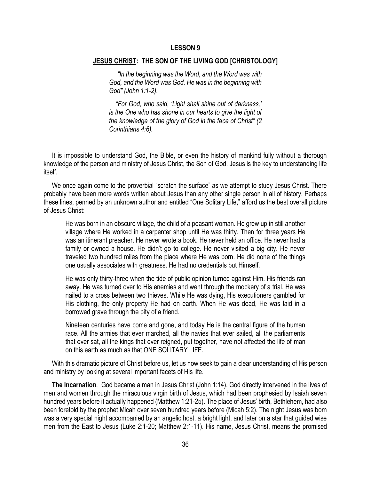#### **JESUS CHRIST: THE SON OF THE LIVING GOD [CHRISTOLOGY]**

 *"In the beginning was the Word, and the Word was with God, and the Word was God. He was in the beginning with God" (John 1:1-2).*

 *"For God, who said, 'Light shall shine out of darkness,' is the One who has shone in our hearts to give the light of the knowledge of the glory of God in the face of Christ" (2 Corinthians 4:6).*

 It is impossible to understand God, the Bible, or even the history of mankind fully without a thorough knowledge of the person and ministry of Jesus Christ, the Son of God. Jesus is the key to understanding life itself.

We once again come to the proverbial "scratch the surface" as we attempt to study Jesus Christ. There probably have been more words written about Jesus than any other single person in all of history. Perhaps these lines, penned by an unknown author and entitled "One Solitary Life," afford us the best overall picture of Jesus Christ:

He was born in an obscure village, the child of a peasant woman. He grew up in still another village where He worked in a carpenter shop until He was thirty. Then for three years He was an itinerant preacher. He never wrote a book. He never held an office. He never had a family or owned a house. He didn't go to college. He never visited a big city. He never traveled two hundred miles from the place where He was born. He did none of the things one usually associates with greatness. He had no credentials but Himself.

He was only thirty-three when the tide of public opinion turned against Him. His friends ran away. He was turned over to His enemies and went through the mockery of a trial. He was nailed to a cross between two thieves. While He was dying, His executioners gambled for His clothing, the only property He had on earth. When He was dead, He was laid in a borrowed grave through the pity of a friend.

Nineteen centuries have come and gone, and today He is the central figure of the human race. All the armies that ever marched, all the navies that ever sailed, all the parliaments that ever sat, all the kings that ever reigned, put together, have not affected the life of man on this earth as much as that ONE SOLITARY LIFE.

 With this dramatic picture of Christ before us, let us now seek to gain a clear understanding of His person and ministry by looking at several important facets of His life.

 **The Incarnation***.* God became a man in Jesus Christ (John 1:14). God directly intervened in the lives of men and women through the miraculous virgin birth of Jesus, which had been prophesied by Isaiah seven hundred years before it actually happened (Matthew 1:21-25). The place of Jesus' birth, Bethlehem, had also been foretold by the prophet Micah over seven hundred years before (Micah 5:2). The night Jesus was born was a very special night accompanied by an angelic host, a bright light, and later on a star that guided wise men from the East to Jesus (Luke 2:1-20; Matthew 2:1-11). His name, Jesus Christ, means the promised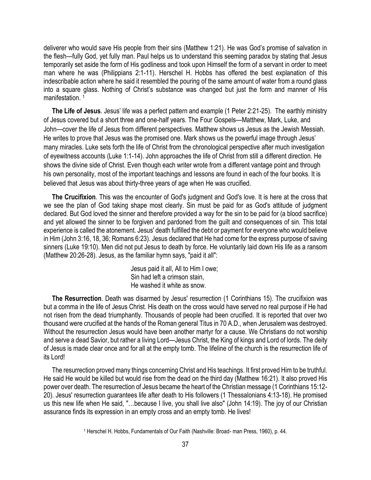deliverer who would save His people from their sins (Matthew 1:21). He was God's promise of salvation in the flesh—fully God, yet fully man. Paul helps us to understand this seeming paradox by stating that Jesus temporarily set aside the form of His godliness and took upon Himself the form of a servant in order to meet man where he was (Philippians 2:1-11). Herschel H. Hobbs has offered the best explanation of this indescribable action where he said it resembled the pouring of the same amount of water from a round glass into a square glass. Nothing of Christ's substance was changed but just the form and manner of His manifestation.<sup>1</sup>

 **The Life of Jesus***.* Jesus' life was a perfect pattern and example (1 Peter 2:21-25). The earthly ministry of Jesus covered but a short three and one-half years. The Four Gospels—Matthew, Mark, Luke, and John—cover the life of Jesus from different perspectives. Matthew shows us Jesus as the Jewish Messiah. He writes to prove that Jesus was the promised one. Mark shows us the powerful image through Jesus' many miracles. Luke sets forth the life of Christ from the chronological perspective after much investigation of eyewitness accounts (Luke 1:1-14). John approaches the life of Christ from still a different direction. He shows the divine side of Christ. Even though each writer wrote from a different vantage point and through his own personality, most of the important teachings and lessons are found in each of the four books. It is believed that Jesus was about thirty-three years of age when He was crucified.

**The Crucifixion***.* This was the encounter of God's judgment and God's love. It is here at the cross that we see the plan of God taking shape most clearly. Sin must be paid for as God's attitude of judgment declared. But God loved the sinner and therefore provided a way for the sin to be paid for (a blood sacrifice) and yet allowed the sinner to be forgiven and pardoned from the guilt and consequences of sin. This total experience is called the atonement. Jesus' death fulfilled the debt or payment for everyone who would believe in Him (John 3:16, 18, 36; Romans 6:23). Jesus declared that He had come for the express purpose of saving sinners (Luke 19:10). Men did not put Jesus to death by force. He voluntarily laid down His life as a ransom (Matthew 20:26-28). Jesus, as the familiar hymn says, "paid it all":

> Jesus paid it all, All to Him I owe; Sin had left a crimson stain, He washed it white as snow.

 **The Resurrection**. Death was disarmed by Jesus' resurrection (1 Corinthians 15). The crucifixion was but a comma in the life of Jesus Christ. His death on the cross would have served no real purpose if He had not risen from the dead triumphantly. Thousands of people had been crucified. It is reported that over two thousand were crucified at the hands of the Roman general Titus in 70 A.D., when Jerusalem was destroyed. Without the resurrection Jesus would have been another martyr for a cause. We Christians do not worship and serve a dead Savior, but rather a living Lord—Jesus Christ, the King of kings and Lord of lords. The deity of Jesus is made clear once and for all at the empty tomb. The lifeline of the church is the resurrection life of its Lord!

 The resurrection proved many things concerning Christ and His teachings. It first proved Him to be truthful. He said He would be killed but would rise from the dead on the third day (Matthew 16:21). It also proved His power over death. The resurrection of Jesus became the heart of the Christian message (1 Corinthians 15:12- 20). Jesus' resurrection guarantees life after death to His followers (1 Thessalonians 4:13-18). He promised us this new life when He said, "…because I live, you shall live also" (John 14:19). The joy of our Christian assurance finds its expression in an empty cross and an empty tomb. He lives!

<sup>1</sup> Herschel H. Hobbs, Fundamentals of Our Faith (Nashville: Broad- man Press, 1960), p. 44.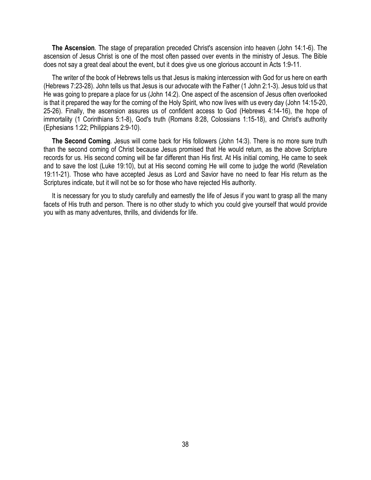**The Ascension***.* The stage of preparation preceded Christ's ascension into heaven (John 14:1-6). The ascension of Jesus Christ is one of the most often passed over events in the ministry of Jesus. The Bible does not say a great deal about the event, but it does give us one glorious account in Acts 1:9-11.

 The writer of the book of Hebrews tells us that Jesus is making intercession with God for us here on earth (Hebrews 7:23-28). John tells us that Jesus is our advocate with the Father (1 John 2:1-3). Jesus told us that He was going to prepare a place for us (John 14:2). One aspect of the ascension of Jesus often overlooked is that it prepared the way for the coming of the Holy Spirit, who now lives with us every day (John 14:15-20, 25-26). Finally, the ascension assures us of confident access to God (Hebrews 4:14-16), the hope of immortality (1 Corinthians 5:1-8), God's truth (Romans 8:28, Colossians 1:15-18), and Christ's authority (Ephesians 1:22; Philippians 2:9-10).

**The Second Coming***.* Jesus will come back for His followers (John 14:3). There is no more sure truth than the second coming of Christ because Jesus promised that He would return, as the above Scripture records for us. His second coming will be far different than His first. At His initial coming, He came to seek and to save the lost (Luke 19:10), but at His second coming He will come to judge the world (Revelation 19:11-21). Those who have accepted Jesus as Lord and Savior have no need to fear His return as the Scriptures indicate, but it will not be so for those who have rejected His authority.

 It is necessary for you to study carefully and earnestly the life of Jesus if you want to grasp all the many facets of His truth and person. There is no other study to which you could give yourself that would provide you with as many adventures, thrills, and dividends for life.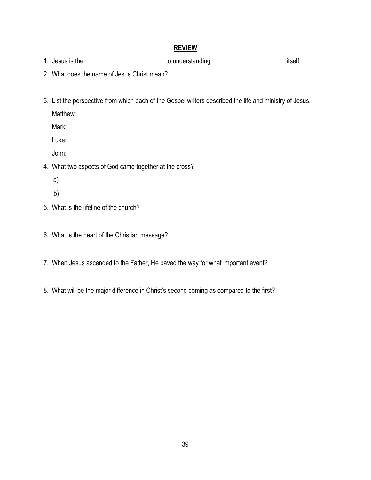- 1. Jesus is the \_\_\_\_\_\_\_\_\_\_\_\_\_\_\_\_\_\_\_\_\_\_\_\_\_\_\_\_ to understanding \_\_\_\_\_\_\_\_\_\_\_\_\_\_\_\_\_\_\_\_\_\_\_\_\_\_\_\_\_\_\_\_ itself.
- 2. What does the name of Jesus Christ mean?
- 3. List the perspective from which each of the Gospel writers described the life and ministry of Jesus.

Matthew:

Mark:

Luke:

John:

- 4. What two aspects of God came together at the cross?
	- a)
	- b)
- 5. What is the lifeline of the church?
- 6. What is the heart of the Christian message?
- 7. When Jesus ascended to the Father, He paved the way for what important event?
- 8. What will be the major difference in Christ's second coming as compared to the first?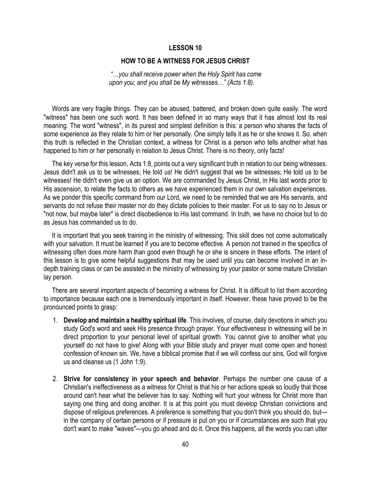#### **HOW TO BE A WITNESS FOR JESUS CHRIST**

*"…you shall receive power when the Holy Spirit has come upon you; and you shall be My witnesses…" (Acts 1:8).*

 Words are very fragile things. They can be abused, battered, and broken down quite easily. The word "witness" has been one such word. It has been defined in so many ways that it has almost lost its real meaning. The word "witness", in its purest and simplest definition is this: a person who shares the facts of some experience as they relate to him or her personally. One simply tells it as he or she knows it. So, when this truth is reflected in the Christian context, a witness for Christ is a person who tells another what has happened to him or her personally in relation to Jesus Christ. There is no theory, only facts!

 The key verse for this lesson, Acts 1:8, points out a very significant truth in relation to our being witnesses. Jesus didn't ask us to be witnesses; He told us! He didn't suggest that we be witnesses; He told us to be witnesses! He didn't even give us an option. We are commanded by Jesus Christ, in His last words prior to His ascension, to relate the facts to others as we have experienced them in our own salvation experiences. As we ponder this specific command from our Lord, we need to be reminded that we are His servants, and servants do not refuse their master nor do they dictate policies to their master. For us to say no to Jesus or "not now, but maybe later" is direct disobedience to His last command. In truth, we have no choice but to do as Jesus has commanded us to do.

 It is important that you seek training in the ministry of witnessing. This skill does not come automatically with your salvation. It must be learned if you are to become effective. A person not trained in the specifics of witnessing often does more harm than good even though he or she is sincere in these efforts. The intent of this lesson is to give some helpful suggestions that may be used until you can become involved in an indepth training class or can be assisted in the ministry of witnessing by your pastor or some mature Christian lay person.

 There are several important aspects of becoming a witness for Christ. It is difficult to list them according to importance because each one is tremendously important in itself. However, these have proved to be the pronounced points to grasp:

- 1. **Develop and maintain a healthy spiritual life**. This involves, of course, daily devotions in which you study God's word and seek His presence through prayer. Your effectiveness in witnessing will be in direct proportion to your personal level of spiritual growth. You cannot give to another what you yourself do not have to give! Along with your Bible study and prayer must come open and honest confession of known sin. We, have a biblical promise that if we will confess our sins, God will forgive us and cleanse us (1 John 1:9).
- 2. **Strive for consistency in your speech and behavior**. Perhaps the number one cause of a Christian's ineffectiveness as a witness for Christ is that his or her actions speak so loudly that those around can't hear what the believer has to say. Nothing will hurt your witness for Christ more than saying one thing and doing another. It is at this point you must develop Christian convictions and dispose of religious preferences. A preference is something that you don't think you should do, but in the company of certain persons or if pressure is put on you or if circumstances are such that you don't want to make "waves"—you go ahead and do it. Once this happens, all the words you can utter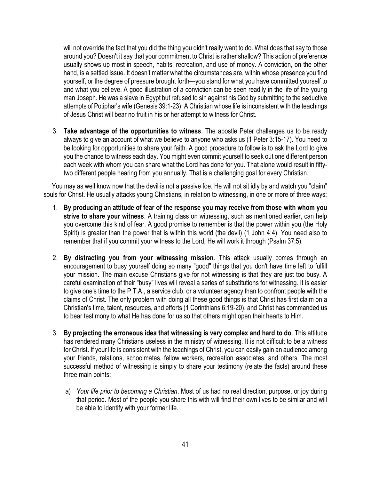will not override the fact that you did the thing you didn't really want to do. What does that say to those around you? Doesn't it say that your commitment to Christ is rather shallow? This action of preference usually shows up most in speech, habits, recreation, and use of money. A conviction, on the other hand, is a settled issue. It doesn't matter what the circumstances are, within whose presence you find yourself, or the degree of pressure brought forth—you stand for what you have committed yourself to and what you believe. A good illustration of a conviction can be seen readily in the life of the young man Joseph. He was a slave in Egypt but refused to sin against his God by submitting to the seductive attempts of Potiphar's wife (Genesis 39:1-23). A Christian whose life is inconsistent with the teachings of Jesus Christ will bear no fruit in his or her attempt to witness for Christ.

3. **Take advantage of the opportunities to witness**. The apostle Peter challenges us to be ready always to give an account of what we believe to anyone who asks us (1 Peter 3:15-17). You need to be looking for opportunities to share your faith. A good procedure to follow is to ask the Lord to give you the chance to witness each day. You might even commit yourself to seek out one different person each week with whom you can share what the Lord has done for you. That alone would result in fiftytwo different people hearing from you annually. That is a challenging goal for every Christian.

 You may as well know now that the devil is not a passive foe. He will not sit idly by and watch you "claim" souls for Christ. He usually attacks young Christians, in relation to witnessing, in one or more of three ways:

- 1. **By producing an attitude of fear of the response you may receive from those with whom you strive to share your witness**. A training class on witnessing, such as mentioned earlier, can help you overcome this kind of fear. A good promise to remember is that the power within you (the Holy Spirit) is greater than the power that is within this world (the devil) (1 John 4:4). You need also to remember that if you commit your witness to the Lord, He will work it through (Psalm 37:5).
- 2. **By distracting you from your witnessing mission**. This attack usually comes through an encouragement to busy yourself doing so many "good" things that you don't have time left to fulfill your mission. The main excuse Christians give for not witnessing is that they are just too busy. A careful examination of their "busy" lives will reveal a series of substitutions for witnessing. It is easier to give one's time to the P.T.A., a service club, or a volunteer agency than to confront people with the claims of Christ. The only problem with doing all these good things is that Christ has first claim on a Christian's time, talent, resources, and efforts (1 Corinthians 6:19-20), and Christ has commanded us to bear testimony to what He has done for us so that others might open their hearts to Him.
- 3. **By projecting the erroneous idea that witnessing is very complex and hard to do**. This attitude has rendered many Christians useless in the ministry of witnessing. It is not difficult to be a witness for Christ. If your life is consistent with the teachings of Christ, you can easily gain an audience among your friends, relations, schoolmates, fellow workers, recreation associates, and others. The most successful method of witnessing is simply to share your testimony (relate the facts) around these three main points:
	- a) *Your life prior to becoming a Christian*. Most of us had no real direction, purpose, or joy during that period. Most of the people you share this with will find their own lives to be similar and will be able to identify with your former life.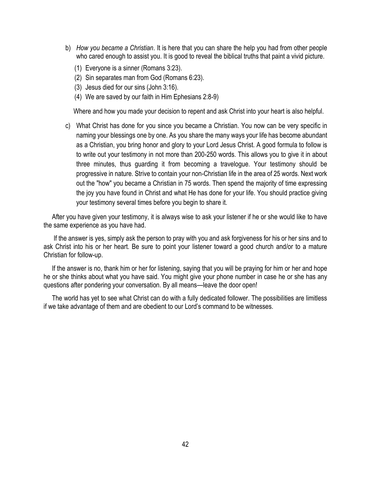- b) *How you became a Christian*. It is here that you can share the help you had from other people who cared enough to assist you. It is good to reveal the biblical truths that paint a vivid picture.
	- (1) Everyone is a sinner (Romans 3:23).
	- (2) Sin separates man from God (Romans 6:23).
	- (3) Jesus died for our sins (John 3:16).
	- (4) We are saved by our faith in Him Ephesians 2:8-9)

Where and how you made your decision to repent and ask Christ into your heart is also helpful.

c) What Christ has done for you since you became a Christian. You now can be very specific in naming your blessings one by one. As you share the many ways your life has become abundant as a Christian, you bring honor and glory to your Lord Jesus Christ. A good formula to follow is to write out your testimony in not more than 200-250 words. This allows you to give it in about three minutes, thus guarding it from becoming a travelogue. Your testimony should be progressive in nature. Strive to contain your non-Christian life in the area of 25 words. Next work out the "how" you became a Christian in 75 words. Then spend the majority of time expressing the joy you have found in Christ and what He has done for your life. You should practice giving your testimony several times before you begin to share it.

 After you have given your testimony, it is always wise to ask your listener if he or she would like to have the same experience as you have had.

 If the answer is yes, simply ask the person to pray with you and ask forgiveness for his or her sins and to ask Christ into his or her heart. Be sure to point your listener toward a good church and/or to a mature Christian for follow-up.

 If the answer is no, thank him or her for listening, saying that you will be praying for him or her and hope he or she thinks about what you have said. You might give your phone number in case he or she has any questions after pondering your conversation. By all means—leave the door open!

 The world has yet to see what Christ can do with a fully dedicated follower. The possibilities are limitless if we take advantage of them and are obedient to our Lord's command to be witnesses.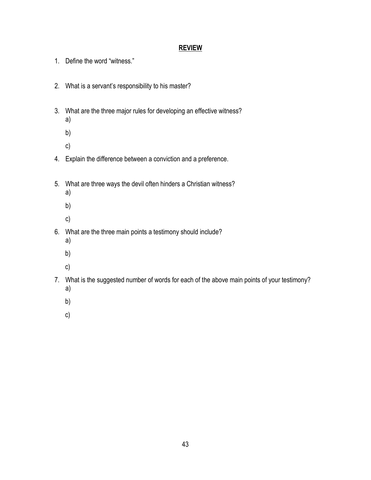- 1. Define the word "witness."
- 2. What is a servant's responsibility to his master?
- 3. What are the three major rules for developing an effective witness? a)
	- b)
	- c)
- 4. Explain the difference between a conviction and a preference.
- 5. What are three ways the devil often hinders a Christian witness?
	- a)
	- b)
	- c)
- 6. What are the three main points a testimony should include?
	- a)
	- b)
	- c)
- 7. What is the suggested number of words for each of the above main points of your testimony? a)
	- b)
	- c)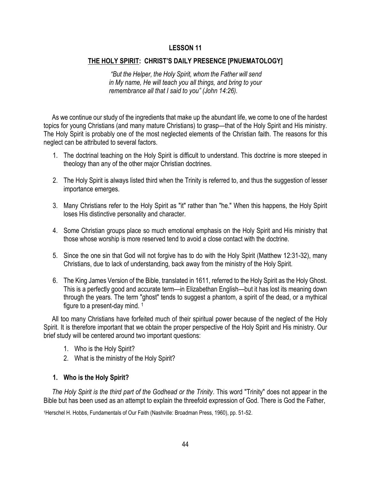#### **THE HOLY SPIRIT: CHRIST'S DAILY PRESENCE [PNUEMATOLOGY]**

*"But the Helper, the Holy Spirit, whom the Father will send in My name, He will teach you all things, and bring to your remembrance all that I said to you" (John 14:26).*

 As we continue our study of the ingredients that make up the abundant life, we come to one of the hardest topics for young Christians (and many mature Christians) to grasp—that of the Holy Spirit and His ministry. The Holy Spirit is probably one of the most neglected elements of the Christian faith. The reasons for this neglect can be attributed to several factors.

- 1. The doctrinal teaching on the Holy Spirit is difficult to understand. This doctrine is more steeped in theology than any of the other major Christian doctrines.
- 2. The Holy Spirit is always listed third when the Trinity is referred to, and thus the suggestion of lesser importance emerges.
- 3. Many Christians refer to the Holy Spirit as "it" rather than "he." When this happens, the Holy Spirit loses His distinctive personality and character.
- 4. Some Christian groups place so much emotional emphasis on the Holy Spirit and His ministry that those whose worship is more reserved tend to avoid a close contact with the doctrine.
- 5. Since the one sin that God will not forgive has to do with the Holy Spirit (Matthew 12:31-32), many Christians, due to lack of understanding, back away from the ministry of the Holy Spirit.
- 6. The King James Version of the Bible, translated in 1611, referred to the Holy Spirit as the Holy Ghost. This is a perfectly good and accurate term—in Elizabethan English—but it has lost its meaning down through the years. The term "ghost" tends to suggest a phantom, a spirit of the dead, or a mythical figure to a present-day mind. <sup>1</sup>

 All too many Christians have forfeited much of their spiritual power because of the neglect of the Holy Spirit. It is therefore important that we obtain the proper perspective of the Holy Spirit and His ministry. Our brief study will be centered around two important questions:

- 1. Who is the Holy Spirit?
- 2. What is the ministry of the Holy Spirit?

#### **1. Who is the Holy Spirit?**

 *The Holy Spirit is the third part of the Godhead or the Trinity*. This word "Trinity" does not appear in the Bible but has been used as an attempt to explain the threefold expression of God. There is God the Father,

1Herschel H. Hobbs, Fundamentals of Our Faith (Nashville: Broadman Press, 1960), pp. 51-52.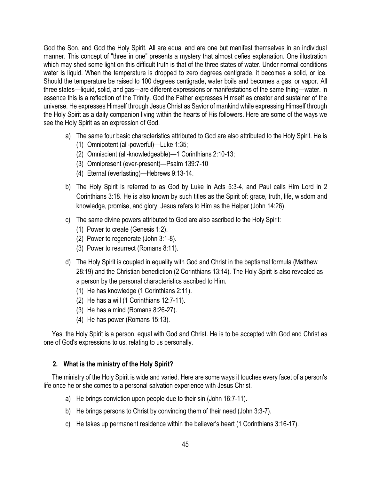God the Son, and God the Holy Spirit. All are equal and are one but manifest themselves in an individual manner. This concept of "three in one" presents a mystery that almost defies explanation. One illustration which may shed some light on this difficult truth is that of the three states of water. Under normal conditions water is liquid. When the temperature is dropped to zero degrees centigrade, it becomes a solid, or ice. Should the temperature be raised to 100 degrees centigrade, water boils and becomes a gas, or vapor. All three states—liquid, solid, and gas—are different expressions or manifestations of the same thing—water. In essence this is a reflection of the Trinity. God the Father expresses Himself as creator and sustainer of the universe. He expresses Himself through Jesus Christ as Savior of mankind while expressing Himself through the Holy Spirit as a daily companion living within the hearts of His followers. Here are some of the ways we see the Holy Spirit as an expression of God.

- a) The same four basic characteristics attributed to God are also attributed to the Holy Spirit. He is
	- (1) Omnipotent (all-powerful)—Luke 1:35;
	- (2) Omniscient (all-knowledgeable)—1 Corinthians 2:10-13;
	- (3) Omnipresent (ever-present)—Psalm 139:7-10
	- (4) Eternal (everlasting)—Hebrews 9:13-14.
- b) The Holy Spirit is referred to as God by Luke in Acts 5:3-4, and Paul calls Him Lord in 2 Corinthians 3:18. He is also known by such titles as the Spirit of: grace, truth, life, wisdom and knowledge, promise, and glory. Jesus refers to Him as the Helper (John 14:26).
- c) The same divine powers attributed to God are also ascribed to the Holy Spirit:
	- (1) Power to create (Genesis 1:2).
	- (2) Power to regenerate (John 3:1-8).
	- (3) Power to resurrect (Romans 8:11).
- d) The Holy Spirit is coupled in equality with God and Christ in the baptismal formula (Matthew 28:19) and the Christian benediction (2 Corinthians 13:14). The Holy Spirit is also revealed as a person by the personal characteristics ascribed to Him.
	- (1) He has knowledge (1 Corinthians 2:11).
	- (2) He has a will (1 Corinthians 12:7-11).
	- (3) He has a mind (Romans 8:26-27).
	- (4) He has power (Romans 15:13).

 Yes, the Holy Spirit is a person, equal with God and Christ. He is to be accepted with God and Christ as one of God's expressions to us, relating to us personally.

## **2. What is the ministry of the Holy Spirit?**

 The ministry of the Holy Spirit is wide and varied. Here are some ways it touches every facet of a person's life once he or she comes to a personal salvation experience with Jesus Christ.

- a) He brings conviction upon people due to their sin (John 16:7-11).
- b) He brings persons to Christ by convincing them of their need (John 3:3-7).
- c) He takes up permanent residence within the believer's heart (1 Corinthians 3:16-17).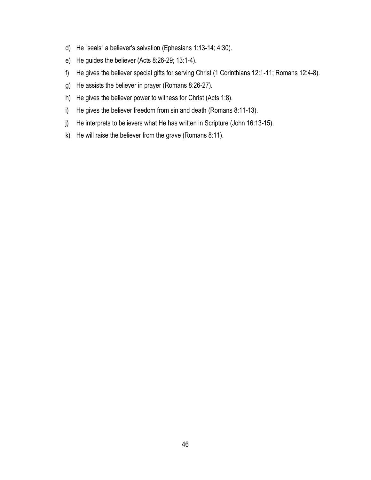- d) He "seals" a believer's salvation (Ephesians 1:13-14; 4:30).
- e) He guides the believer (Acts 8:26-29; 13:1-4).
- f) He gives the believer special gifts for serving Christ (1 Corinthians 12:1-11; Romans 12:4-8).
- g) He assists the believer in prayer (Romans 8:26-27).
- h) He gives the believer power to witness for Christ (Acts 1:8).
- i) He gives the believer freedom from sin and death (Romans 8:11-13).
- j) He interprets to believers what He has written in Scripture (John 16:13-15).
- k) He will raise the believer from the grave (Romans 8:11).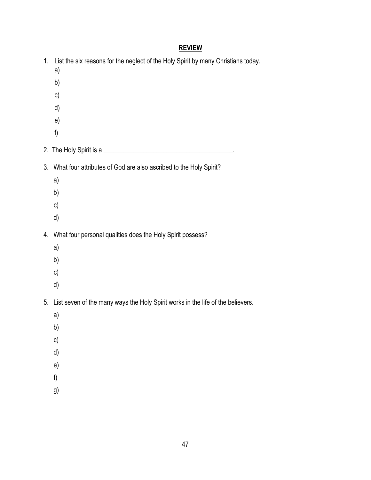| 1. | List the six reasons for the neglect of the Holy Spirit by many Christians today.<br>a)<br>b)<br>c)<br>d)<br>e)<br>f) |
|----|-----------------------------------------------------------------------------------------------------------------------|
|    |                                                                                                                       |
|    |                                                                                                                       |
| 3. | What four attributes of God are also ascribed to the Holy Spirit?                                                     |
|    | a)                                                                                                                    |
|    | b)                                                                                                                    |
|    | c)<br>d)                                                                                                              |
|    | 4. What four personal qualities does the Holy Spirit possess?<br>a)<br>b)<br>c)<br>d)                                 |
|    | 5. List seven of the many ways the Holy Spirit works in the life of the believers.                                    |
|    | a)                                                                                                                    |
|    | b)                                                                                                                    |
|    | c)<br>d)                                                                                                              |
|    | e)                                                                                                                    |
|    | f                                                                                                                     |
|    | g)                                                                                                                    |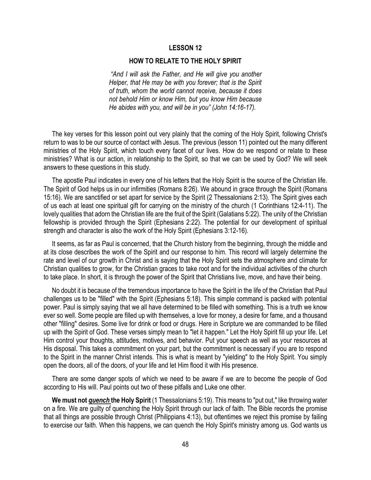#### **HOW TO RELATE TO THE HOLY SPIRIT**

*"And I will ask the Father, and He will give you another Helper, that He may be with you forever; that is the Spirit of truth, whom the world cannot receive, because it does not behold Him or know Him, but you know Him because He abides with you, and will be in you" (John 14:16-17).*

 The key verses for this lesson point out very plainly that the coming of the Holy Spirit, following Christ's return to was to be our source of contact with Jesus. The previous (lesson 11) pointed out the many different ministries of the Holy Spirit, which touch every facet of our lives. How do we respond or relate to these ministries? What is our action, in relationship to the Spirit, so that we can be used by God? We will seek answers to these questions in this study.

 The apostle Paul indicates in every one of his letters that the Holy Spirit is the source of the Christian life. The Spirit of God helps us in our infirmities (Romans 8:26). We abound in grace through the Spirit (Romans 15:16). We are sanctified or set apart for service by the Spirit (2 Thessalonians 2:13). The Spirit gives each of us each at least one spiritual gift for carrying on the ministry of the church (1 Corinthians 12:4-11). The lovely qualities that adorn the Christian life are the fruit of the Spirit (Galatians 5:22). The unity of the Christian fellowship is provided through the Spirit (Ephesians 2:22). The potential for our development of spiritual strength and character is also the work of the Holy Spirit (Ephesians 3:12-16).

 It seems, as far as Paul is concerned, that the Church history from the beginning, through the middle and at its close describes the work of the Spirit and our response to him. This record will largely determine the rate and level of our growth in Christ and is saying that the Holy Spirit sets the atmosphere and climate for Christian qualities to grow, for the Christian graces to take root and for the individual activities of the church to take place. In short, it is through the power of the Spirit that Christians live, move, and have their being.

 No doubt it is because of the tremendous importance to have the Spirit in the life of the Christian that Paul challenges us to be "filled" with the Spirit (Ephesians 5:18). This simple command is packed with potential power. Paul is simply saying that we all have determined to be filled with something. This is a truth we know ever so well. Some people are filled up with themselves, a love for money, a desire for fame, and a thousand other "filling" desires. Some live for drink or food or drugs. Here in Scripture we are commanded to be filled up with the Spirit of God. These verses simply mean to "let it happen." Let the Holy Spirit fill up your life. Let Him control your thoughts, attitudes, motives, and behavior. Put your speech as well as your resources at His disposal. This takes a commitment on your part, but the commitment is necessary if you are to respond to the Spirit in the manner Christ intends. This is what is meant by "yielding" to the Holy Spirit. You simply open the doors, all of the doors, of your life and let Him flood it with His presence.

 There are some danger spots of which we need to be aware if we are to become the people of God according to His will. Paul points out two of these pitfalls and Luke one other.

 **We must not** *quench* **the Holy Spirit** (1 Thessalonians 5:19). This means to "put out," like throwing water on a fire. We are guilty of quenching the Holy Spirit through our lack of faith. The Bible records the promise that all things are possible through Christ (Philippians 4:13), but oftentimes we reject this promise by failing to exercise our faith. When this happens, we can quench the Holy Spirit's ministry among us. God wants us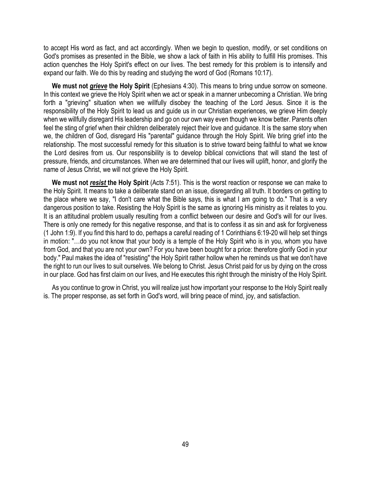to accept His word as fact, and act accordingly. When we begin to question, modify, or set conditions on God's promises as presented in the Bible, we show a lack of faith in His ability to fulfill His promises. This action quenches the Holy Spirit's effect on our lives. The best remedy for this problem is to intensify and expand our faith. We do this by reading and studying the word of God (Romans 10:17).

 **We must not** *grieve* **the Holy Spirit** (Ephesians 4:30). This means to bring undue sorrow on someone. In this context we grieve the Holy Spirit when we act or speak in a manner unbecoming a Christian. We bring forth a "grieving" situation when we willfully disobey the teaching of the Lord Jesus. Since it is the responsibility of the Holy Spirit to lead us and guide us in our Christian experiences, we grieve Him deeply when we willfully disregard His leadership and go on our own way even though we know better. Parents often feel the sting of grief when their children deliberately reject their love and guidance. It is the same story when we, the children of God, disregard His "parental" guidance through the Holy Spirit. We bring grief into the relationship. The most successful remedy for this situation is to strive toward being faithful to what we know the Lord desires from us. Our responsibility is to develop biblical convictions that will stand the test of pressure, friends, and circumstances. When we are determined that our lives will uplift, honor, and glorify the name of Jesus Christ, we will not grieve the Holy Spirit.

 **We must not** *resist* **the Holy Spirit** (Acts 7:51). This is the worst reaction or response we can make to the Holy Spirit. It means to take a deliberate stand on an issue, disregarding all truth. It borders on getting to the place where we say, "I don't care what the Bible says, this is what I am going to do." That is a very dangerous position to take. Resisting the Holy Spirit is the same as ignoring His ministry as it relates to you. It is an attitudinal problem usually resulting from a conflict between our desire and God's will for our lives. There is only one remedy for this negative response, and that is to confess it as sin and ask for forgiveness (1 John 1:9). If you find this hard to do, perhaps a careful reading of 1 Corinthians 6:19-20 will help set things in motion: "…do you not know that your body is a temple of the Holy Spirit who is in you, whom you have from God, and that you are not your own? For you have been bought for a price: therefore glorify God in your body." Paul makes the idea of "resisting" the Holy Spirit rather hollow when he reminds us that we don't have the right to run our lives to suit ourselves. We belong to Christ. Jesus Christ paid for us by dying on the cross in our place. God has first claim on our lives, and He executes this right through the ministry of the Holy Spirit.

 As you continue to grow in Christ, you will realize just how important your response to the Holy Spirit really is. The proper response, as set forth in God's word, will bring peace of mind, joy, and satisfaction.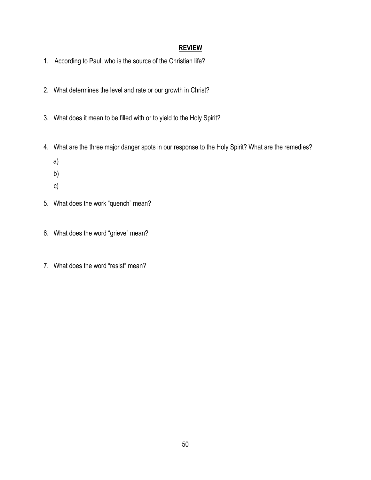- 1. According to Paul, who is the source of the Christian life?
- 2. What determines the level and rate or our growth in Christ?
- 3. What does it mean to be filled with or to yield to the Holy Spirit?
- 4. What are the three major danger spots in our response to the Holy Spirit? What are the remedies?
	- a)
	- b)
	- c)
- 5. What does the work "quench" mean?
- 6. What does the word "grieve" mean?
- 7. What does the word "resist" mean?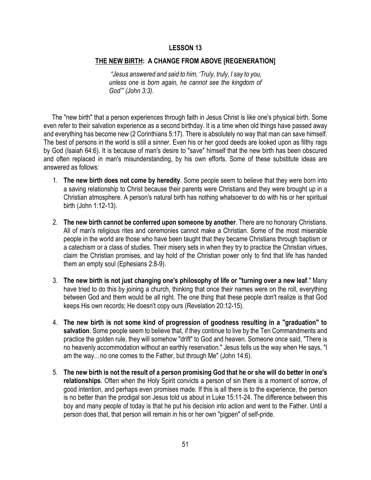#### **THE NEW BIRTH: A CHANGE FROM ABOVE [REGENERATION]**

*"Jesus answered and said to him, 'Truly, truly, I say to you, unless one is born again, he cannot see the kingdom of God'" (John 3:3).*

 The "new birth" that a person experiences through faith in Jesus Christ is like one's physical birth. Some even refer to their salvation experience as a second birthday. It is a time when old things have passed away and everything has become new (2 Corinthians 5:17). There is absolutely no way that man can save himself. The best of persons in the world is still a sinner. Even his or her good deeds are looked upon as filthy rags by God (Isaiah 64:6). It is because of man's desire to "save" himself that the new birth has been obscured and often replaced in man's misunderstanding, by his own efforts. Some of these substitute ideas are answered as follows:

- 1. **The new birth does not come by heredity**. Some people seem to believe that they were born into a saving relationship to Christ because their parents were Christians and they were brought up in a Christian atmosphere. A person's natural birth has nothing whatsoever to do with his or her spiritual birth (John 1:12-13).
- 2. **The new birth cannot be conferred upon someone by another**. There are no honorary Christians. All of man's religious rites and ceremonies cannot make a Christian. Some of the most miserable people in the world are those who have been taught that they became Christians through baptism or a catechism or a class of studies. Their misery sets in when they try to practice the Christian virtues, claim the Christian promises, and lay hold of the Christian power only to find that life has handed them an empty soul (Ephesians 2:8-9).
- 3. **The new birth is not just changing one's philosophy of life or "turning over a new leaf**." Many have tried to do this by joining a church, thinking that once their names were on the roll, everything between God and them would be all right. The one thing that these people don't realize is that God keeps His own records; He doesn't copy ours (Revelation 20:12-15).
- 4. **The new birth is not some kind of progression of goodness resulting in a "graduation" to salvation**. Some people seem to believe that, if they continue to live by the Ten Commandments and practice the golden rule, they will somehow "drift" to God and heaven. Someone once said, "There is no heavenly accommodation without an earthly reservation." Jesus tells us the way when He says, "I am the way…no one comes to the Father, but through Me" (John 14:6).
- 5. **The new birth is not the result of a person promising God that he or she will do better in one's relationships**. Often when the Holy Spirit convicts a person of sin there is a moment of sorrow, of good intention, and perhaps even promises made. If this is all there is to the experience, the person is no better than the prodigal son Jesus told us about in Luke 15:11-24. The difference between this boy and many people of today is that he put his decision into action and went to the Father. Until a person does that, that person will remain in his or her own "pigpen" of self-pride.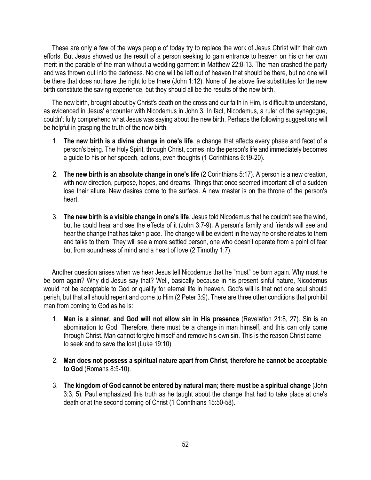These are only a few of the ways people of today try to replace the work of Jesus Christ with their own efforts. But Jesus showed us the result of a person seeking to gain entrance to heaven on his or her own merit in the parable of the man without a wedding garment in Matthew 22:8-13. The man crashed the party and was thrown out into the darkness. No one will be left out of heaven that should be there, but no one will be there that does not have the right to be there (John 1:12). None of the above five substitutes for the new birth constitute the saving experience, but they should all be the results of the new birth.

 The new birth, brought about by Christ's death on the cross and our faith in Him, is difficult to understand, as evidenced in Jesus' encounter with Nicodemus in John 3. In fact, Nicodemus, a ruler of the synagogue, couldn't fully comprehend what Jesus was saying about the new birth. Perhaps the following suggestions will be helpful in grasping the truth of the new birth.

- 1. **The new birth is a divine change in one's life**, a change that affects every phase and facet of a person's being. The Holy Spirit, through Christ, comes into the person's life and immediately becomes a guide to his or her speech, actions, even thoughts (1 Corinthians 6:19-20).
- 2. **The new birth is an absolute change in one's life** (2 Corinthians 5:17). A person is a new creation, with new direction, purpose, hopes, and dreams. Things that once seemed important all of a sudden lose their allure. New desires come to the surface. A new master is on the throne of the person's heart.
- 3. **The new birth is a visible change in one's life**. Jesus told Nicodemus that he couldn't see the wind, but he could hear and see the effects of it (John 3:7-9). A person's family and friends will see and hear the change that has taken place. The change will be evident in the way he or she relates to them and talks to them. They will see a more settled person, one who doesn't operate from a point of fear but from soundness of mind and a heart of love (2 Timothy 1:7).

 Another question arises when we hear Jesus tell Nicodemus that he "must" be born again. Why must he be born again? Why did Jesus say that? Well, basically because in his present sinful nature, Nicodemus would not be acceptable to God or qualify for eternal life in heaven. God's will is that not one soul should perish, but that all should repent and come to Him (2 Peter 3:9). There are three other conditions that prohibit man from coming to God as he is:

- 1. **Man is a sinner, and God will not allow sin in His presence** (Revelation 21:8, 27). Sin is an abomination to God. Therefore, there must be a change in man himself, and this can only come through Christ. Man cannot forgive himself and remove his own sin. This is the reason Christ came to seek and to save the lost (Luke 19:10).
- 2. **Man does not possess a spiritual nature apart from Christ, therefore he cannot be acceptable to God** (Romans 8:5-10).
- 3. **The kingdom of God cannot be entered by natural man; there must be a spiritual change** (John 3:3, 5). Paul emphasized this truth as he taught about the change that had to take place at one's death or at the second coming of Christ (1 Corinthians 15:50-58).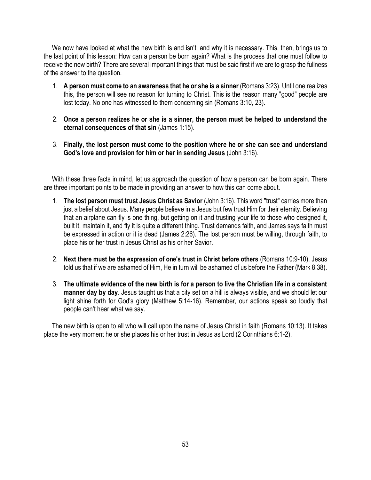We now have looked at what the new birth is and isn't, and why it is necessary. This, then, brings us to the last point of this lesson: How can a person be born again? What is the process that one must follow to receive the new birth? There are several important things that must be said first if we are to grasp the fullness of the answer to the question.

- 1. **A person must come to an awareness that he or she is a sinner** (Romans 3:23). Until one realizes this, the person will see no reason for turning to Christ. This is the reason many "good" people are lost today. No one has witnessed to them concerning sin (Romans 3:10, 23).
- 2. **Once a person realizes he or she is a sinner, the person must be helped to understand the eternal consequences of that sin** (James 1:15).
- 3. **Finally, the lost person must come to the position where he or she can see and understand God's love and provision for him or her in sending Jesus** (John 3:16).

 With these three facts in mind, let us approach the question of how a person can be born again. There are three important points to be made in providing an answer to how this can come about.

- 1. **The lost person must trust Jesus Christ as Savior** (John 3:16). This word "trust" carries more than just a belief about Jesus. Many people believe in a Jesus but few trust Him for their eternity. Believing that an airplane can fly is one thing, but getting on it and trusting your life to those who designed it, built it, maintain it, and fly it is quite a different thing. Trust demands faith, and James says faith must be expressed in action or it is dead (James 2:26). The lost person must be willing, through faith, to place his or her trust in Jesus Christ as his or her Savior.
- 2. **Next there must be the expression of one's trust in Christ before others** (Romans 10:9-10). Jesus told us that if we are ashamed of Him, He in turn will be ashamed of us before the Father (Mark 8:38).
- 3. **The ultimate evidence of the new birth is for a person to live the Christian life in a consistent manner day by day**. Jesus taught us that a city set on a hill is always visible, and we should let our light shine forth for God's glory (Matthew 5:14-16). Remember, our actions speak so loudly that people can't hear what we say.

 The new birth is open to all who will call upon the name of Jesus Christ in faith (Romans 10:13). It takes place the very moment he or she places his or her trust in Jesus as Lord (2 Corinthians 6:1-2).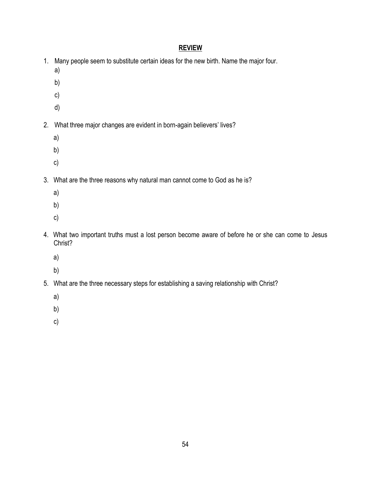- 1. Many people seem to substitute certain ideas for the new birth. Name the major four.
	- a)
	- b)
	- c)
	- d)
- 2. What three major changes are evident in born-again believers' lives?
	- a)
	- b)
	- c)
- 3. What are the three reasons why natural man cannot come to God as he is?
	- a)
	- b)
	- c)
- 4. What two important truths must a lost person become aware of before he or she can come to Jesus Christ?
	- a)
	- b)
- 5. What are the three necessary steps for establishing a saving relationship with Christ?
	- a)
	- b)
	- c)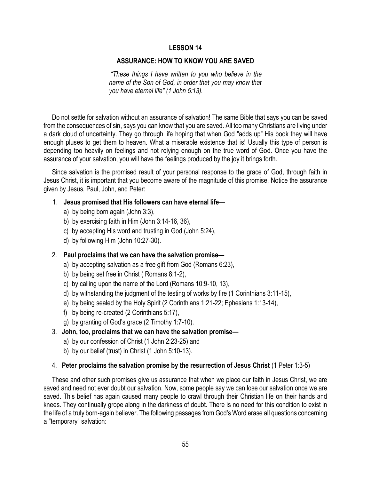#### **ASSURANCE: HOW TO KNOW YOU ARE SAVED**

*"These things I have written to you who believe in the name of the Son of God, in order that you may know that you have eternal life" (1 John 5:13).*

 Do not settle for salvation without an assurance of salvation! The same Bible that says you can be saved from the consequences of sin, says you can know that you are saved. All too many Christians are living under a dark cloud of uncertainty. They go through life hoping that when God "adds up" His book they will have enough pluses to get them to heaven. What a miserable existence that is! Usually this type of person is depending too heavily on feelings and not relying enough on the true word of God. Once you have the assurance of your salvation, you will have the feelings produced by the joy it brings forth.

 Since salvation is the promised result of your personal response to the grace of God, through faith in Jesus Christ, it is important that you become aware of the magnitude of this promise. Notice the assurance given by Jesus, Paul, John, and Peter:

#### 1. **Jesus promised that His followers can have eternal life**—

- a) by being born again (John 3:3),
- b) by exercising faith in Him (John 3:14-16, 36),
- c) by accepting His word and trusting in God (John 5:24),
- d) by following Him (John 10:27-30).

#### 2. **Paul proclaims that we can have the salvation promise—**

- a) by accepting salvation as a free gift from God (Romans 6:23),
- b) by being set free in Christ ( Romans 8:1-2),
- c) by calling upon the name of the Lord (Romans 10:9-10, 13),
- d) by withstanding the judgment of the testing of works by fire (1 Corinthians 3:11-15),
- e) by being sealed by the Holy Spirit (2 Corinthians 1:21-22; Ephesians 1:13-14),
- f) by being re-created (2 Corinthians 5:17),
- g) by granting of God's grace (2 Timothy 1:7-10).
- 3. **John, too, proclaims that we can have the salvation promise**
	- a) by our confession of Christ (1 John 2:23-25) and
	- b) by our belief (trust) in Christ (1 John 5:10-13).

#### 4. **Peter proclaims the salvation promise by the resurrection of Jesus Christ** (1 Peter 1:3-5)

 These and other such promises give us assurance that when we place our faith in Jesus Christ, we are saved and need not ever doubt our salvation. Now, some people say we can lose our salvation once we are saved. This belief has again caused many people to crawl through their Christian life on their hands and knees. They continually grope along in the darkness of doubt. There is no need for this condition to exist in the life of a truly born-again believer. The following passages from God's Word erase all questions concerning a "temporary" salvation: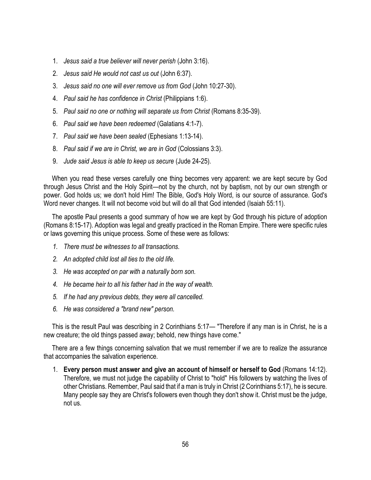- 1. *Jesus said a true believer will never perish* (John 3:16).
- 2. *Jesus said He would not cast us out* (John 6:37).
- 3. *Jesus said no one will ever remove us from God* (John 10:27-30).
- 4. *Paul said he has confidence in Christ* (Philippians 1:6).
- 5. *Paul said no one or nothing will separate us from Christ* (Romans 8:35-39).
- 6. *Paul said we have been redeemed* (Galatians 4:1-7).
- 7. *Paul said we have been sealed* (Ephesians 1:13-14).
- 8. *Paul said if we are in Christ, we are in God* (Colossians 3:3).
- 9. *Jude said Jesus is able to keep us secure* (Jude 24-25).

 When you read these verses carefully one thing becomes very apparent: we are kept secure by God through Jesus Christ and the Holy Spirit—not by the church, not by baptism, not by our own strength or power. God holds us; we don't hold Him! The Bible, God's Holy Word, is our source of assurance. God's Word never changes. It will not become void but will do all that God intended (Isaiah 55:11).

 The apostle Paul presents a good summary of how we are kept by God through his picture of adoption (Romans 8:15-17). Adoption was legal and greatly practiced in the Roman Empire. There were specific rules or laws governing this unique process. Some of these were as follows:

- *1. There must be witnesses to all transactions.*
- *2. An adopted child lost all ties to the old life.*
- *3. He was accepted on par with a naturally born son.*
- *4. He became heir to all his father had in the way of wealth.*
- *5. If he had any previous debts, they were all cancelled.*
- *6. He was considered a "brand new" person.*

 This is the result Paul was describing in 2 Corinthians 5:17— "Therefore if any man is in Christ, he is a new creature; the old things passed away; behold, new things have come."

 There are a few things concerning salvation that we must remember if we are to realize the assurance that accompanies the salvation experience.

1. **Every person must answer and give an account of himself or herself to God** (Romans 14:12). Therefore, we must not judge the capability of Christ to "hold" His followers by watching the lives of other Christians. Remember, Paul said that if a man is truly in Christ (2 Corinthians 5:17), he is secure. Many people say they are Christ's followers even though they don't show it. Christ must be the judge, not us.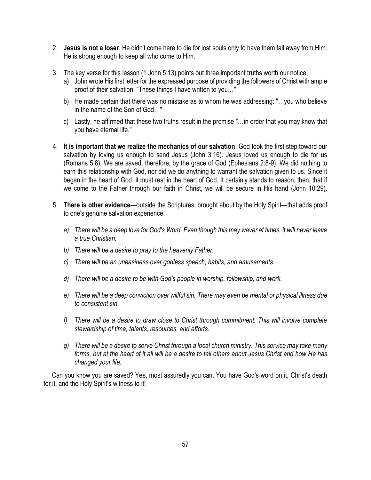- 2. **Jesus is not a loser**. He didn't come here to die for lost souls only to have them fall away from Him. He is strong enough to keep all who come to Him.
- 3. The key verse for this lesson (1 John 5:13) points out three important truths worth our notice.
	- a) John wrote His first letter for the expressed purpose of providing the followers of Christ with ample proof of their salvation: "These things I have written to you…"
	- b) He made certain that there was no mistake as to whom he was addressing: "…you who believe in the name of the Son of God…"
	- c) Lastly, he affirmed that these two truths result in the promise "…in order that you may know that you have eternal life."
- 4. **It is important that we realize the mechanics of our salvation**. God took the first step toward our salvation by loving us enough to send Jesus (John 3:16). Jesus loved us enough to die for us (Romans 5:8). We are saved, therefore, by the grace of God (Ephesians 2:8-9). We did nothing to earn this relationship with God, nor did we do anything to warrant the salvation given to us. Since it began in the heart of God, it must rest in the heart of God. It certainly stands to reason, then, that if we come to the Father through our faith in Christ, we will be secure in His hand (John 10:29).
- 5. **There is other evidence**—outside the Scriptures, brought about by the Holy Spirit—that adds proof to one's genuine salvation experience.
	- *a) There will be a deep love for God's Word. Even though this may waver at times, it will never leave a true Christian.*
	- *b) There will be a desire to pray to the heavenly Father.*
	- *c) There will be an uneasiness over godless speech, habits, and amusements.*
	- *d) There will be a desire to be with God's people in worship, fellowship, and work.*
	- *e) There will be a deep conviction over willful sin. There may even be mental or physical illness due to consistent sin.*
	- *f) There will be a desire to draw close to Christ through commitment. This will involve complete stewardship of time, talents, resources, and efforts.*
	- *g) There will be a desire to serve Christ through a local church ministry. This service may take many forms, but at the heart of it all will be a desire to tell others about Jesus Christ and how He has changed your life.*

 Can you know you are saved? Yes, most assuredly you can. You have God's word on it, Christ's death for it, and the Holy Spirit's witness to it!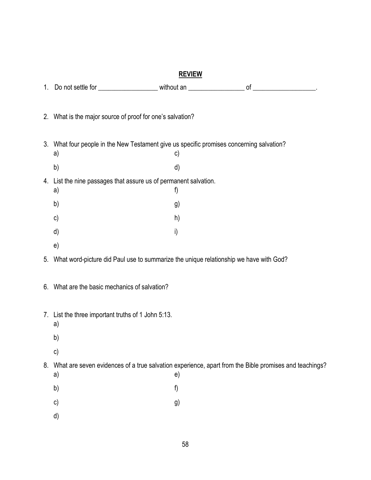| 1. |                                                                                                                |    |  |
|----|----------------------------------------------------------------------------------------------------------------|----|--|
|    | 2. What is the major source of proof for one's salvation?                                                      |    |  |
|    | 3. What four people in the New Testament give us specific promises concerning salvation?<br>a)                 | c) |  |
|    | b)                                                                                                             | d) |  |
|    | 4. List the nine passages that assure us of permanent salvation.                                               |    |  |
|    | a)                                                                                                             | f) |  |
|    | b)                                                                                                             | g) |  |
|    | $\mathsf{c})$                                                                                                  | h) |  |
|    | d)                                                                                                             | i) |  |
|    | e)                                                                                                             |    |  |
| 5. | What word-picture did Paul use to summarize the unique relationship we have with God?                          |    |  |
|    | 6. What are the basic mechanics of salvation?                                                                  |    |  |
|    | 7. List the three important truths of 1 John 5:13.<br>a)                                                       |    |  |
|    | b)                                                                                                             |    |  |
|    | c)                                                                                                             |    |  |
|    | 8. What are seven evidences of a true salvation experience, apart from the Bible promises and teachings?<br>a) | e) |  |
|    | b)                                                                                                             | f) |  |
|    | c)                                                                                                             | g) |  |
|    | d)                                                                                                             |    |  |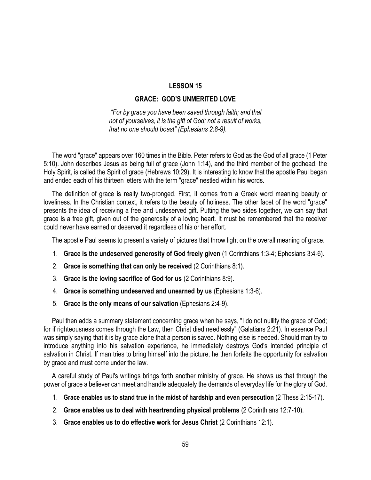#### **GRACE: GOD'S UNMERITED LOVE**

*"For by grace you have been saved through faith; and that not of yourselves, it is the gift of God; not a result of works, that no one should boast" (Ephesians 2:8-9).* 

 The word "grace" appears over 160 times in the Bible. Peter refers to God as the God of all grace (1 Peter 5:10). John describes Jesus as being full of grace (John 1:14), and the third member of the godhead, the Holy Spirit, is called the Spirit of grace (Hebrews 10:29). It is interesting to know that the apostle Paul began and ended each of his thirteen letters with the term "grace" nestled within his words.

 The definition of grace is really two-pronged. First, it comes from a Greek word meaning beauty or loveliness. In the Christian context, it refers to the beauty of holiness. The other facet of the word "grace" presents the idea of receiving a free and undeserved gift. Putting the two sides together, we can say that grace is a free gift, given out of the generosity of a loving heart. It must be remembered that the receiver could never have earned or deserved it regardless of his or her effort.

The apostle Paul seems to present a variety of pictures that throw light on the overall meaning of grace.

- 1. **Grace is the undeserved generosity of God freely given** (1 Corinthians 1:3-4; Ephesians 3:4-6).
- 2. **Grace is something that can only be received** (2 Corinthians 8:1).
- 3. **Grace is the loving sacrifice of God for us** (2 Corinthians 8:9).
- 4. **Grace is something undeserved and unearned by us** (Ephesians 1:3-6).
- 5. **Grace is the only means of our salvation** (Ephesians 2:4-9).

 Paul then adds a summary statement concerning grace when he says, "I do not nullify the grace of God; for if righteousness comes through the Law, then Christ died needlessly" (Galatians 2:21). In essence Paul was simply saying that it is by grace alone that a person is saved. Nothing else is needed. Should man try to introduce anything into his salvation experience, he immediately destroys God's intended principle of salvation in Christ. If man tries to bring himself into the picture, he then forfeits the opportunity for salvation by grace and must come under the law.

 A careful study of Paul's writings brings forth another ministry of grace. He shows us that through the power of grace a believer can meet and handle adequately the demands of everyday life for the glory of God.

- 1. **Grace enables us to stand true in the midst of hardship and even persecution** (2 Thess 2:15-17).
- 2. **Grace enables us to deal with heartrending physical problems** (2 Corinthians 12:7-10).
- 3. **Grace enables us to do effective work for Jesus Christ** (2 Corinthians 12:1).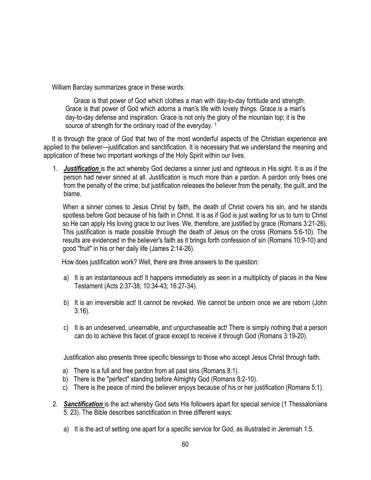William Barclay summarizes grace in these words:

 Grace is that power of God which clothes a man with day-to-day fortitude and strength. Grace is that power of God which adorns a man's life with lovely things. Grace is a man's day-to-day defense and inspiration. Grace is not only the glory of the mountain top; it is the source of strength for the ordinary road of the everyday.<sup>1</sup>

 It is through the grace of God that two of the most wonderful aspects of the Christian experience are applied to the believer—justification and sanctification. It is necessary that we understand the meaning and application of these two important workings of the Holy Spirit within our lives.

1. *Justification* is the act whereby God declares a sinner just and righteous in His sight. It is as if the person had never sinned at all. Justification is much more than a pardon. A pardon only frees one from the penalty of the crime; but justification releases the believer from the penalty, the guilt, and the blame.

When a sinner comes to Jesus Christ by faith, the death of Christ covers his sin, and he stands spotless before God because of his faith in Christ. It is as if God is just waiting for us to turn to Christ so He can apply His loving grace to our lives. We, therefore, are justified by grace (Romans 3:21-26). This justification is made possible through the death of Jesus on the cross (Romans 5:6-10). The results are evidenced in the believer's faith as it brings forth confession of sin (Romans 10:9-10) and good "fruit" in his or her daily life (James 2:14-26).

How does justification work? Well, there are three answers to the question:

- a) It is an instantaneous act! It happens immediately as seen in a multiplicity of places in the New Testament (Acts 2:37-38; 10:34-43; 16:27-34).
- b) It is an irreversible act! It cannot be revoked. We cannot be unborn once we are reborn (John 3:16).
- c) It is an undeserved, unearnable, and unpurchaseable act! There is simply nothing that a person can do to achieve this facet of grace except to receive it through God (Romans 3:19-20).

Justification also presents three specific blessings to those who accept Jesus Christ through faith.

- a) There is a full and free pardon from all past sins (Romans 8:1).
- b) There is the "perfect" standing before Almighty God (Romans 8:2-10).
- c) There is the peace of mind the believer enjoys because of his or her justification (Romans 5:1).
- 2. *Sanctification* is the act whereby God sets His followers apart for special service (1 Thessalonians 5: 23). The Bible describes sanctification in three different ways:
	- a) It is the act of setting one apart for a specific service for God, as illustrated in Jeremiah 1:5.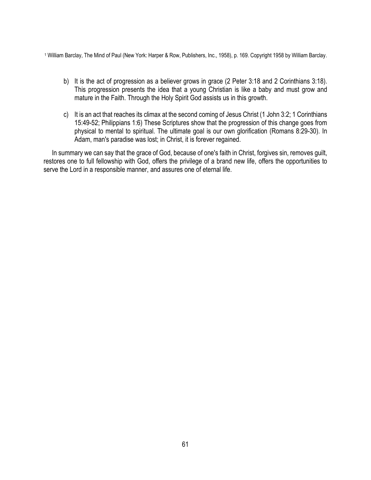<sup>1</sup> William Barclay, The Mind of Paul (New York: Harper & Row, Publishers, Inc., 1958), p. 169. Copyright 1958 by William Barclay.

- b) It is the act of progression as a believer grows in grace (2 Peter 3:18 and 2 Corinthians 3:18). This progression presents the idea that a young Christian is like a baby and must grow and mature in the Faith. Through the Holy Spirit God assists us in this growth.
- c) It is an act that reaches its climax at the second coming of Jesus Christ (1 John 3:2; 1 Corinthians 15:49-52; Philippians 1:6) These Scriptures show that the progression of this change goes from physical to mental to spiritual. The ultimate goal is our own glorification (Romans 8:29-30). In Adam, man's paradise was lost; in Christ, it is forever regained.

 In summary we can say that the grace of God, because of one's faith in Christ, forgives sin, removes guilt, restores one to full fellowship with God, offers the privilege of a brand new life, offers the opportunities to serve the Lord in a responsible manner, and assures one of eternal life.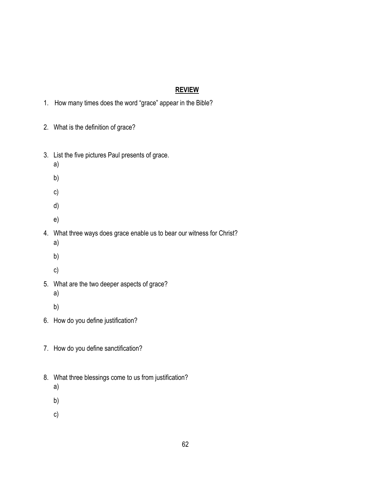- 1. How many times does the word "grace" appear in the Bible?
- 2. What is the definition of grace?
- 3. List the five pictures Paul presents of grace.
	- a)
	- b)
	- c)
	-
	- d)
	- e)
- 4. What three ways does grace enable us to bear our witness for Christ?
	- a)
	- b)
	- c)
- 5. What are the two deeper aspects of grace?
	- a)
	- b)
- 6. How do you define justification?
- 7. How do you define sanctification?
- 8. What three blessings come to us from justification?
	- a)
	- b)
	- c)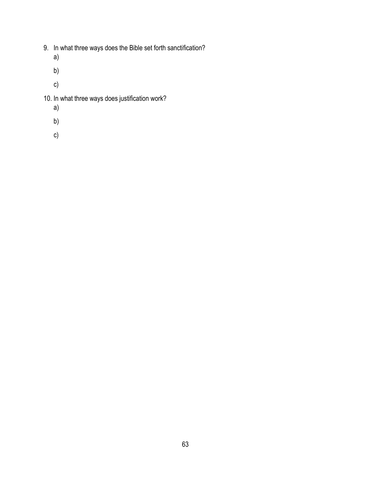- 9. In what three ways does the Bible set forth sanctification?
	- a)
	- b)
	- c)
- 10. In what three ways does justification work?
	- a)
	- b)
	- c)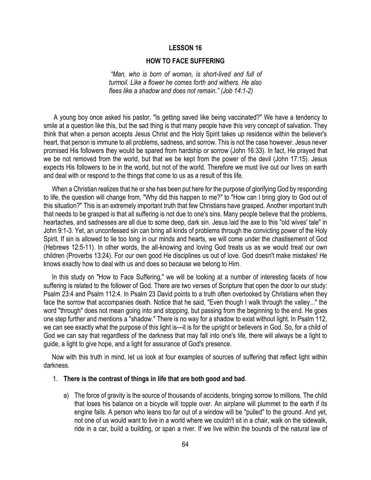#### **HOW TO FACE SUFFERING**

*"Man, who is born of woman, is short-lived and full of turmoil. Like a flower he comes forth and withers. He also flees like a shadow and does not remain." (Job 14:1-2)*

A young boy once asked his pastor, "Is getting saved like being vaccinated?" We have a tendency to smile at a question like this, but the sad thing is that many people have this very concept of salvation. They think that when a person accepts Jesus Christ and the Holy Spirit takes up residence within the believer's heart, that person is immune to all problems, sadness, and sorrow. This is not the case however. Jesus never promised His followers they would be spared from hardship or sorrow (John 16:33). In fact, He prayed that we be not removed from the world, but that we be kept from the power of the devil (John 17:15). Jesus expects His followers to be in the world, but not of the world. Therefore we must live out our lives on earth and deal with or respond to the things that come to us as a result of this life.

 When a Christian realizes that he or she has been put here for the purpose of glorifying God by responding to life, the question will change from, "Why did this happen to me?" to "How can I bring glory to God out of this situation?" This is an extremely important truth that few Christians have grasped. Another important truth that needs to be grasped is that all suffering is not due to one's sins. Many people believe that the problems, heartaches, and sadnesses are all due to some deep, dark sin. Jesus laid the axe to this "old wives' tale" in John 9:1-3. Yet, an unconfessed sin can bring all kinds of problems through the convicting power of the Holy Spirit. If sin is allowed to lie too long in our minds and hearts, we will come under the chastisement of God (Hebrews 12:5-11). In other words, the all-knowing and loving God treats us as we would treat our own children (Proverbs 13:24). For our own good He disciplines us out of love. God doesn't make mistakes! He knows exactly how to deal with us and does so because we belong to Him.

 In this study on "How to Face Suffering," we will be looking at a number of interesting facets of how suffering is related to the follower of God. There are two verses of Scripture that open the door to our study: Psalm 23:4 and Psalm 112:4. In Psalm 23 David points to a truth often overlooked by Christians when they face the sorrow that accompanies death. Notice that he said, "Even though I walk through the valley..." the word "through" does not mean going into and stopping, but passing from the beginning to the end. He goes one step further and mentions a "shadow." There is no way for a shadow to exist without light. In Psalm 112, we can see exactly what the purpose of this light is—it is for the upright or believers in God. So, for a child of God we can say that regardless of the darkness that may fall into one's life, there will always be a light to guide, a light to give hope, and a light for assurance of God's presence.

 Now with this truth in mind, let us look at four examples of sources of suffering that reflect light within darkness.

#### 1. **There is the contrast of things in life that are both good and bad**.

a) The force of gravity is the source of thousands of accidents, bringing sorrow to millions. The child that loses his balance on a bicycle will topple over. An airplane will plummet to the earth if its engine fails. A person who leans too far out of a window will be "pulled" to the ground. And yet, not one of us would want to live in a world where we couldn't sit in a chair, walk on the sidewalk, ride in a car, build a building, or span a river. If we live within the bounds of the natural law of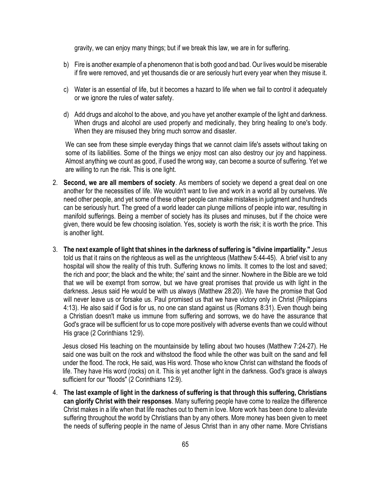gravity, we can enjoy many things; but if we break this law, we are in for suffering.

- b) Fire is another example of a phenomenon that is both good and bad. Our lives would be miserable if fire were removed, and yet thousands die or are seriously hurt every year when they misuse it.
- c) Water is an essential of life, but it becomes a hazard to life when we fail to control it adequately or we ignore the rules of water safety.
- d) Add drugs and alcohol to the above, and you have yet another example of the light and darkness. When drugs and alcohol are used properly and medicinally, they bring healing to one's body. When they are misused they bring much sorrow and disaster.

We can see from these simple everyday things that we cannot claim life's assets without taking on some of its liabilities. Some of the things we enjoy most can also destroy our joy and happiness. Almost anything we count as good, if used the wrong way, can become a source of suffering. Yet we are willing to run the risk. This is one light.

- 2. **Second, we are all members of society**. As members of society we depend a great deal on one another for the necessities of life. We wouldn't want to live and work in a world all by ourselves. We need other people, and yet some of these other people can make mistakes in judgment and hundreds can be seriously hurt. The greed of a world leader can plunge millions of people into war, resulting in manifold sufferings. Being a member of society has its pluses and minuses, but if the choice were given, there would be few choosing isolation. Yes, society is worth the risk; it is worth the price. This is another light.
- 3. **The next example of light that shines in the darkness of suffering is "divine impartiality."** Jesus told us that it rains on the righteous as well as the unrighteous (Matthew 5:44-45). A brief visit to any hospital will show the reality of this truth. Suffering knows no limits. It comes to the lost and saved; the rich and poor; the black and the white; the' saint and the sinner. Nowhere in the Bible are we told that we will be exempt from sorrow, but we have great promises that provide us with light in the darkness. Jesus said He would be with us always (Matthew 28:20). We have the promise that God will never leave us or forsake us. Paul promised us that we have victory only in Christ (Philippians 4:13). He also said if God is for us, no one can stand against us (Romans 8:31). Even though being a Christian doesn't make us immune from suffering and sorrows, we do have the assurance that God's grace will be sufficient for us to cope more positively with adverse events than we could without His grace (2 Corinthians 12:9).

Jesus closed His teaching on the mountainside by telling about two houses (Matthew 7:24-27). He said one was built on the rock and withstood the flood while the other was built on the sand and fell under the flood. The rock, He said, was His word. Those who know Christ can withstand the floods of life. They have His word (rocks) on it. This is yet another light in the darkness. God's grace is always sufficient for our "floods" (2 Corinthians 12:9).

4. **The last example of light in the darkness of suffering is that through this suffering, Christians can glorify Christ with their responses**. Many suffering people have come to realize the difference Christ makes in a life when that life reaches out to them in love. More work has been done to alleviate suffering throughout the world by Christians than by any others. More money has been given to meet the needs of suffering people in the name of Jesus Christ than in any other name. More Christians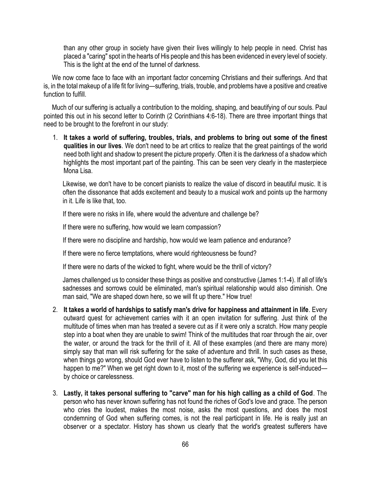than any other group in society have given their lives willingly to help people in need. Christ has placed a "caring" spot in the hearts of His people and this has been evidenced in every level of society. This is the light at the end of the tunnel of darkness.

 We now come face to face with an important factor concerning Christians and their sufferings. And that is, in the total makeup of a life fit for living—suffering, trials, trouble, and problems have a positive and creative function to fulfill.

 Much of our suffering is actually a contribution to the molding, shaping, and beautifying of our souls. Paul pointed this out in his second letter to Corinth (2 Corinthians 4:6-18). There are three important things that need to be brought to the forefront in our study:

1. **It takes a world of suffering, troubles, trials, and problems to bring out some of the finest qualities in our lives**. We don't need to be art critics to realize that the great paintings of the world need both light and shadow to present the picture properly. Often it is the darkness of a shadow which highlights the most important part of the painting. This can be seen very clearly in the masterpiece Mona Lisa.

Likewise, we don't have to be concert pianists to realize the value of discord in beautiful music. It is often the dissonance that adds excitement and beauty to a musical work and points up the harmony in it. Life is like that, too.

If there were no risks in life, where would the adventure and challenge be?

If there were no suffering, how would we learn compassion?

If there were no discipline and hardship, how would we learn patience and endurance?

If there were no fierce temptations, where would righteousness be found?

If there were no darts of the wicked to fight, where would be the thrill of victory?

James challenged us to consider these things as positive and constructive (James 1:1-4). If all of life's sadnesses and sorrows could be eliminated, man's spiritual relationship would also diminish. One man said, "We are shaped down here, so we will fit up there." How true!

- 2. **It takes a world of hardships to satisfy man's drive for happiness and attainment in life**. Every outward quest for achievement carries with it an open invitation for suffering. Just think of the multitude of times when man has treated a severe cut as if it were only a scratch. How many people step into a boat when they are unable to swim! Think of the multitudes that roar through the air, over the water, or around the track for the thrill of it. All of these examples (and there are many more) simply say that man will risk suffering for the sake of adventure and thrill. In such cases as these, when things go wrong, should God ever have to listen to the sufferer ask, "Why, God, did you let this happen to me?" When we get right down to it, most of the suffering we experience is self-induced by choice or carelessness.
- 3. **Lastly, it takes personal suffering to "carve" man for his high calling as a child of God**. The person who has never known suffering has not found the riches of God's love and grace. The person who cries the loudest, makes the most noise, asks the most questions, and does the most condemning of God when suffering comes, is not the real participant in life. He is really just an observer or a spectator. History has shown us clearly that the world's greatest sufferers have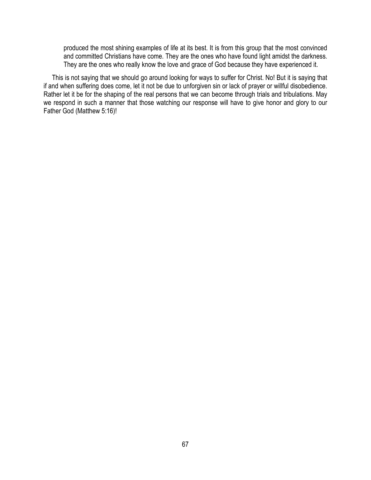produced the most shining examples of life at its best. It is from this group that the most convinced and committed Christians have come. They are the ones who have found light amidst the darkness. They are the ones who really know the love and grace of God because they have experienced it.

 This is not saying that we should go around looking for ways to suffer for Christ. No! But it is saying that if and when suffering does come, let it not be due to unforgiven sin or lack of prayer or willful disobedience. Rather let it be for the shaping of the real persons that we can become through trials and tribulations. May we respond in such a manner that those watching our response will have to give honor and glory to our Father God (Matthew 5:16)!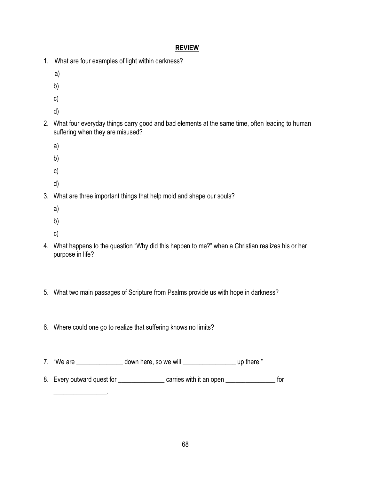- 1. What are four examples of light within darkness?
	- a)
	- b)
	- c)
	- d)
- 2. What four everyday things carry good and bad elements at the same time, often leading to human

suffering when they are misused?

- a)
- 
- b)
- c)
- d)
- 3. What are three important things that help mold and shape our souls?
	- a)
	- b)
	- c)

 $\overline{\phantom{a}}$  ,  $\overline{\phantom{a}}$  ,  $\overline{\phantom{a}}$  ,  $\overline{\phantom{a}}$  ,  $\overline{\phantom{a}}$  ,  $\overline{\phantom{a}}$  ,  $\overline{\phantom{a}}$  ,  $\overline{\phantom{a}}$  ,  $\overline{\phantom{a}}$  ,  $\overline{\phantom{a}}$  ,  $\overline{\phantom{a}}$  ,  $\overline{\phantom{a}}$  ,  $\overline{\phantom{a}}$  ,  $\overline{\phantom{a}}$  ,  $\overline{\phantom{a}}$  ,  $\overline{\phantom{a}}$ 

- 4. What happens to the question "Why did this happen to me?" when a Christian realizes his or her purpose in life?
- 5. What two main passages of Scripture from Psalms provide us with hope in darkness?
- 6. Where could one go to realize that suffering knows no limits?
- 7. "We are \_\_\_\_\_\_\_\_\_\_\_\_\_\_\_\_ down here, so we will \_\_\_\_\_\_\_\_\_\_\_\_\_\_\_\_\_\_\_\_\_\_\_\_\_\_\_\_\_\_ up there."
- 8. Every outward quest for \_\_\_\_\_\_\_\_\_\_\_\_\_\_\_\_ carries with it an open \_\_\_\_\_\_\_\_\_\_\_\_\_\_\_\_\_ for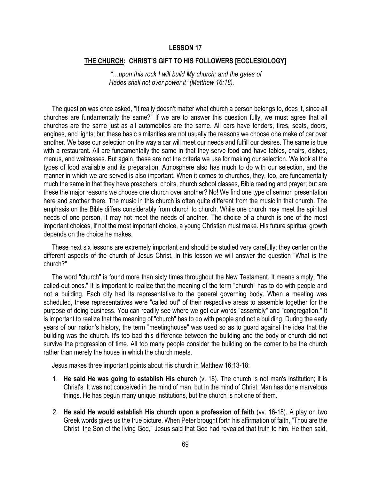#### **THE CHURCH: CHRIST'S GIFT TO HIS FOLLOWERS [ECCLESIOLOGY]**

*"…upon this rock I will build My church; and the gates of Hades shall not over power it" (Matthew 16:18).*

 The question was once asked, "It really doesn't matter what church a person belongs to, does it, since all churches are fundamentally the same?" If we are to answer this question fully, we must agree that all churches are the same just as all automobiles are the same. All cars have fenders, tires, seats, doors, engines, and lights; but these basic similarities are not usually the reasons we choose one make of car over another. We base our selection on the way a car will meet our needs and fulfill our desires. The same is true with a restaurant. All are fundamentally the same in that they serve food and have tables, chairs, dishes, menus, and waitresses. But again, these are not the criteria we use for making our selection. We look at the types of food available and its preparation. Atmosphere also has much to do with our selection, and the manner in which we are served is also important. When it comes to churches, they, too, are fundamentally much the same in that they have preachers, choirs, church school classes, Bible reading and prayer; but are these the major reasons we choose one church over another? No! We find one type of sermon presentation here and another there. The music in this church is often quite different from the music in that church. The emphasis on the Bible differs considerably from church to church. While one church may meet the spiritual needs of one person, it may not meet the needs of another. The choice of a church is one of the most important choices, if not the most important choice, a young Christian must make. His future spiritual growth depends on the choice he makes.

 These next six lessons are extremely important and should be studied very carefully; they center on the different aspects of the church of Jesus Christ. In this lesson we will answer the question "What is the church?"

 The word "church" is found more than sixty times throughout the New Testament. It means simply, "the called-out ones." It is important to realize that the meaning of the term "church" has to do with people and not a building. Each city had its representative to the general governing body. When a meeting was scheduled, these representatives were "called out" of their respective areas to assemble together for the purpose of doing business. You can readily see where we get our words "assembly" and "congregation." It is important to realize that the meaning of "church" has to do with people and not a building. During the early years of our nation's history, the term "meetinghouse" was used so as to guard against the idea that the building was the church. It's too bad this difference between the building and the body or church did not survive the progression of time. All too many people consider the building on the corner to be the church rather than merely the house in which the church meets.

Jesus makes three important points about His church in Matthew 16:13-18:

- 1. **He said He was going to establish His church** (v. 18). The church is not man's institution; it is Christ's. It was not conceived in the mind of man, but in the mind of Christ. Man has done marvelous things. He has begun many unique institutions, but the church is not one of them.
- 2. **He said He would establish His church upon a profession of faith** (vv. 16-18). A play on two Greek words gives us the true picture. When Peter brought forth his affirmation of faith, "Thou are the Christ, the Son of the living God," Jesus said that God had revealed that truth to him. He then said,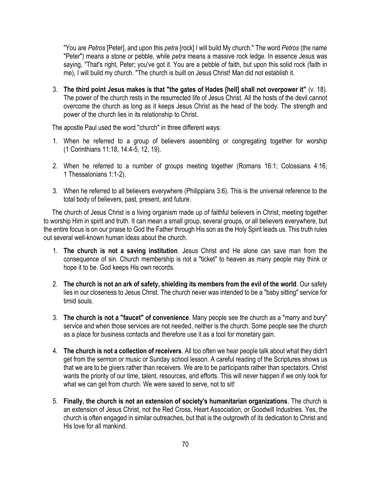"You are *Petros* [Peter], and upon this *petra* [rock] I will build My church." The word *Petros* (the name "Peter") means a stone or pebble, while *petra* means a massive rock ledge. In essence Jesus was saying, "That's right, Peter; you've got it. You are a pebble of faith, but upon this solid rock (faith in me), I will build my church. "The church is built on Jesus Christ! Man did not establish it.

3. **The third point Jesus makes is that "the gates of Hades [hell] shall not overpower it"** (v. 18). The power of the church rests in the resurrected life of Jesus Christ. All the hosts of the devil cannot overcome the church as long as it keeps Jesus Christ as the head of the body. The strength and power of the church lies in its relationship to Christ.

The apostle Paul used the word "church" in three different ways:

- 1. When he referred to a group of believers assembling or congregating together for worship (1 Corinthians 11:18, 14:4-5, 12, 19).
- 2. When he referred to a number of groups meeting together (Romans 16:1; Colossians 4:16; 1 Thessalonians 1:1-2).
- 3. When he referred to all believers everywhere (Philippians 3:6). This is the universal reference to the total body of believers, past, present, and future.

 The church of Jesus Christ is a living organism made up of faithful believers in Christ, meeting together to worship Him in spirit and truth. It can mean a small group, several groups, or all believers everywhere, but the entire focus is on our praise to God the Father through His son as the Holy Spirit leads us. This truth rules out several well-known human ideas about the church.

- 1. **The church is not a saving institution**. Jesus Christ and He alone can save man from the consequence of sin. Church membership is not a "ticket" to heaven as many people may think or hope it to be. God keeps His own records.
- 2. **The church is not an ark of safety, shielding its members from the evil of the world**. Our safety lies in our closeness to Jesus Christ. The church never was intended to be a "baby sitting" service for timid souls.
- 3. **The church is not a "faucet" of convenience**. Many people see the church as a "marry and bury" service and when those services are not needed, neither is the church. Some people see the church as a place for business contacts and therefore use it as a tool for monetary gain.
- 4. **The church is not a collection of receivers**. All too often we hear people talk about what they didn't get from the sermon or music or Sunday school lesson. A careful reading of the Scriptures shows us that we are to be givers rather than receivers. We are to be participants rather than spectators. Christ wants the priority of our time, talent, resources, and efforts. This will never happen if we only look for what we can get from church. We were saved to serve, not to sit!
- 5. **Finally, the church is not an extension of society's humanitarian organizations**. The church is an extension of Jesus Christ, not the Red Cross, Heart Association, or Goodwill Industries. Yes, the church is often engaged in similar outreaches, but that is the outgrowth of its dedication to Christ and His love for all mankind.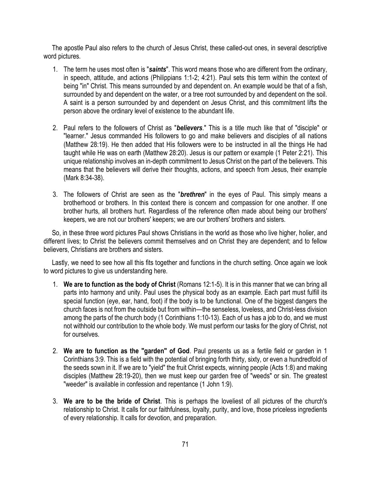The apostle Paul also refers to the church of Jesus Christ, these called-out ones, in several descriptive word pictures.

- 1. The term he uses most often is "*saints*". This word means those who are different from the ordinary, in speech, attitude, and actions (Philippians 1:1-2; 4:21). Paul sets this term within the context of being "in" Christ. This means surrounded by and dependent on. An example would be that of a fish, surrounded by and dependent on the water, or a tree root surrounded by and dependent on the soil. A saint is a person surrounded by and dependent on Jesus Christ, and this commitment lifts the person above the ordinary level of existence to the abundant life.
- 2. Paul refers to the followers of Christ as "*believers*." This is a title much like that of "disciple" or "learner." Jesus commanded His followers to go and make believers and disciples of all nations (Matthew 28:19). He then added that His followers were to be instructed in all the things He had taught while He was on earth (Matthew 28:20). Jesus is our pattern or example (1 Peter 2:21). This unique relationship involves an in-depth commitment to Jesus Christ on the part of the believers. This means that the believers will derive their thoughts, actions, and speech from Jesus, their example (Mark 8:34-38).
- 3. The followers of Christ are seen as the "*brethren*" in the eyes of Paul. This simply means a brotherhood or brothers. In this context there is concern and compassion for one another. If one brother hurts, all brothers hurt. Regardless of the reference often made about being our brothers' keepers, we are not our brothers' keepers; we are our brothers' brothers and sisters.

 So, in these three word pictures Paul shows Christians in the world as those who live higher, holier, and different lives; to Christ the believers commit themselves and on Christ they are dependent; and to fellow believers, Christians are brothers and sisters.

 Lastly, we need to see how all this fits together and functions in the church setting. Once again we look to word pictures to give us understanding here.

- 1. **We are to function as the body of Christ** (Romans 12:1-5). It is in this manner that we can bring all parts into harmony and unity. Paul uses the physical body as an example. Each part must fulfill its special function (eye, ear, hand, foot) if the body is to be functional. One of the biggest dangers the church faces is not from the outside but from within—the senseless, loveless, and Christ-less division among the parts of the church body (1 Corinthians 1:10-13). Each of us has a job to do, and we must not withhold our contribution to the whole body. We must perform our tasks for the glory of Christ, not for ourselves.
- 2. **We are to function as the "garden" of God**. Paul presents us as a fertile field or garden in 1 Corinthians 3:9. This is a field with the potential of bringing forth thirty, sixty, or even a hundredfold of the seeds sown in it. If we are to "yield" the fruit Christ expects, winning people (Acts 1:8) and making disciples (Matthew 28:19-20), then we must keep our garden free of "weeds" or sin. The greatest "weeder" is available in confession and repentance (1 John 1:9).
- 3. **We are to be the bride of Christ**. This is perhaps the loveliest of all pictures of the church's relationship to Christ. It calls for our faithfulness, loyalty, purity, and love, those priceless ingredients of every relationship. It calls for devotion, and preparation.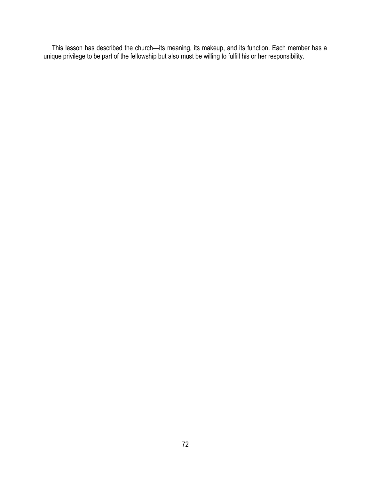This lesson has described the church—its meaning, its makeup, and its function. Each member has a unique privilege to be part of the fellowship but also must be willing to fulfill his or her responsibility.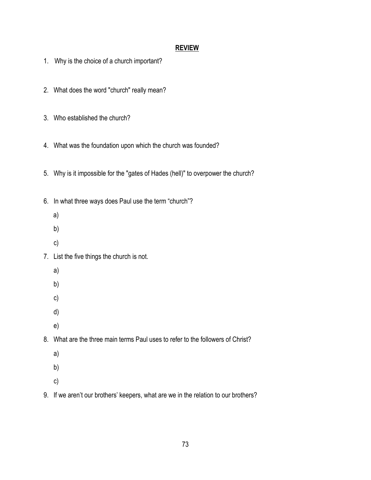- 1. Why is the choice of a church important?
- 2. What does the word "church" really mean?
- 3. Who established the church?
- 4. What was the foundation upon which the church was founded?
- 5. Why is it impossible for the "gates of Hades (hell)" to overpower the church?
- 6. In what three ways does Paul use the term "church"?
	- a)
	- b)
	- c)
- 7. List the five things the church is not.
	- a)
		-
	- b)
	- c)
	- d)
	- e)
- 8. What are the three main terms Paul uses to refer to the followers of Christ?
	- a)
	- b)
	- c)
- 9. If we aren't our brothers' keepers, what are we in the relation to our brothers?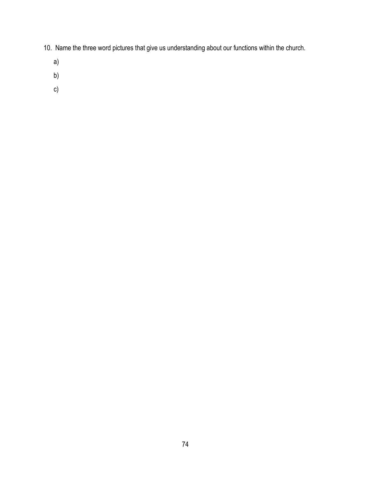- 10. Name the three word pictures that give us understanding about our functions within the church.
	- a)
	- b)
	- c)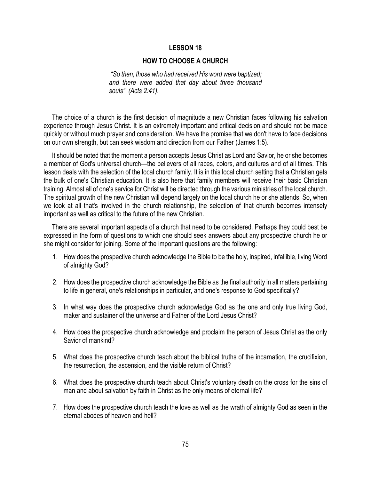### **HOW TO CHOOSE A CHURCH**

*"So then, those who had received His word were baptized; and there were added that day about three thousand souls" (Acts 2:41).*

 The choice of a church is the first decision of magnitude a new Christian faces following his salvation experience through Jesus Christ. It is an extremely important and critical decision and should not be made quickly or without much prayer and consideration. We have the promise that we don't have to face decisions on our own strength, but can seek wisdom and direction from our Father (James 1:5).

 It should be noted that the moment a person accepts Jesus Christ as Lord and Savior, he or she becomes a member of God's universal church—the believers of all races, colors, and cultures and of all times. This lesson deals with the selection of the local church family. It is in this local church setting that a Christian gets the bulk of one's Christian education. It is also here that family members will receive their basic Christian training. Almost all of one's service for Christ will be directed through the various ministries of the local church. The spiritual growth of the new Christian will depend largely on the local church he or she attends. So, when we look at all that's involved in the church relationship, the selection of that church becomes intensely important as well as critical to the future of the new Christian.

 There are several important aspects of a church that need to be considered. Perhaps they could best be expressed in the form of questions to which one should seek answers about any prospective church he or she might consider for joining. Some of the important questions are the following:

- 1. How does the prospective church acknowledge the Bible to be the holy, inspired, infallible, living Word of almighty God?
- 2. How does the prospective church acknowledge the Bible as the final authority in all matters pertaining to life in general, one's relationships in particular, and one's response to God specifically?
- 3. In what way does the prospective church acknowledge God as the one and only true living God, maker and sustainer of the universe and Father of the Lord Jesus Christ?
- 4. How does the prospective church acknowledge and proclaim the person of Jesus Christ as the only Savior of mankind?
- 5. What does the prospective church teach about the biblical truths of the incarnation, the crucifixion, the resurrection, the ascension, and the visible return of Christ?
- 6. What does the prospective church teach about Christ's voluntary death on the cross for the sins of man and about salvation by faith in Christ as the only means of eternal life?
- 7. How does the prospective church teach the love as well as the wrath of almighty God as seen in the eternal abodes of heaven and hell?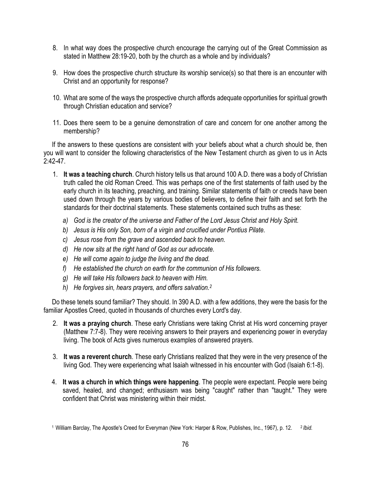- 8. In what way does the prospective church encourage the carrying out of the Great Commission as stated in Matthew 28:19-20, both by the church as a whole and by individuals?
- 9. How does the prospective church structure its worship service(s) so that there is an encounter with Christ and an opportunity for response?
- 10. What are some of the ways the prospective church affords adequate opportunities for spiritual growth through Christian education and service?
- 11. Does there seem to be a genuine demonstration of care and concern for one another among the membership?

 If the answers to these questions are consistent with your beliefs about what a church should be, then you will want to consider the following characteristics of the New Testament church as given to us in Acts 2:42-47.

- 1. **It was a teaching church**. Church history tells us that around 100 A.D. there was a body of Christian truth called the old Roman Creed. This was perhaps one of the first statements of faith used by the early church in its teaching, preaching, and training. Similar statements of faith or creeds have been used down through the years by various bodies of believers, to define their faith and set forth the standards for their doctrinal statements. These statements contained such truths as these:
	- *a) God is the creator of the universe and Father of the Lord Jesus Christ and Holy Spirit.*
	- *b) Jesus is His only Son, born of a virgin and crucified under Pontius Pilate.*
	- *c) Jesus rose from the grave and ascended back to heaven.*
	- *d) He now sits at the right hand of God as our advocate.*
	- *e) He will come again to judge the living and the dead.*
	- *f) He established the church on earth for the communion of His followers.*
	- *g) He will take His followers back to heaven with Him.*
	- *h) He forgives sin, hears prayers, and offers salvation.<sup>2</sup>*

 Do these tenets sound familiar? They should. In 390 A.D. with a few additions, they were the basis for the familiar Apostles Creed, quoted in thousands of churches every Lord's day.

- 2. **It was a praying church**. These early Christians were taking Christ at His word concerning prayer (Matthew 7:7-8). They were receiving answers to their prayers and experiencing power in everyday living. The book of Acts gives numerous examples of answered prayers.
- 3. **It was a reverent church**. These early Christians realized that they were in the very presence of the living God. They were experiencing what Isaiah witnessed in his encounter with God (Isaiah 6:1-8).
- 4. **It was a church in which things were happening**. The people were expectant. People were being saved, healed, and changed; enthusiasm was being "caught" rather than "taught." They were confident that Christ was ministering within their midst.

<sup>1</sup> William Barclay, The Apostle's Creed for Everyman (New York: Harper & Row, Publishes, Inc., 1967), p. 12. 2 *Ibid.*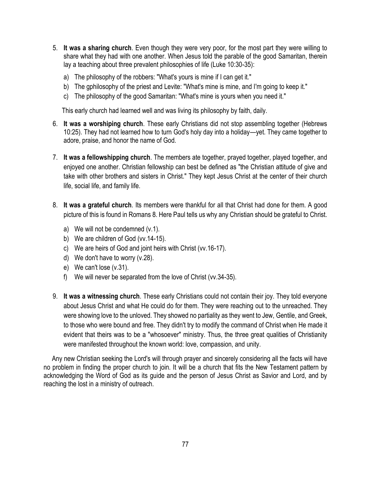- 5. **It was a sharing church**. Even though they were very poor, for the most part they were willing to share what they had with one another. When Jesus told the parable of the good Samaritan, therein lay a teaching about three prevalent philosophies of life (Luke 10:30-35):
	- a) The philosophy of the robbers: "What's yours is mine if I can get it."
	- b) The gphilosophy of the priest and Levite: "What's mine is mine, and I'm going to keep it."
	- c) The philosophy of the good Samaritan: "What's mine is yours when you need it."

This early church had learned well and was living its philosophy by faith, daily.

- 6. **It was a worshiping church**. These early Christians did not stop assembling together (Hebrews 10:25). They had not learned how to turn God's holy day into a holiday—yet. They came together to adore, praise, and honor the name of God.
- 7. **It was a fellowshipping church**. The members ate together, prayed together, played together, and enjoyed one another. Christian fellowship can best be defined as "the Christian attitude of give and take with other brothers and sisters in Christ." They kept Jesus Christ at the center of their church life, social life, and family life.
- 8. **It was a grateful church**. Its members were thankful for all that Christ had done for them. A good picture of this is found in Romans 8. Here Paul tells us why any Christian should be grateful to Christ.
	- a) We will not be condemned (v.1).
	- b) We are children of God (vv.14-15).
	- c) We are heirs of God and joint heirs with Christ (vv.16-17).
	- d) We don't have to worry (v.28).
	- e) We can't lose (v.31).
	- f) We will never be separated from the love of Christ (vv.34-35).
- 9. **It was a witnessing church**. These early Christians could not contain their joy. They told everyone about Jesus Christ and what He could do for them. They were reaching out to the unreached. They were showing love to the unloved. They showed no partiality as they went to Jew, Gentile, and Greek, to those who were bound and free. They didn't try to modify the command of Christ when He made it evident that theirs was to be a "whosoever" ministry. Thus, the three great qualities of Christianity were manifested throughout the known world: love, compassion, and unity.

 Any new Christian seeking the Lord's will through prayer and sincerely considering all the facts will have no problem in finding the proper church to join. It will be a church that fits the New Testament pattern by acknowledging the Word of God as its guide and the person of Jesus Christ as Savior and Lord, and by reaching the lost in a ministry of outreach.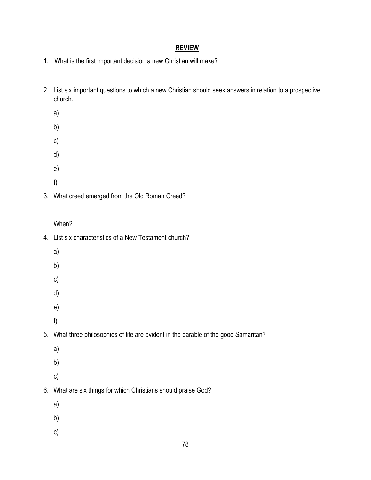- 1. What is the first important decision a new Christian will make?
- 2. List six important questions to which a new Christian should seek answers in relation to a prospective church.
	- a)
	- b)
	-
	- c) d)
	-
	- e)
	- f)
- 3. What creed emerged from the Old Roman Creed?

# When?

78 4. List six characteristics of a New Testament church? a) b) c) d) e) f) 5. What three philosophies of life are evident in the parable of the good Samaritan? a) b) c) 6. What are six things for which Christians should praise God? a) b) c)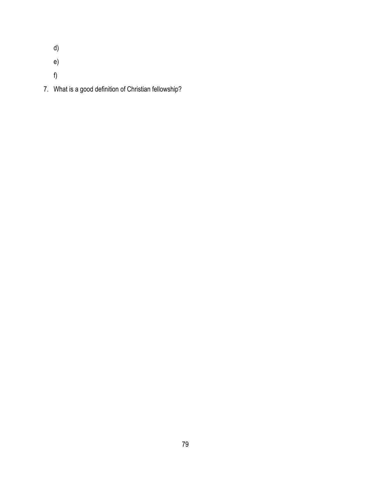d)

e)

f)

7. What is a good definition of Christian fellowship?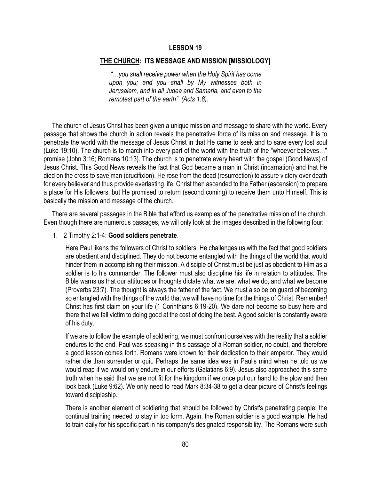### **THE CHURCH: ITS MESSAGE AND MISSION [MISSIOLOGY]**

*"…you shall receive power when the Holy Spirit has come upon you; and you shall by My witnesses both in Jerusalem, and in all Judea and Samaria, and even to the remotest part of the earth" (Acts 1:8).*

 The church of Jesus Christ has been given a unique mission and message to share with the world. Every passage that shows the church in action reveals the penetrative force of its mission and message. It is to penetrate the world with the message of Jesus Christ in that He came to seek and to save every lost soul (Luke 19:10). The church is to march into every part of the world with the truth of the "whoever believes…" promise (John 3:16; Romans 10:13). The church is to penetrate every heart with the gospel (Good News) of Jesus Christ. This Good News reveals the fact that God became a man in Christ (incarnation) and that He died on the cross to save man (crucifixion). He rose from the dead (resurrection) to assure victory over death for every believer and thus provide everlasting life. Christ then ascended to the Father (ascension) to prepare a place for His followers, but He promised to return (second coming) to receive them unto Himself. This is basically the mission and message of the church.

 There are several passages in the Bible that afford us examples of the penetrative mission of the church. Even though there are numerous passages, we will only look at the images described in the following four:

#### 1. 2 Timothy 2:1-4: **Good soldiers penetrate**.

Here Paul likens the followers of Christ to soldiers. He challenges us with the fact that good soldiers are obedient and disciplined. They do not become entangled with the things of the world that would hinder them in accomplishing their mission. A disciple of Christ must be just as obedient to Him as a soldier is to his commander. The follower must also discipline his life in relation to attitudes. The Bible warns us that our attitudes or thoughts dictate what we are, what we do, and what we become (Proverbs 23:7). The thought is always the father of the fact. We must also be on guard of becoming so entangled with the things of the world that we will have no time for the things of Christ. Remember! Christ has first claim on your life (1 Corinthians 6:19-20). We dare not become so busy here and there that we fall victim to doing good at the cost of doing the best. A good soldier is constantly aware of his duty.

If we are to follow the example of soldiering, we must confront ourselves with the reality that a soldier endures to the end. Paul was speaking in this passage of a Roman soldier, no doubt, and therefore a good lesson comes forth. Romans were known for their dedication to their emperor. They would rather die than surrender or quit. Perhaps the same idea was in Paul's mind when he told us we would reap if we would only endure in our efforts (Galatians 6:9). Jesus also approached this same truth when he said that we are not fit for the kingdom if we once put our hand to the plow and then look back (Luke 9:62). We only need to read Mark 8:34-38 to get a clear picture of Christ's feelings toward discipleship.

There is another element of soldiering that should be followed by Christ's penetrating people: the continual training needed to stay in top form. Again, the Roman soldier is a good example. He had to train daily for his specific part in his company's designated responsibility. The Romans were such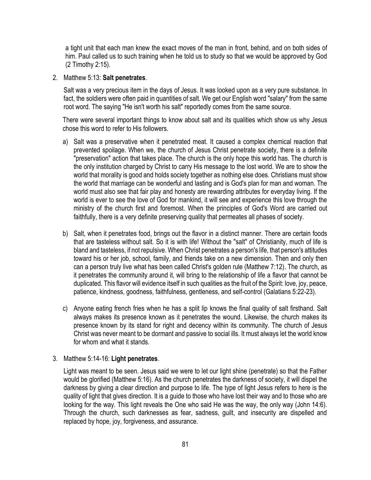a tight unit that each man knew the exact moves of the man in front, behind, and on both sides of him. Paul called us to such training when he told us to study so that we would be approved by God (2 Timothy 2:15).

### 2. Matthew 5:13: **Salt penetrates**.

Salt was a very precious item in the days of Jesus. It was looked upon as a very pure substance. In fact, the soldiers were often paid in quantities of salt. We get our English word "salary" from the same root word. The saying "He isn't worth his salt" reportedly comes from the same source.

There were several important things to know about salt and its qualities which show us why Jesus chose this word to refer to His followers.

- a) Salt was a preservative when it penetrated meat. It caused a complex chemical reaction that prevented spoilage. When we, the church of Jesus Christ penetrate society, there is a definite "preservation" action that takes place. The church is the only hope this world has. The church is the only institution charged by Christ to carry His message to the lost world. We are to show the world that morality is good and holds society together as nothing else does. Christians must show the world that marriage can be wonderful and lasting and is God's plan for man and woman. The world must also see that fair play and honesty are rewarding attributes for everyday living. If the world is ever to see the love of God for mankind, it will see and experience this love through the ministry of the church first and foremost. When the principles of God's Word are carried out faithfully, there is a very definite preserving quality that permeates all phases of society.
- b) Salt, when it penetrates food, brings out the flavor in a distinct manner. There are certain foods that are tasteless without salt. So it is with life! Without the "salt" of Christianity, much of life is bland and tasteless, if not repulsive. When Christ penetrates a person's life, that person's attitudes toward his or her job, school, family, and friends take on a new dimension. Then and only then can a person truly live what has been called Christ's golden rule (Matthew 7:12). The church, as it penetrates the community around it, will bring to the relationship of life a flavor that cannot be duplicated. This flavor will evidence itself in such qualities as the fruit of the Spirit: love, joy, peace, patience, kindness, goodness, faithfulness, gentleness, and self-control (Galatians 5:22-23).
- c) Anyone eating french fries when he has a split lip knows the final quality of salt firsthand. Salt always makes its presence known as it penetrates the wound. Likewise, the church makes its presence known by its stand for right and decency within its community. The church of Jesus Christ was never meant to be dormant and passive to social ills. It must always let the world know for whom and what it stands.

## 3. Matthew 5:14-16: **Light penetrates**.

Light was meant to be seen. Jesus said we were to let our light shine (penetrate) so that the Father would be glorified (Matthew 5:16). As the church penetrates the darkness of society, it will dispel the darkness by giving a clear direction and purpose to life. The type of light Jesus refers to here is the quality of light that gives direction. It is a guide to those who have lost their way and to those who are looking for the way. This light reveals the One who said He was the way, the only way (John 14:6). Through the church, such darknesses as fear, sadness, guilt, and insecurity are dispelled and replaced by hope, joy, forgiveness, and assurance.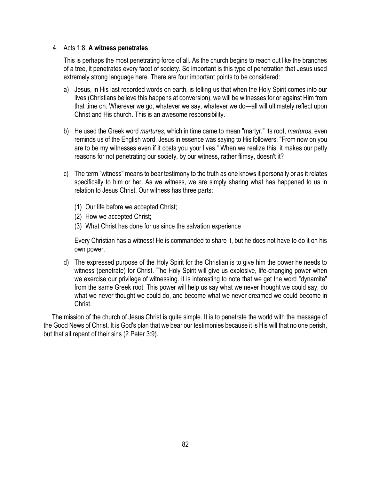### 4. Acts 1:8: **A witness penetrates**.

This is perhaps the most penetrating force of all. As the church begins to reach out like the branches of a tree, it penetrates every facet of society. So important is this type of penetration that Jesus used extremely strong language here. There are four important points to be considered:

- a) Jesus, in His last recorded words on earth, is telling us that when the Holy Spirit comes into our lives (Christians believe this happens at conversion), we will be witnesses for or against Him from that time on. Wherever we go, whatever we say, whatever we do—all will ultimately reflect upon Christ and His church. This is an awesome responsibility.
- b) He used the Greek word *martures*, which in time came to mean "martyr." Its root, *marturos*, even reminds us of the English word. Jesus in essence was saying to His followers, "From now on you are to be my witnesses even if it costs you your lives." When we realize this, it makes our petty reasons for not penetrating our society, by our witness, rather flimsy, doesn't it?
- c) The term "witness" means to bear testimony to the truth as one knows it personally or as it relates specifically to him or her. As we witness, we are simply sharing what has happened to us in relation to Jesus Christ. Our witness has three parts:
	- (1) Our life before we accepted Christ;
	- (2) How we accepted Christ;
	- (3) What Christ has done for us since the salvation experience

Every Christian has a witness! He is commanded to share it, but he does not have to do it on his own power.

d) The expressed purpose of the Holy Spirit for the Christian is to give him the power he needs to witness (penetrate) for Christ. The Holy Spirit will give us explosive, life-changing power when we exercise our privilege of witnessing. It is interesting to note that we get the word "dynamite" from the same Greek root. This power will help us say what we never thought we could say, do what we never thought we could do, and become what we never dreamed we could become in Christ.

 The mission of the church of Jesus Christ is quite simple. It is to penetrate the world with the message of the Good News of Christ. It is God's plan that we bear our testimonies because it is His will that no one perish, but that all repent of their sins (2 Peter 3:9).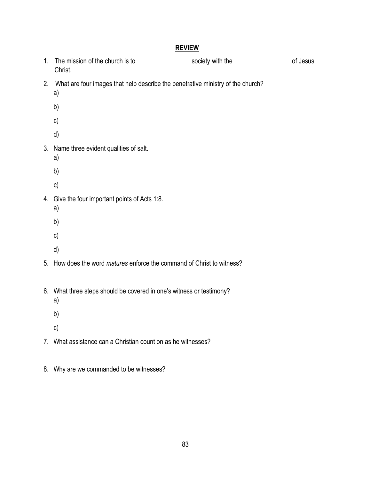- 1. The mission of the church is to \_\_\_\_\_\_\_\_\_\_\_\_\_\_\_\_\_\_\_\_ society with the \_\_\_\_\_\_\_\_\_\_\_\_\_\_\_\_\_\_\_\_\_\_ of Jesus Christ.
- 2. What are four images that help describe the penetrative ministry of the church?
	- a)
	- b)
	- c)
	- d)
- 3. Name three evident qualities of salt.
	- a)
	- b)
	- c)
- 4. Give the four important points of Acts 1:8.
	- a)
	- b)
	- c)
	- d)
- 5. How does the word *matures* enforce the command of Christ to witness?
- 6. What three steps should be covered in one's witness or testimony?
	- a)
	- b)
	- c)
- 7. What assistance can a Christian count on as he witnesses?
- 8. Why are we commanded to be witnesses?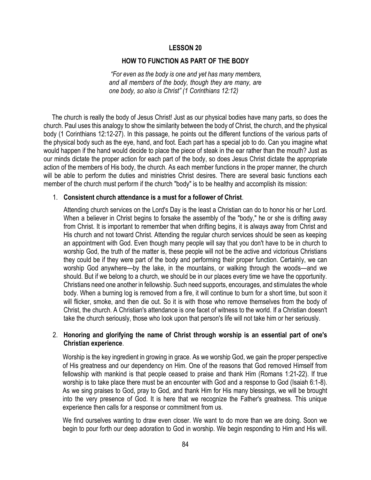### **HOW TO FUNCTION AS PART OF THE BODY**

*"For even as the body is one and yet has many members, and all members of the body, though they are many, are one body, so also is Christ" (1 Corinthians 12:12)*

 The church is really the body of Jesus Christ! Just as our physical bodies have many parts, so does the church. Paul uses this analogy to show the similarity between the body of Christ, the church, and the physical body (1 Corinthians 12:12-27). In this passage, he points out the different functions of the various parts of the physical body such as the eye, hand, and foot. Each part has a special job to do. Can you imagine what would happen if the hand would decide to place the piece of steak in the ear rather than the mouth? Just as our minds dictate the proper action for each part of the body, so does Jesus Christ dictate the appropriate action of the members of His body, the church. As each member functions in the proper manner, the church will be able to perform the duties and ministries Christ desires. There are several basic functions each member of the church must perform if the church "body" is to be healthy and accomplish its mission:

## 1. **Consistent church attendance is a must for a follower of Christ**.

Attending church services on the Lord's Day is the least a Christian can do to honor his or her Lord. When a believer in Christ begins to forsake the assembly of the "body," he or she is drifting away from Christ. It is important to remember that when drifting begins, it is always away from Christ and His church and not toward Christ. Attending the regular church services should be seen as keeping an appointment with God. Even though many people will say that you don't have to be in church to worship God, the truth of the matter is, these people will not be the active and victorious Christians they could be if they were part of the body and performing their proper function. Certainly, we can worship God anywhere—by the lake, in the mountains, or walking through the woods—and we should. But if we belong to a church, we should be in our places every time we have the opportunity. Christians need one another in fellowship. Such need supports, encourages, and stimulates the whole body. When a burning log is removed from a fire, it will continue to burn for a short time, but soon it will flicker, smoke, and then die out. So it is with those who remove themselves from the body of Christ, the church. A Christian's attendance is one facet of witness to the world. If a Christian doesn't take the church seriously, those who look upon that person's life will not take him or her seriously.

# 2. **Honoring and glorifying the name of Christ through worship is an essential part of one's Christian experience**.

Worship is the key ingredient in growing in grace. As we worship God, we gain the proper perspective of His greatness and our dependency on Him. One of the reasons that God removed Himself from fellowship with mankind is that people ceased to praise and thank Him (Romans 1:21-22). If true worship is to take place there must be an encounter with God and a response to God (Isaiah 6:1-8). As we sing praises to God, pray to God, and thank Him for His many blessings, we will be brought into the very presence of God. It is here that we recognize the Father's greatness. This unique experience then calls for a response or commitment from us.

We find ourselves wanting to draw even closer. We want to do more than we are doing. Soon we begin to pour forth our deep adoration to God in worship. We begin responding to Him and His will.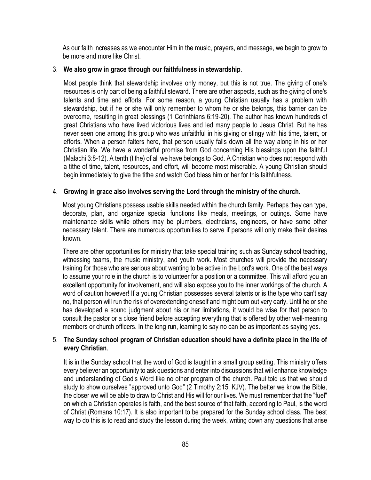As our faith increases as we encounter Him in the music, prayers, and message, we begin to grow to be more and more like Christ.

## 3. **We also grow in grace through our faithfulness in stewardship**.

Most people think that stewardship involves only money, but this is not true. The giving of one's resources is only part of being a faithful steward. There are other aspects, such as the giving of one's talents and time and efforts. For some reason, a young Christian usually has a problem with stewardship, but if he or she will only remember to whom he or she belongs, this barrier can be overcome, resulting in great blessings (1 Corinthians 6:19-20). The author has known hundreds of great Christians who have lived victorious lives and led many people to Jesus Christ. But he has never seen one among this group who was unfaithful in his giving or stingy with his time, talent, or efforts. When a person falters here, that person usually falls down all the way along in his or her Christian life. We have a wonderful promise from God concerning His blessings upon the faithful (Malachi 3:8-12). A tenth (tithe) of all we have belongs to God. A Christian who does not respond with a tithe of time, talent, resources, and effort, will become most miserable. A young Christian should begin immediately to give the tithe and watch God bless him or her for this faithfulness.

## 4. **Growing in grace also involves serving the Lord through the ministry of the church**.

Most young Christians possess usable skills needed within the church family. Perhaps they can type, decorate, plan, and organize special functions like meals, meetings, or outings. Some have maintenance skills while others may be plumbers, electricians, engineers, or have some other necessary talent. There are numerous opportunities to serve if persons will only make their desires known.

There are other opportunities for ministry that take special training such as Sunday school teaching, witnessing teams, the music ministry, and youth work. Most churches will provide the necessary training for those who are serious about wanting to be active in the Lord's work. One of the best ways to assume your role in the church is to volunteer for a position or a committee. This will afford you an excellent opportunity for involvement, and will also expose you to the inner workings of the church. A word of caution however! If a young Christian possesses several talents or is the type who can't say no, that person will run the risk of overextending oneself and might burn out very early. Until he or she has developed a sound judgment about his or her limitations, it would be wise for that person to consult the pastor or a close friend before accepting everything that is offered by other well-meaning members or church officers. In the long run, learning to say no can be as important as saying yes.

# 5. **The Sunday school program of Christian education should have a definite place in the life of every Christian**.

It is in the Sunday school that the word of God is taught in a small group setting. This ministry offers every believer an opportunity to ask questions and enter into discussions that will enhance knowledge and understanding of God's Word like no other program of the church. Paul told us that we should study to show ourselves "approved unto God" (2 Timothy 2:15, KJV). The better we know the Bible, the closer we will be able to draw to Christ and His will for our lives. We must remember that the "fuel" on which a Christian operates is faith, and the best source of that faith, according to Paul, is the word of Christ (Romans 10:17). It is also important to be prepared for the Sunday school class. The best way to do this is to read and study the lesson during the week, writing down any questions that arise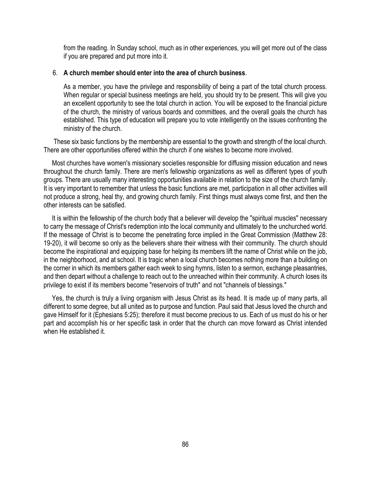from the reading. In Sunday school, much as in other experiences, you will get more out of the class if you are prepared and put more into it.

### 6. **A church member should enter into the area of church business**.

As a member, you have the privilege and responsibility of being a part of the total church process. When regular or special business meetings are held, you should try to be present. This will give you an excellent opportunity to see the total church in action. You will be exposed to the financial picture of the church, the ministry of various boards and committees, and the overall goals the church has established. This type of education will prepare you to vote intelligently on the issues confronting the ministry of the church.

 These six basic functions by the membership are essential to the growth and strength of the local church. There are other opportunities offered within the church if one wishes to become more involved.

 Most churches have women's missionary societies responsible for diffusing mission education and news throughout the church family. There are men's fellowship organizations as well as different types of youth groups. There are usually many interesting opportunities available in relation to the size of the church family. It is very important to remember that unless the basic functions are met, participation in all other activities will not produce a strong, heal thy, and growing church family. First things must always come first, and then the other interests can be satisfied.

 It is within the fellowship of the church body that a believer will develop the "spiritual muscles" necessary to carry the message of Christ's redemption into the local community and ultimately to the unchurched world. If the message of Christ is to become the penetrating force implied in the Great Commission (Matthew 28: 19-20), it will become so only as the believers share their witness with their community. The church should become the inspirational and equipping base for helping its members lift the name of Christ while on the job, in the neighborhood, and at school. It is tragic when a local church becomes nothing more than a building on the corner in which its members gather each week to sing hymns, listen to a sermon, exchange pleasantries, and then depart without a challenge to reach out to the unreached within their community. A church loses its privilege to exist if its members become "reservoirs of truth" and not "channels of blessings."

 Yes, the church is truly a living organism with Jesus Christ as its head. It is made up of many parts, all different to some degree, but all united as to purpose and function. Paul said that Jesus loved the church and gave Himself for it (Ephesians 5:25); therefore it must become precious to us. Each of us must do his or her part and accomplish his or her specific task in order that the church can move forward as Christ intended when He established it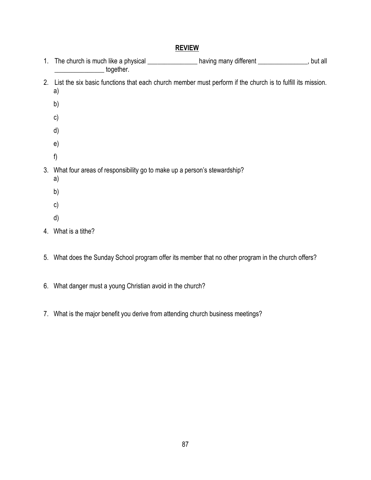|  | 1. The church is much like a physical ___________________having many different _______________, but all<br>together. |  |
|--|----------------------------------------------------------------------------------------------------------------------|--|
|  | 2. List the six basic functions that each church member must perform if the church is to fulfill its mission.<br>a)  |  |
|  | b)                                                                                                                   |  |
|  | $\mathsf{c})$                                                                                                        |  |
|  | d)                                                                                                                   |  |
|  | e)                                                                                                                   |  |
|  | f)                                                                                                                   |  |
|  | 3. What four areas of responsibility go to make up a person's stewardship?<br>a)                                     |  |
|  | b)                                                                                                                   |  |
|  | $\mathsf{c})$                                                                                                        |  |
|  | d)                                                                                                                   |  |
|  | $\cdots$<br>$\cdots$                                                                                                 |  |

- 4. What is a tithe?
- 5. What does the Sunday School program offer its member that no other program in the church offers?
- 6. What danger must a young Christian avoid in the church?
- 7. What is the major benefit you derive from attending church business meetings?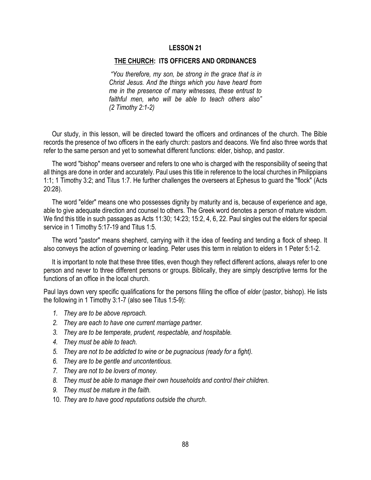### **THE CHURCH: ITS OFFICERS AND ORDINANCES**

*"You therefore, my son, be strong in the grace that is in Christ Jesus. And the things which you have heard from me in the presence of many witnesses, these entrust to faithful men, who will be able to teach others also" (2 Timothy 2:1-2)*

 Our study, in this lesson, will be directed toward the officers and ordinances of the church. The Bible records the presence of two officers in the early church: pastors and deacons. We find also three words that refer to the same person and yet to somewhat different functions: elder, bishop, and pastor.

 The word "bishop" means overseer and refers to one who is charged with the responsibility of seeing that all things are done in order and accurately. Paul uses this title in reference to the local churches in Philippians 1:1; 1 Timothy 3:2; and Titus 1:7. He further challenges the overseers at Ephesus to guard the "flock" (Acts 20:28).

 The word "elder" means one who possesses dignity by maturity and is, because of experience and age, able to give adequate direction and counsel to others. The Greek word denotes a person of mature wisdom. We find this title in such passages as Acts 11:30; 14:23; 15:2, 4, 6, 22. Paul singles out the elders for special service in 1 Timothy 5:17-19 and Titus 1:5.

 The word "pastor" means shepherd, carrying with it the idea of feeding and tending a flock of sheep. It also conveys the action of governing or leading. Peter uses this term in relation to elders in 1 Peter 5:1-2.

 It is important to note that these three titles, even though they reflect different actions, always refer to one person and never to three different persons or groups. Biblically, they are simply descriptive terms for the functions of an office in the local church.

Paul lays down very specific qualifications for the persons filling the office of *elder* (pastor, bishop). He lists the following in 1 Timothy 3:1-7 (also see Titus 1:5-9):

- *1. They are to be above reproach.*
- *2. They are each to have one current marriage partner.*
- *3. They are to be temperate, prudent, respectable, and hospitable.*
- *4. They must be able to teach.*
- *5. They are not to be addicted to wine or be pugnacious (ready for a fight).*
- *6. They are to be gentle and uncontentious.*
- *7. They are not to be lovers of money.*
- *8. They must be able to manage their own households and control their children.*
- *9. They must be mature in the faith.*
- 10. *They are to have good reputations outside the church*.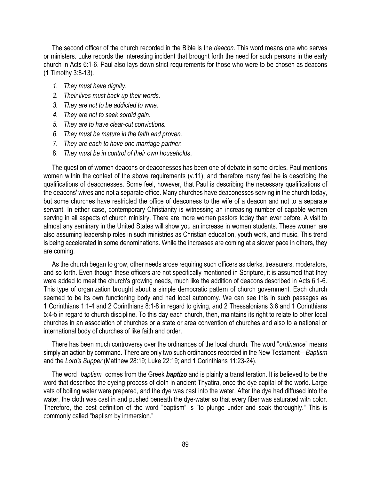The second officer of the church recorded in the Bible is the *deacon*. This word means one who serves or ministers. Luke records the interesting incident that brought forth the need for such persons in the early church in Acts 6:1-6. Paul also lays down strict requirements for those who were to be chosen as deacons (1 Timothy 3:8-13).

- *1. They must have dignity.*
- *2. Their lives must back up their words.*
- *3. They are not to be addicted to wine.*
- *4. They are not to seek sordid gain.*
- *5. They are to have clear-cut convictions.*
- *6. They must be mature in the faith and proven.*
- *7. They are each to have one marriage partner.*
- 8. *They must be in control of their own households*.

 The question of women deacons or deaconesses has been one of debate in some circles. Paul mentions women within the context of the above requirements (v.11), and therefore many feel he is describing the qualifications of deaconesses. Some feel, however, that Paul is describing the necessary qualifications of the deacons' wives and not a separate office. Many churches have deaconesses serving in the church today, but some churches have restricted the office of deaconess to the wife of a deacon and not to a separate servant. In either case, contemporary Christianity is witnessing an increasing number of capable women serving in all aspects of church ministry. There are more women pastors today than ever before. A visit to almost any seminary in the United States will show you an increase in women students. These women are also assuming leadership roles in such ministries as Christian education, youth work, and music. This trend is being accelerated in some denominations. While the increases are coming at a slower pace in others, they are coming.

 As the church began to grow, other needs arose requiring such officers as clerks, treasurers, moderators, and so forth. Even though these officers are not specifically mentioned in Scripture, it is assumed that they were added to meet the church's growing needs, much like the addition of deacons described in Acts 6:1-6. This type of organization brought about a simple democratic pattern of church government. Each church seemed to be its own functioning body and had local autonomy. We can see this in such passages as 1 Corinthians 1:1-4 and 2 Corinthians 8:1-8 in regard to giving, and 2 Thessalonians 3:6 and 1 Corinthians 5:4-5 in regard to church discipline. To this day each church, then, maintains its right to relate to other local churches in an association of churches or a state or area convention of churches and also to a national or international body of churches of like faith and order.

 There has been much controversy over the ordinances of the local church. The word "*ordinance*" means simply an action by command. There are only two such ordinances recorded in the New Testament—*Baptism* and the *Lord's Supper* (Matthew 28:19; Luke 22:19; and 1 Corinthians 11:23-24).

 The word "*baptism*" comes from the Greek *baptizo* and is plainly a transliteration. It is believed to be the word that described the dyeing process of cloth in ancient Thyatira, once the dye capital of the world. Large vats of boiling water were prepared, and the dye was cast into the water. After the dye had diffused into the water, the cloth was cast in and pushed beneath the dye-water so that every fiber was saturated with color. Therefore, the best definition of the word "baptism" is "to plunge under and soak thoroughly." This is commonly called "baptism by immersion."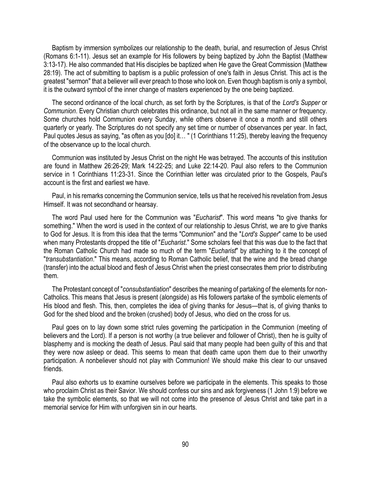Baptism by immersion symbolizes our relationship to the death, burial, and resurrection of Jesus Christ (Romans 6:1-11). Jesus set an example for His followers by being baptized by John the Baptist (Matthew 3:13-17). He also commanded that His disciples be baptized when He gave the Great Commission (Matthew 28:19). The act of submitting to baptism is a public profession of one's faith in Jesus Christ. This act is the greatest "sermon" that a believer will ever preach to those who look on. Even though baptism is only a symbol, it is the outward symbol of the inner change of masters experienced by the one being baptized.

 The second ordinance of the local church, as set forth by the Scriptures, is that of the *Lord's Supper* or *Communion*. Every Christian church celebrates this ordinance, but not all in the same manner or frequency. Some churches hold Communion every Sunday, while others observe it once a month and still others quarterly or yearly. The Scriptures do not specify any set time or number of observances per year. In fact, Paul quotes Jesus as saying, "as often as you [do] it… " (1 Corinthians 11:25), thereby leaving the frequency of the observance up to the local church.

 Communion was instituted by Jesus Christ on the night He was betrayed. The accounts of this institution are found in Matthew 26:26-29; Mark 14:22-25; and Luke 22:14-20. Paul also refers to the Communion service in 1 Corinthians 11:23-31. Since the Corinthian letter was circulated prior to the Gospels, Paul's account is the first and earliest we have.

 Paul, in his remarks concerning the Communion service, tells us that he received his revelation from Jesus Himself. It was not secondhand or hearsay.

 The word Paul used here for the Communion was "*Eucharist*". This word means "to give thanks for something." When the word is used in the context of our relationship to Jesus Christ, we are to give thanks to God for Jesus. It is from this idea that the terms "Communion" and the "*Lord's Supper*" came to be used when many Protestants dropped the title of "*Eucharist*." Some scholars feel that this was due to the fact that the Roman Catholic Church had made so much of the term "*Eucharist*" by attaching to it the concept of "*transubstantiation*." This means, according to Roman Catholic belief, that the wine and the bread change (transfer) into the actual blood and flesh of Jesus Christ when the priest consecrates them prior to distributing them.

 The Protestant concept of "*consubstantiation*" describes the meaning of partaking of the elements for non-Catholics. This means that Jesus is present (alongside) as His followers partake of the symbolic elements of His blood and flesh. This, then, completes the idea of giving thanks for Jesus—that is, of giving thanks to God for the shed blood and the broken (crushed) body of Jesus, who died on the cross for us.

 Paul goes on to lay down some strict rules governing the participation in the Communion (meeting of believers and the Lord). If a person is not worthy (a true believer and follower of Christ), then he is guilty of blasphemy and is mocking the death of Jesus. Paul said that many people had been guilty of this and that they were now asleep or dead. This seems to mean that death came upon them due to their unworthy participation. A nonbeliever should not play with Communion! We should make this clear to our unsaved friends.

 Paul also exhorts us to examine ourselves before we participate in the elements. This speaks to those who proclaim Christ as their Savior. We should confess our sins and ask forgiveness (1 John 1:9) before we take the symbolic elements, so that we will not come into the presence of Jesus Christ and take part in a memorial service for Him with unforgiven sin in our hearts.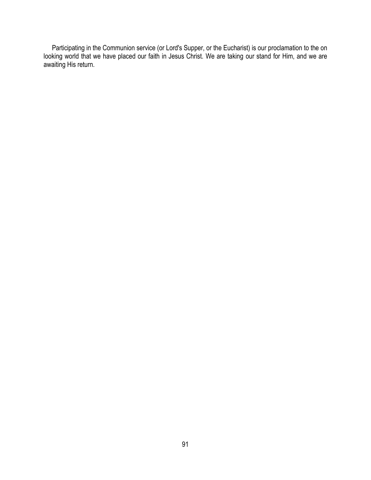Participating in the Communion service (or Lord's Supper, or the Eucharist) is our proclamation to the on looking world that we have placed our faith in Jesus Christ. We are taking our stand for Him, and we are awaiting His return.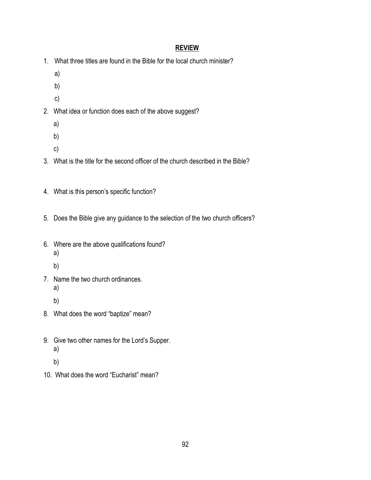- 1. What three titles are found in the Bible for the local church minister?
	- a)
	- b)
	- c)
- 2. What idea or function does each of the above suggest?
	- a)
	- b)
	- c)
- 3. What is the title for the second officer of the church described in the Bible?
- 4. What is this person's specific function?
- 5. Does the Bible give any guidance to the selection of the two church officers?
- 6. Where are the above qualifications found? a)
	- b)
- 7. Name the two church ordinances. a)
	- b)
- 8. What does the word "baptize" mean?
- 9. Give two other names for the Lord's Supper. a)
	- b)
- 10. What does the word "Eucharist" mean?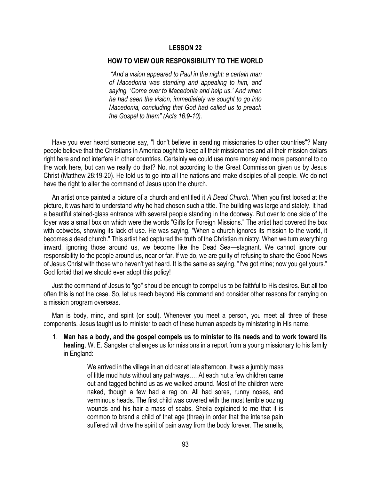#### **HOW TO VIEW OUR RESPONSIBILITY TO THE WORLD**

*"And a vision appeared to Paul in the night: a certain man of Macedonia was standing and appealing to him, and saying, 'Come over to Macedonia and help us.' And when he had seen the vision, immediately we sought to go into Macedonia, concluding that God had called us to preach the Gospel to them" (Acts 16:9-10).*

 Have you ever heard someone say, "I don't believe in sending missionaries to other countries"? Many people believe that the Christians in America ought to keep all their missionaries and all their mission dollars right here and not interfere in other countries. Certainly we could use more money and more personnel to do the work here, but can we really do that? No, not according to the Great Commission given us by Jesus Christ (Matthew 28:19-20). He told us to go into all the nations and make disciples of all people. We do not have the right to alter the command of Jesus upon the church.

 An artist once painted a picture of a church and entitled it *A Dead Church*. When you first looked at the picture, it was hard to understand why he had chosen such a title. The building was large and stately. It had a beautiful stained-glass entrance with several people standing in the doorway. But over to one side of the foyer was a small box on which were the words "Gifts for Foreign Missions." The artist had covered the box with cobwebs, showing its lack of use. He was saying, "When a church ignores its mission to the world, it becomes a dead church." This artist had captured the truth of the Christian ministry. When we turn everything inward, ignoring those around us, we become like the Dead Sea—stagnant. We cannot ignore our responsibility to the people around us, near or far. If we do, we are guilty of refusing to share the Good News of Jesus Christ with those who haven't yet heard. It is the same as saying, "I've got mine; now you get yours." God forbid that we should ever adopt this policy!

 Just the command of Jesus to "go" should be enough to compel us to be faithful to His desires. But all too often this is not the case. So, let us reach beyond His command and consider other reasons for carrying on a mission program overseas.

 Man is body, mind, and spirit (or soul). Whenever you meet a person, you meet all three of these components. Jesus taught us to minister to each of these human aspects by ministering in His name.

1. **Man has a body, and the gospel compels us to minister to its needs and to work toward its healing**. W. E. Sangster challenges us for missions in a report from a young missionary to his family in England:

> We arrived in the village in an old car at late afternoon. It was a jumbly mass of little mud huts without any pathways…. At each hut a few children came out and tagged behind us as we walked around. Most of the children were naked, though a few had a rag on. All had sores, runny noses, and verminous heads. The first child was covered with the most terrible oozing wounds and his hair a mass of scabs. Sheila explained to me that it is common to brand a child of that age (three) in order that the intense pain suffered will drive the spirit of pain away from the body forever. The smells,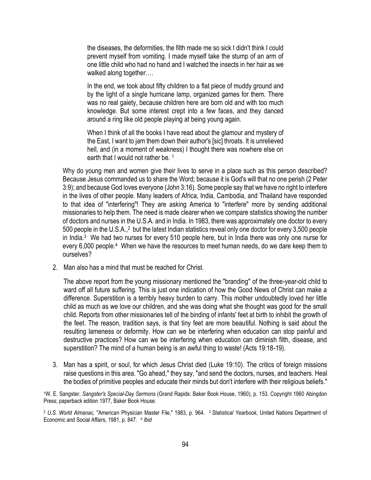the diseases, the deformities, the filth made me so sick I didn't think I could prevent myself from vomiting. I made myself take the stump of an arm of one little child who had no hand and I watched the insects in her hair as we walked along together….

In the end, we took about fifty children to a flat piece of muddy ground and by the light of a single hurricane lamp, organized games for them. There was no real gaiety, because children here are born old and with too much knowledge. But some interest crept into a few faces, and they danced around a ring like old people playing at being young again.

When I think of all the books I have read about the glamour and mystery of the East, I want to jam them down their author's [sic] throats. It is unrelieved hell, and (in a moment of weakness) I thought there was nowhere else on earth that I would not rather be. 1

Why do young men and women give their lives to serve in a place such as this person described? Because Jesus commanded us to share the Word; because it is God's will that no one perish (2 Peter 3:9); and because God loves everyone (John 3:16). Some people say that we have no right to interfere in the lives of other people. Many leaders of Africa, India, Cambodia, and Thailand have responded to that idea of "interfering"! They are asking America to "interfere" more by sending additional missionaries to help them. The need is made clearer when we compare statistics showing the number of doctors and nurses in the U.S.A. and in India. In 1983, there was approximately one doctor to every 500 people in the U.S.A.,<sup>2</sup> but the latest Indian statistics reveal only one doctor for every 3,500 people in India.<sup>3</sup> We had two nurses for every 510 people here, but in India there was only one nurse for every 6,000 people.<sup>4</sup> When we have the resources to meet human needs, do we dare keep them to ourselves?

2. Man also has a mind that must be reached for Christ.

The above report from the young missionary mentioned the "branding" of the three-year-old child to ward off all future suffering. This is just one indication of how the Good News of Christ can make a difference. Superstition is a terribly heavy burden to carry. This mother undoubtedly loved her little child as much as we love our children, and she was doing what she thought was good for the small child. Reports from other missionaries tell of the binding of infants' feet at birth to inhibit the growth of the feet. The reason, tradition says, is that tiny feet are more beautiful. Nothing is said about the resulting lameness or deformity. How can we be interfering when education can stop painful and destructive practices? How can we be interfering when education can diminish filth, disease, and superstition? The mind of a human being is an awful thing to waste! (Acts 19:18-19).

3. Man has a spirit, or soul, for which Jesus Christ died (Luke 19:10). The critics of foreign missions raise questions in this area. "Go ahead," they say, "and send the doctors, nurses, and teachers. Heal the bodies of primitive peoples and educate their minds but don't interfere with their religious beliefs."

<sup>1</sup>W. E. Sangster, *Sangster's Special-Day Sermons* (Grand Rapids: Baker Book House, 1960), p. 153. Copyright 1960 Abingdon Press; paperback edition 1977, Baker Book House.

<sup>2</sup> *U.S. World Almanac,* "American Physician Master File," 1983, p. 964. <sup>3</sup> *Statistical Yearbook*, United Nations Department of Economic and Social Affairs, 1981, p. 847. <sup>4</sup> *Ibid*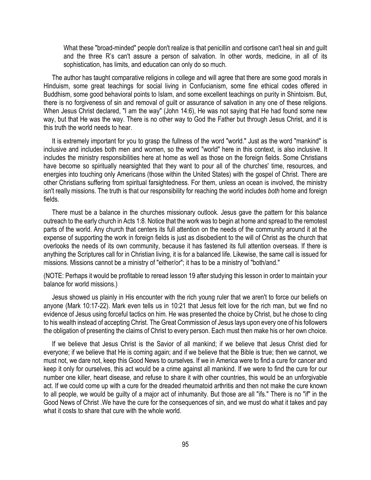What these "broad-minded" people don't realize is that penicillin and cortisone can't heal sin and guilt and the three R's can't assure a person of salvation. In other words, medicine, in all of its sophistication, has limits, and education can only do so much.

 The author has taught comparative religions in college and will agree that there are some good morals in Hinduism, some great teachings for social living in Confucianism, some fine ethical codes offered in Buddhism, some good behavioral points to Islam, and some excellent teachings on purity in Shintoism. But, there is no forgiveness of sin and removal of guilt or assurance of salvation in any one of these religions. When Jesus Christ declared, "I am the way" (John 14:6), He was not saying that He had found some new way, but that He was the way. There is no other way to God the Father but through Jesus Christ, and it is this truth the world needs to hear.

 It is extremely important for you to grasp the fullness of the word "world." Just as the word "mankind" is inclusive and includes both men and women, so the word "world" here in this context, is also inclusive. It includes the ministry responsibilities here at home as well as those on the foreign fields. Some Christians have become so spiritually nearsighted that they want to pour all of the churches' time, resources, and energies into touching only Americans (those within the United States) with the gospel of Christ. There are other Christians suffering from spiritual farsightedness. For them, unless an ocean is involved, the ministry isn't really missions. The truth is that our responsibility for reaching the world includes *both* home and foreign fields.

 There must be a balance in the churches missionary outlook. Jesus gave the pattern for this balance outreach to the early church in Acts 1:8. Notice that the work was to begin at home and spread to the remotest parts of the world. Any church that centers its full attention on the needs of the community around it at the expense of supporting the work in foreign fields is just as disobedient to the will of Christ as the church that overlooks the needs of its own community, because it has fastened its full attention overseas. If there is anything the Scriptures call for in Christian living, it is for a balanced life. Likewise, the same call is issued for missions. Missions cannot be a ministry of "either/or"; it has to be a ministry of "both/and."

(NOTE: Perhaps it would be profitable to reread lesson 19 after studying this lesson in order to maintain your balance for world missions.)

 Jesus showed us plainly in His encounter with the rich young ruler that we aren't to force our beliefs on anyone (Mark 10:17-22). Mark even tells us in 10:21 that Jesus felt love for the rich man, but we find no evidence of Jesus using forceful tactics on him. He was presented the choice by Christ, but he chose to cling to his wealth instead of accepting Christ. The Great Commission of Jesus lays upon every one of his followers the obligation of presenting the claims of Christ to every person. Each must then make his or her own choice.

 If we believe that Jesus Christ is the Savior of all mankind; if we believe that Jesus Christ died for everyone; if we believe that He is coming again; and if we believe that the Bible is true; then we cannot, we must not, we dare not, keep this Good News to ourselves. If we in America were to find a cure for cancer and keep it only for ourselves, this act would be a crime against all mankind. If we were to find the cure for our number one killer, heart disease, and refuse to share it with other countries, this would be an unforgivable act. If we could come up with a cure for the dreaded rheumatoid arthritis and then not make the cure known to all people, we would be guilty of a major act of inhumanity. But those are all "ifs." There is no "if" in the Good News of Christ .We have the cure for the consequences of sin, and we must do what it takes and pay what it costs to share that cure with the whole world.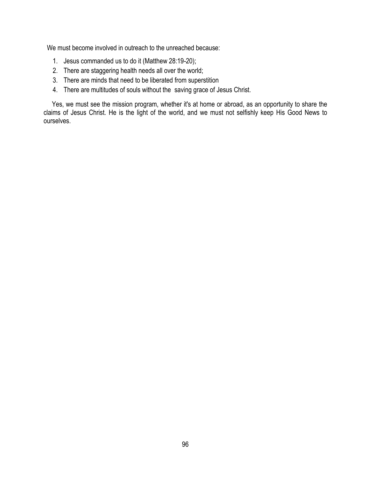We must become involved in outreach to the unreached because:

- 1. Jesus commanded us to do it (Matthew 28:19-20);
- 2. There are staggering health needs all over the world;
- 3. There are minds that need to be liberated from superstition
- 4. There are multitudes of souls without the saving grace of Jesus Christ.

 Yes, we must see the mission program, whether it's at home or abroad, as an opportunity to share the claims of Jesus Christ. He is the light of the world, and we must not selfishly keep His Good News to ourselves.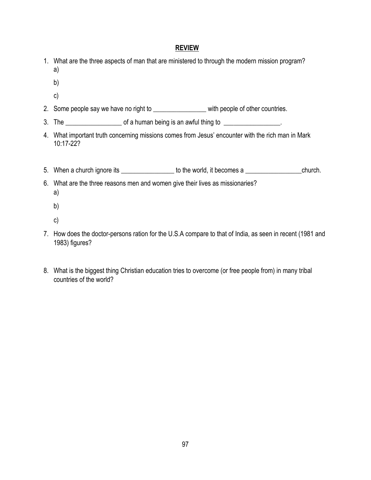- 1. What are the three aspects of man that are ministered to through the modern mission program? a)
	- b)
	- c)
- 2. Some people say we have no right to \_\_\_\_\_\_\_\_\_\_\_\_\_\_\_\_\_\_\_\_ with people of other countries.
- 3. The  $\frac{1}{2}$  of a human being is an awful thing to  $\frac{1}{2}$
- 4. What important truth concerning missions comes from Jesus' encounter with the rich man in Mark 10:17-22?
- 5. When a church ignore its \_\_\_\_\_\_\_\_\_\_\_\_\_\_\_\_\_\_\_ to the world, it becomes a \_\_\_\_\_\_\_\_\_\_\_\_\_\_\_\_\_\_\_\_\_church.
- 6. What are the three reasons men and women give their lives as missionaries? a)
	- b)
	- c)
- 7. How does the doctor-persons ration for the U.S.A compare to that of India, as seen in recent (1981 and 1983) figures?
- 8. What is the biggest thing Christian education tries to overcome (or free people from) in many tribal countries of the world?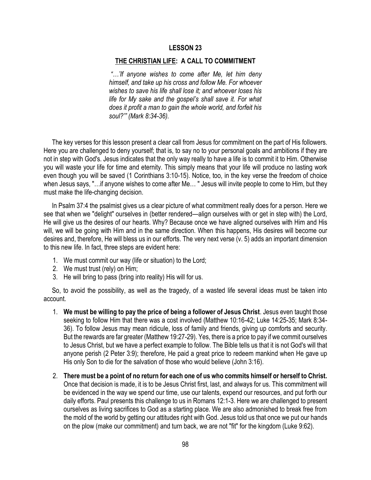### **THE CHRISTIAN LIFE: A CALL TO COMMITMENT**

*"…'If anyone wishes to come after Me, let him deny himself, and take up his cross and follow Me. For whoever wishes to save his life shall lose it; and whoever loses his life for My sake and the gospel's shall save it. For what does it profit a man to gain the whole world, and forfeit his soul?'" (Mark 8:34-36).*

 The key verses for this lesson present a clear call from Jesus for commitment on the part of His followers. Here you are challenged to deny yourself; that is, to say no to your personal goals and ambitions if they are not in step with God's. Jesus indicates that the only way really to have a life is to commit it to Him. Otherwise you will waste your life for time and eternity. This simply means that your life will produce no lasting work even though you will be saved (1 Corinthians 3:10-15). Notice, too, in the key verse the freedom of choice when Jesus says, "…if anyone wishes to come after Me… " Jesus will invite people to come to Him, but they must make the life-changing decision.

 In Psalm 37:4 the psalmist gives us a clear picture of what commitment really does for a person. Here we see that when we "delight" ourselves in (better rendered—align ourselves with or get in step with) the Lord, He will give us the desires of our hearts. Why? Because once we have aligned ourselves with Him and His will, we will be going with Him and in the same direction. When this happens, His desires will become our desires and, therefore, He will bless us in our efforts. The very next verse (v. 5) adds an important dimension to this new life. In fact, three steps are evident here:

- 1. We must commit our way (life or situation) to the Lord;
- 2. We must trust (rely) on Him;
- 3. He will bring to pass (bring into reality) His will for us.

 So, to avoid the possibility, as well as the tragedy, of a wasted life several ideas must be taken into account.

- 1. **We must be willing to pay the price of being a follower of Jesus Christ**. Jesus even taught those seeking to follow Him that there was a cost involved (Matthew 10:16-42; Luke 14:25-35; Mark 8:34- 36). To follow Jesus may mean ridicule, loss of family and friends, giving up comforts and security. But the rewards are far greater (Matthew 19:27-29). Yes, there is a price to pay if we commit ourselves to Jesus Christ, but we have a perfect example to follow. The Bible tells us that it is not God's will that anyone perish (2 Peter 3:9); therefore, He paid a great price to redeem mankind when He gave up His only Son to die for the salvation of those who would believe (John 3:16).
- 2. **There must be a point of no return for each one of us who commits himself or herself to Christ.** Once that decision is made, it is to be Jesus Christ first, last, and always for us. This commitment will be evidenced in the way we spend our time, use our talents, expend our resources, and put forth our daily efforts. Paul presents this challenge to us in Romans 12:1-3. Here we are challenged to present ourselves as living sacrifices to God as a starting place. We are also admonished to break free from the mold of the world by getting our attitudes right with God. Jesus told us that once we put our hands on the plow (make our commitment) and turn back, we are not "fit" for the kingdom (Luke 9:62).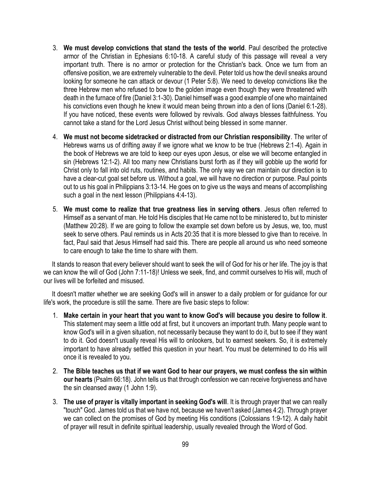- 3. **We must develop convictions that stand the tests of the world**. Paul described the protective armor of the Christian in Ephesians 6:10-18. A careful study of this passage will reveal a very important truth. There is no armor or protection for the Christian's back. Once we turn from an offensive position, we are extremely vulnerable to the devil. Peter told us how the devil sneaks around looking for someone he can attack or devour (1 Peter 5:8). We need to develop convictions like the three Hebrew men who refused to bow to the golden image even though they were threatened with death in the furnace of fire (Daniel 3:1-30). Daniel himself was a good example of one who maintained his convictions even though he knew it would mean being thrown into a den of lions (Daniel 6:1-28). If you have noticed, these events were followed by revivals. God always blesses faithfulness. You cannot take a stand for the Lord Jesus Christ without being blessed in some manner.
- 4. **We must not become sidetracked or distracted from our Christian responsibility**. The writer of Hebrews warns us of drifting away if we ignore what we know to be true (Hebrews 2:1-4). Again in the book of Hebrews we are told to keep our eyes upon Jesus, or else we will become entangled in sin (Hebrews 12:1-2). All too many new Christians burst forth as if they will gobble up the world for Christ only to fall into old ruts, routines, and habits. The only way we can maintain our direction is to have a clear-cut goal set before us. Without a goal, we will have no direction or purpose. Paul points out to us his goal in Philippians 3:13-14. He goes on to give us the ways and means of accomplishing such a goal in the next lesson (Philippians 4:4-13).
- 5. **We must come to realize that true greatness lies in serving others**. Jesus often referred to Himself as a servant of man. He told His disciples that He came not to be ministered to, but to minister (Matthew 20:28). If we are going to follow the example set down before us by Jesus, we, too, must seek to serve others. Paul reminds us in Acts 20:35 that it is more blessed to give than to receive. In fact, Paul said that Jesus Himself had said this. There are people all around us who need someone to care enough to take the time to share with them.

 It stands to reason that every believer should want to seek the will of God for his or her life. The joy is that we can know the will of God (John 7:11-18)! Unless we seek, find, and commit ourselves to His will, much of our lives will be forfeited and misused.

 It doesn't matter whether we are seeking God's will in answer to a daily problem or for guidance for our life's work, the procedure is still the same. There are five basic steps to follow:

- 1. **Make certain in your heart that you want to know God's will because you desire to follow it**. This statement may seem a little odd at first, but it uncovers an important truth. Many people want to know God's will in a given situation, not necessarily because they want to do it, but to see if they want to do it. God doesn't usually reveal His will to onlookers, but to earnest seekers. So, it is extremely important to have already settled this question in your heart. You must be determined to do His will once it is revealed to you.
- 2. **The Bible teaches us that if we want God to hear our prayers, we must confess the sin within our hearts** (Psalm 66:18). John tells us that through confession we can receive forgiveness and have the sin cleansed away (1 John 1:9).
- 3. **The use of prayer is vitally important in seeking God's will**. It is through prayer that we can really "touch" God. James told us that we have not, because we haven't asked (James 4:2). Through prayer we can collect on the promises of God by meeting His conditions (Colossians 1:9-12). A daily habit of prayer will result in definite spiritual leadership, usually revealed through the Word of God.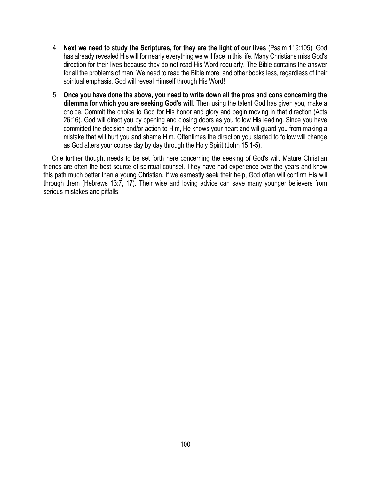- 4. **Next we need to study the Scriptures, for they are the light of our lives** (Psalm 119:105). God has already revealed His will for nearly everything we will face in this life. Many Christians miss God's direction for their lives because they do not read His Word regularly. The Bible contains the answer for all the problems of man. We need to read the Bible more, and other books less, regardless of their spiritual emphasis. God will reveal Himself through His Word!
- 5. **Once you have done the above, you need to write down all the pros and cons concerning the dilemma for which you are seeking God's will**. Then using the talent God has given you, make a choice. Commit the choice to God for His honor and glory and begin moving in that direction (Acts 26:16). God will direct you by opening and closing doors as you follow His leading. Since you have committed the decision and/or action to Him, He knows your heart and will guard you from making a mistake that will hurt you and shame Him. Oftentimes the direction you started to follow will change as God alters your course day by day through the Holy Spirit (John 15:1-5).

 One further thought needs to be set forth here concerning the seeking of God's will. Mature Christian friends are often the best source of spiritual counsel. They have had experience over the years and know this path much better than a young Christian. If we earnestly seek their help, God often will confirm His will through them (Hebrews 13:7, 17). Their wise and loving advice can save many younger believers from serious mistakes and pitfalls.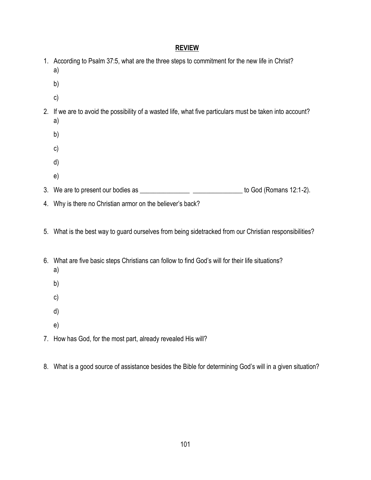|  | 1. According to Psalm 37:5, what are the three steps to commitment for the new life in Christ?<br>a)            |
|--|-----------------------------------------------------------------------------------------------------------------|
|  | b)                                                                                                              |
|  | c)                                                                                                              |
|  | 2. If we are to avoid the possibility of a wasted life, what five particulars must be taken into account?<br>a) |
|  | b)                                                                                                              |
|  | c)                                                                                                              |
|  | d)                                                                                                              |
|  | e)                                                                                                              |
|  | to God (Romans 12:1-2).                                                                                         |
|  | 4. Why is there no Christian armor on the believer's back?                                                      |
|  | 5. What is the best way to guard ourselves from being sidetracked from our Christian responsibilities?          |
|  | 6. What are five basic steps Christians can follow to find God's will for their life situations?<br>a)          |
|  | b)                                                                                                              |
|  | c)                                                                                                              |
|  | d)                                                                                                              |
|  | e)                                                                                                              |
|  | 7. How has God, for the most part, already revealed His will?                                                   |

8. What is a good source of assistance besides the Bible for determining God's will in a given situation?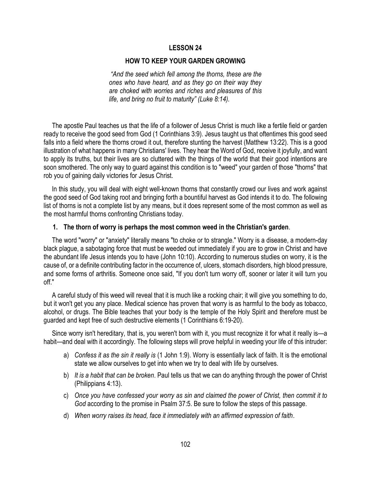### **HOW TO KEEP YOUR GARDEN GROWING**

*"And the seed which fell among the thorns, these are the ones who have heard, and as they go on their way they are choked with worries and riches and pleasures of this life, and bring no fruit to maturity" (Luke 8:14).*

 The apostle Paul teaches us that the life of a follower of Jesus Christ is much like a fertile field or garden ready to receive the good seed from God (1 Corinthians 3:9). Jesus taught us that oftentimes this good seed falls into a field where the thorns crowd it out, therefore stunting the harvest (Matthew 13:22). This is a good illustration of what happens in many Christians' lives. They hear the Word of God, receive it joyfully, and want to apply its truths, but their lives are so cluttered with the things of the world that their good intentions are soon smothered. The only way to guard against this condition is to "weed" your garden of those "thorns" that rob you of gaining daily victories for Jesus Christ.

 In this study, you will deal with eight well-known thorns that constantly crowd our lives and work against the good seed of God taking root and bringing forth a bountiful harvest as God intends it to do. The following list of thorns is not a complete list by any means, but it does represent some of the most common as well as the most harmful thorns confronting Christians today.

#### **1. The thorn of worry is perhaps the most common weed in the Christian's garden**.

 The word "worry" or "anxiety" literally means "to choke or to strangle." Worry is a disease, a modern-day black plague, a sabotaging force that must be weeded out immediately if you are to grow in Christ and have the abundant life Jesus intends you to have (John 10:10). According to numerous studies on worry, it is the cause of, or a definite contributing factor in the occurrence of, ulcers, stomach disorders, high blood pressure, and some forms of arthritis. Someone once said, "If you don't turn worry off, sooner or later it will turn you off."

 A careful study of this weed will reveal that it is much like a rocking chair; it will give you something to do, but it won't get you any place. Medical science has proven that worry is as harmful to the body as tobacco, alcohol, or drugs. The Bible teaches that your body is the temple of the Holy Spirit and therefore must be guarded and kept free of such destructive elements (1 Corinthians 6:19-20).

 Since worry isn't hereditary, that is, you weren't born with it, you must recognize it for what it really is—a habit—and deal with it accordingly. The following steps will prove helpful in weeding your life of this intruder:

- a) *Confess it as the sin it really is* (1 John 1:9). Worry is essentially lack of faith. It is the emotional state we allow ourselves to get into when we try to deal with life by ourselves.
- b) *It is a habit that can be broken*. Paul tells us that we can do anything through the power of Christ (Philippians 4:13).
- c) *Once you have confessed your worry as sin and claimed the power of Christ, then commit it to God* according to the promise in Psalm 37:5. Be sure to follow the steps of this passage.
- d) *When worry raises its head, face it immediately with an affirmed expression of faith*.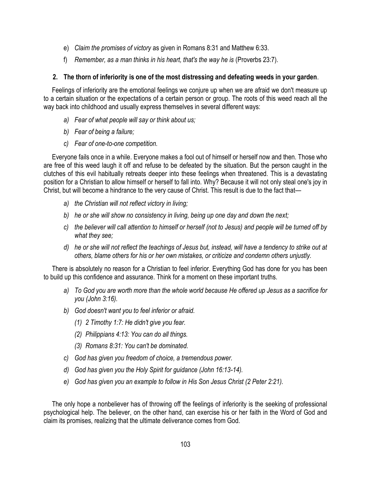- e) *Claim the promises of victory* as given in Romans 8:31 and Matthew 6:33.
- f) *Remember, as a man thinks in his heart, that's the way he is* (Proverbs 23:7).

## **2. The thorn of inferiority is one of the most distressing and defeating weeds in your garden**.

 Feelings of inferiority are the emotional feelings we conjure up when we are afraid we don't measure up to a certain situation or the expectations of a certain person or group. The roots of this weed reach all the way back into childhood and usually express themselves in several different ways:

- *a) Fear of what people will say or think about us;*
- *b) Fear of being a failure;*
- *c) Fear of one-to-one competition.*

 Everyone fails once in a while. Everyone makes a fool out of himself or herself now and then. Those who are free of this weed laugh it off and refuse to be defeated by the situation. But the person caught in the clutches of this evil habitually retreats deeper into these feelings when threatened. This is a devastating position for a Christian to allow himself or herself to fall into. Why? Because it will not only steal one's joy in Christ, but will become a hindrance to the very cause of Christ. This result is due to the fact that—

- *a) the Christian will not reflect victory in living;*
- *b) he or she will show no consistency in living, being up one day and down the next;*
- *c) the believer will call attention to himself or herself (not to Jesus) and people will be turned off by what they see;*
- *d) he or she will not reflect the teachings of Jesus but, instead, will have a tendency to strike out at others, blame others for his or her own mistakes, or criticize and condemn others unjustly.*

 There is absolutely no reason for a Christian to feel inferior. Everything God has done for you has been to build up this confidence and assurance. Think for a moment on these important truths.

- *a) To God you are worth more than the whole world because He offered up Jesus as a sacrifice for you (John 3:16).*
- *b) God doesn't want you to feel inferior or afraid.*
	- *(1) 2 Timothy 1:7: He didn't give you fear.*
	- *(2) Philippians 4:13: You can do all things.*
	- *(3) Romans 8:31: You can't be dominated.*
- *c) God has given you freedom of choice, a tremendous power.*
- *d) God has given you the Holy Spirit for guidance (John 16:13-14).*
- *e) God has given you an example to follow in His Son Jesus Christ (2 Peter 2:21).*

 The only hope a nonbeliever has of throwing off the feelings of inferiority is the seeking of professional psychological help. The believer, on the other hand, can exercise his or her faith in the Word of God and claim its promises, realizing that the ultimate deliverance comes from God.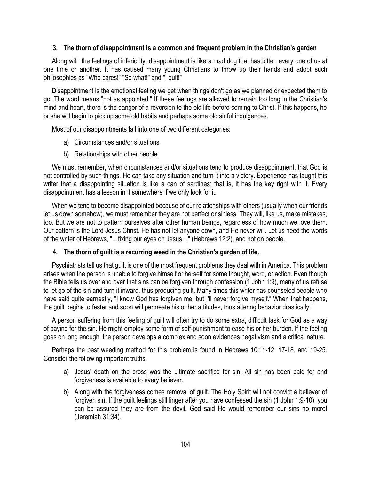## **3. The thorn of disappointment is a common and frequent problem in the Christian's garden**

 Along with the feelings of inferiority, disappointment is like a mad dog that has bitten every one of us at one time or another. It has caused many young Christians to throw up their hands and adopt such philosophies as "Who cares!" "So what!" and "I quit!"

 Disappointment is the emotional feeling we get when things don't go as we planned or expected them to go. The word means "not as appointed." If these feelings are allowed to remain too long in the Christian's mind and heart, there is the danger of a reversion to the old life before coming to Christ. If this happens, he or she will begin to pick up some old habits and perhaps some old sinful indulgences.

Most of our disappointments fall into one of two different categories:

- a) Circumstances and/or situations
- b) Relationships with other people

 We must remember, when circumstances and/or situations tend to produce disappointment, that God is not controlled by such things. He can take any situation and turn it into a victory. Experience has taught this writer that a disappointing situation is like a can of sardines; that is, it has the key right with it. Every disappointment has a lesson in it somewhere if we only look for it.

 When we tend to become disappointed because of our relationships with others (usually when our friends let us down somehow), we must remember they are not perfect or sinless. They will, like us, make mistakes, too. But we are not to pattern ourselves after other human beings, regardless of how much we love them. Our pattern is the Lord Jesus Christ. He has not let anyone down, and He never will. Let us heed the words of the writer of Hebrews, "…fixing our eyes on Jesus…" (Hebrews 12:2), and not on people.

# **4. The thorn of guilt is a recurring weed in the Christian's garden of life.**

 Psychiatrists tell us that guilt is one of the most frequent problems they deal with in America. This problem arises when the person is unable to forgive himself or herself for some thought, word, or action. Even though the Bible tells us over and over that sins can be forgiven through confession (1 John 1:9), many of us refuse to let go of the sin and turn it inward, thus producing guilt. Many times this writer has counseled people who have said quite earnestly, "I know God has forgiven me, but I'll never forgive myself." When that happens, the guilt begins to fester and soon will permeate his or her attitudes, thus altering behavior drastically.

 A person suffering from this feeling of guilt will often try to do some extra, difficult task for God as a way of paying for the sin. He might employ some form of self-punishment to ease his or her burden. If the feeling goes on long enough, the person develops a complex and soon evidences negativism and a critical nature.

 Perhaps the best weeding method for this problem is found in Hebrews 10:11-12, 17-18, and 19-25. Consider the following important truths.

- a) Jesus' death on the cross was the ultimate sacrifice for sin. All sin has been paid for and forgiveness is available to every believer.
- b) Along with the forgiveness comes removal of guilt. The Holy Spirit will not convict a believer of forgiven sin. If the guilt feelings still linger after you have confessed the sin (1 John 1:9-10), you can be assured they are from the devil. God said He would remember our sins no more! (Jeremiah 31:34).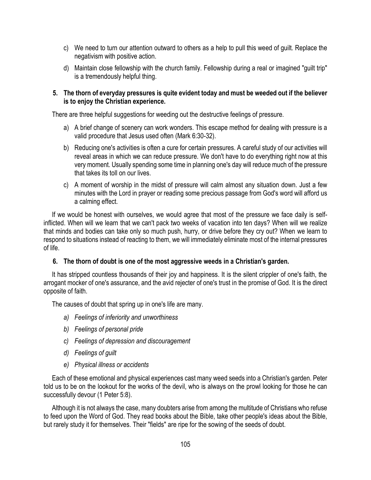- c) We need to turn our attention outward to others as a help to pull this weed of guilt. Replace the negativism with positive action.
- d) Maintain close fellowship with the church family. Fellowship during a real or imagined "guilt trip" is a tremendously helpful thing.

## **5. The thorn of everyday pressures is quite evident today and must be weeded out if the believer is to enjoy the Christian experience.**

There are three helpful suggestions for weeding out the destructive feelings of pressure.

- a) A brief change of scenery can work wonders. This escape method for dealing with pressure is a valid procedure that Jesus used often (Mark 6:30-32).
- b) Reducing one's activities is often a cure for certain pressures. A careful study of our activities will reveal areas in which we can reduce pressure. We don't have to do everything right now at this very moment. Usually spending some time in planning one's day will reduce much of the pressure that takes its toll on our lives.
- c) A moment of worship in the midst of pressure will calm almost any situation down. Just a few minutes with the Lord in prayer or reading some precious passage from God's word will afford us a calming effect.

 If we would be honest with ourselves, we would agree that most of the pressure we face daily is selfinflicted. When will we learn that we can't pack two weeks of vacation into ten days? When will we realize that minds and bodies can take only so much push, hurry, or drive before they cry out? When we learn to respond to situations instead of reacting to them, we will immediately eliminate most of the internal pressures of life.

## **6. The thorn of doubt is one of the most aggressive weeds in a Christian's garden.**

 It has stripped countless thousands of their joy and happiness. It is the silent crippler of one's faith, the arrogant mocker of one's assurance, and the avid rejecter of one's trust in the promise of God. It is the direct opposite of faith.

The causes of doubt that spring up in one's life are many.

- *a) Feelings of inferiority and unworthiness*
- *b) Feelings of personal pride*
- *c) Feelings of depression and discouragement*
- *d) Feelings of guilt*
- *e) Physical illness or accidents*

 Each of these emotional and physical experiences cast many weed seeds into a Christian's garden. Peter told us to be on the lookout for the works of the devil, who is always on the prowl looking for those he can successfully devour (1 Peter 5:8).

 Although it is not always the case, many doubters arise from among the multitude of Christians who refuse to feed upon the Word of God. They read books about the Bible, take other people's ideas about the Bible, but rarely study it for themselves. Their "fields" are ripe for the sowing of the seeds of doubt.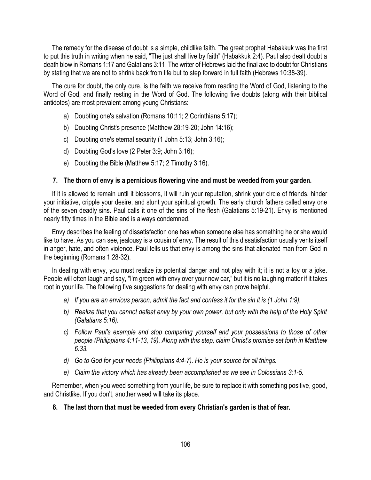The remedy for the disease of doubt is a simple, childlike faith. The great prophet Habakkuk was the first to put this truth in writing when he said, "The just shall live by faith" (Habakkuk 2:4). Paul also dealt doubt a death blow in Romans 1:17 and Galatians 3:11. The writer of Hebrews laid the final axe to doubt for Christians by stating that we are not to shrink back from life but to step forward in full faith (Hebrews 10:38-39).

 The cure for doubt, the only cure, is the faith we receive from reading the Word of God, listening to the Word of God, and finally resting in the Word of God. The following five doubts (along with their biblical antidotes) are most prevalent among young Christians:

- a) Doubting one's salvation (Romans 10:11; 2 Corinthians 5:17);
- b) Doubting Christ's presence (Matthew 28:19-20; John 14:16);
- c) Doubting one's eternal security (1 John 5:13; John 3:16);
- d) Doubting God's love (2 Peter 3:9; John 3:16);
- e) Doubting the Bible (Matthew 5:17; 2 Timothy 3:16).

# **7. The thorn of envy is a pernicious flowering vine and must be weeded from your garden.**

 If it is allowed to remain until it blossoms, it will ruin your reputation, shrink your circle of friends, hinder your initiative, cripple your desire, and stunt your spiritual growth. The early church fathers called envy one of the seven deadly sins. Paul calls it one of the sins of the flesh (Galatians 5:19-21). Envy is mentioned nearly fifty times in the Bible and is always condemned.

 Envy describes the feeling of dissatisfaction one has when someone else has something he or she would like to have. As you can see, jealousy is a cousin of envy. The result of this dissatisfaction usually vents itself in anger, hate, and often violence. Paul tells us that envy is among the sins that alienated man from God in the beginning (Romans 1:28-32).

 In dealing with envy, you must realize its potential danger and not play with it; it is not a toy or a joke. People will often laugh and say, "I'm green with envy over your new car," but it is no laughing matter if it takes root in your life. The following five suggestions for dealing with envy can prove helpful.

- *a) If you are an envious person, admit the fact and confess it for the sin it is (1 John 1:9).*
- *b) Realize that you cannot defeat envy by your own power, but only with the help of the Holy Spirit (Galatians 5:16).*
- *c) Follow Paul's example and stop comparing yourself and your possessions to those of other people (Philippians 4:11-13, 19). Along with this step, claim Christ's promise set forth in Matthew 6:33.*
- *d) Go to God for your needs (Philippians 4:4-7). He is your source for all things.*
- *e) Claim the victory which has already been accomplished as we see in Colossians 3:1-5.*

 Remember, when you weed something from your life, be sure to replace it with something positive, good, and Christlike. If you don't, another weed will take its place.

# **8. The last thorn that must be weeded from every Christian's garden is that of fear.**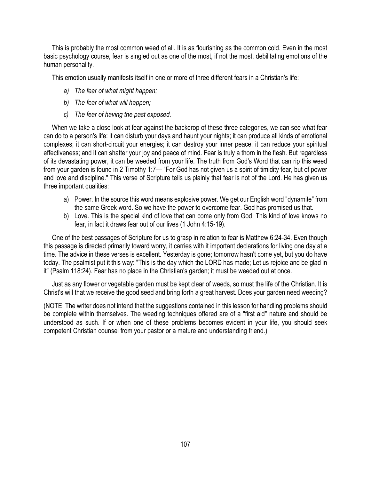This is probably the most common weed of all. It is as flourishing as the common cold. Even in the most basic psychology course, fear is singled out as one of the most, if not the most, debilitating emotions of the human personality.

This emotion usually manifests itself in one or more of three different fears in a Christian's life:

- *a) The fear of what might happen;*
- *b) The fear of what will happen;*
- *c) The fear of having the past exposed.*

 When we take a close look at fear against the backdrop of these three categories, we can see what fear can do to a person's life: it can disturb your days and haunt your nights; it can produce all kinds of emotional complexes; it can short-circuit your energies; it can destroy your inner peace; it can reduce your spiritual effectiveness; and it can shatter your joy and peace of mind. Fear is truly a thorn in the flesh. But regardless of its devastating power, it can be weeded from your life. The truth from God's Word that can rip this weed from your garden is found in 2 Timothy 1:7— "For God has not given us a spirit of timidity fear, but of power and love and discipline." This verse of Scripture tells us plainly that fear is not of the Lord. He has given us three important qualities:

- a) Power. In the source this word means explosive power. We get our English word "dynamite" from the same Greek word. So we have the power to overcome fear. God has promised us that.
- b) Love. This is the special kind of love that can come only from God. This kind of love knows no fear, in fact it draws fear out of our lives (1 John 4:15-19).

 One of the best passages of Scripture for us to grasp in relation to fear is Matthew 6:24-34. Even though this passage is directed primarily toward worry, it carries with it important declarations for living one day at a time. The advice in these verses is excellent. Yesterday is gone; tomorrow hasn't come yet, but you do have today. The psalmist put it this way: "This is the day which the LORD has made; Let us rejoice and be glad in it" (Psalm 118:24). Fear has no place in the Christian's garden; it must be weeded out at once.

 Just as any flower or vegetable garden must be kept clear of weeds, so must the life of the Christian. It is Christ's will that we receive the good seed and bring forth a great harvest. Does your garden need weeding?

(NOTE: The writer does not intend that the suggestions contained in this lesson for handling problems should be complete within themselves. The weeding techniques offered are of a "first aid" nature and should be understood as such. If or when one of these problems becomes evident in your life, you should seek competent Christian counsel from your pastor or a mature and understanding friend.)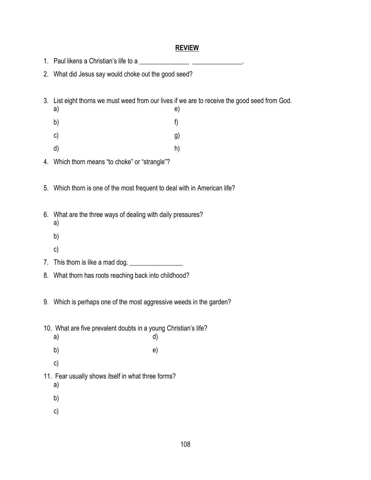#### **REVIEW**

|  |  | 1. Paul likens a Christian's life to a |  |
|--|--|----------------------------------------|--|
|--|--|----------------------------------------|--|

- 2. What did Jesus say would choke out the good seed?
- 3. List eight thorns we must weed from our lives if we are to receive the good seed from God.
- a) e) b) f)
- c) g)
- d) h)
- 4. Which thorn means "to choke" or "strangle"?
- 5. Which thorn is one of the most frequent to deal with in American life?
- 6. What are the three ways of dealing with daily pressures?
	- a)
	- b)
	- c)
- 7. This thorn is like a mad dog. \_\_\_\_\_\_\_\_\_\_\_\_\_\_\_\_
- 8. What thorn has roots reaching back into childhood?
- 9. Which is perhaps one of the most aggressive weeds in the garden?
- 10. What are five prevalent doubts in a young Christian's life? a) d)
- b) e)
	- c)
- 11. Fear usually shows itself in what three forms?
	- a)
	- b)
	- c)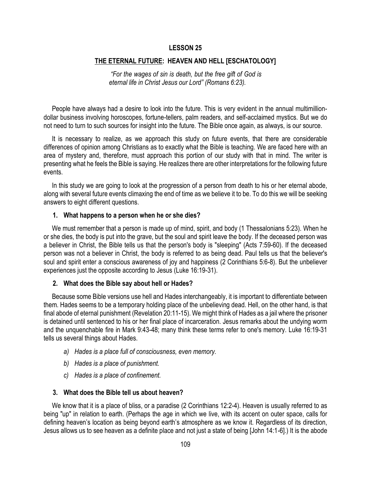#### **THE ETERNAL FUTURE: HEAVEN AND HELL [ESCHATOLOGY]**

*"For the wages of sin is death, but the free gift of God is eternal life in Christ Jesus our Lord" (Romans 6:23).*

 People have always had a desire to look into the future. This is very evident in the annual multimilliondollar business involving horoscopes, fortune-tellers, palm readers, and self-acclaimed mystics. But we do not need to turn to such sources for insight into the future. The Bible once again, as always, is our source.

 It is necessary to realize, as we approach this study on future events, that there are considerable differences of opinion among Christians as to exactly what the Bible is teaching. We are faced here with an area of mystery and, therefore, must approach this portion of our study with that in mind. The writer is presenting what he feels the Bible is saying. He realizes there are other interpretations for the following future events.

 In this study we are going to look at the progression of a person from death to his or her eternal abode, along with several future events climaxing the end of time as we believe it to be. To do this we will be seeking answers to eight different questions.

#### **1. What happens to a person when he or she dies?**

We must remember that a person is made up of mind, spirit, and body (1 Thessalonians 5:23). When he or she dies, the body is put into the grave, but the soul and spirit leave the body. If the deceased person was a believer in Christ, the Bible tells us that the person's body is "sleeping" (Acts 7:59-60). If the deceased person was not a believer in Christ, the body is referred to as being dead. Paul tells us that the believer's soul and spirit enter a conscious awareness of joy and happiness (2 Corinthians 5:6-8). But the unbeliever experiences just the opposite according to Jesus (Luke 16:19-31).

#### **2. What does the Bible say about hell or Hades?**

 Because some Bible versions use hell and Hades interchangeably, it is important to differentiate between them. Hades seems to be a temporary holding place of the unbelieving dead. Hell, on the other hand, is that final abode of eternal punishment (Revelation 20:11-15). We might think of Hades as a jail where the prisoner is detained until sentenced to his or her final place of incarceration. Jesus remarks about the undying worm and the unquenchable fire in Mark 9:43-48; many think these terms refer to one's memory. Luke 16:19-31 tells us several things about Hades.

- *a) Hades is a place full of consciousness, even memory.*
- *b) Hades is a place of punishment.*
- *c) Hades is a place of confinement.*

#### **3. What does the Bible tell us about heaven?**

 We know that it is a place of bliss, or a paradise (2 Corinthians 12:2-4). Heaven is usually referred to as being "up" in relation to earth. (Perhaps the age in which we live, with its accent on outer space, calls for defining heaven's location as being beyond earth's atmosphere as we know it. Regardless of its direction, Jesus allows us to see heaven as a definite place and not just a state of being [John 14:1-6].) It is the abode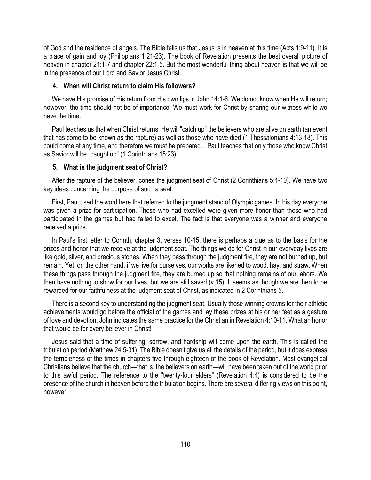of God and the residence of angels. The Bible tells us that Jesus is in heaven at this time (Acts 1:9-11). It is a place of gain and joy (Philippians 1:21-23). The book of Revelation presents the best overall picture of heaven in chapter 21:1-7 and chapter 22:1-5. But the most wonderful thing about heaven is that we will be in the presence of our Lord and Savior Jesus Christ.

#### **4. When will Christ return to claim His followers?**

 We have His promise of His return from His own lips in John 14:1-6. We do not know when He will return; however, the time should not be of importance. We must work for Christ by sharing our witness while we have the time.

 Paul teaches us that when Christ returns, He will "catch up" the believers who are alive on earth (an event that has come to be known as the rapture) as well as those who have died (1 Thessalonians 4:13-18). This could come at any time, and therefore we must be prepared... Paul teaches that only those who know Christ as Savior will be "caught up" (1 Corinthians 15:23).

#### **5. What is the judgment seat of Christ?**

 After the rapture of the believer, cones the judgment seat of Christ (2 Corinthians 5:1-10). We have two key ideas concerning the purpose of such a seat.

 First, Paul used the word here that referred to the judgment stand of Olympic games. In his day everyone was given a prize for participation. Those who had excelled were given more honor than those who had participated in the games but had failed to excel. The fact is that everyone was a winner and everyone received a prize.

 In Paul's first letter to Corinth, chapter 3, verses 10-15, there is perhaps a clue as to the basis for the prizes and honor that we receive at the judgment seat. The things we do for Christ in our everyday lives are like gold, silver, and precious stones. When they pass through the judgment fire, they are not burned up, but remain. Yet, on the other hand, if we live for ourselves, our works are likened to wood, hay, and straw. When these things pass through the judgment fire, they are burned up so that nothing remains of our labors. We then have nothing to show for our lives, but we are still saved (v.15). It seems as though we are then to be rewarded for our faithfulness at the judgment seat of Christ, as indicated in 2 Corinthians 5.

 There is a second key to understanding the judgment seat. Usually those winning crowns for their athletic achievements would go before the official of the games and lay these prizes at his or her feet as a gesture of love and devotion. John indicates the same practice for the Christian in Revelation 4:10-11. What an honor that would be for every believer in Christ!

 Jesus said that a time of suffering, sorrow, and hardship will come upon the earth. This is called the tribulation period (Matthew 24:5-31). The Bible doesn't give us all the details of the period, but it does express the terribleness of the times in chapters five through eighteen of the book of Revelation. Most evangelical Christians believe that the church—that is, the believers on earth—will have been taken out of the world prior to this awful period. The reference to the "twenty-four elders" (Revelation 4:4) is considered to be the presence of the church in heaven before the tribulation begins. There are several differing views on this point, however.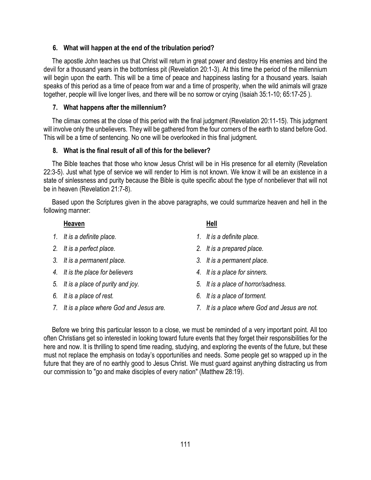#### **6. What will happen at the end of the tribulation period?**

 The apostle John teaches us that Christ will return in great power and destroy His enemies and bind the devil for a thousand years in the bottomless pit (Revelation 20:1-3). At this time the period of the millennium will begin upon the earth. This will be a time of peace and happiness lasting for a thousand years. Isaiah speaks of this period as a time of peace from war and a time of prosperity, when the wild animals will graze together, people will live longer lives, and there will be no sorrow or crying (Isaiah 35:1-10; 65:17-25 ).

#### **7. What happens after the millennium?**

 The climax comes at the close of this period with the final judgment (Revelation 20:11-15). This judgment will involve only the unbelievers. They will be gathered from the four corners of the earth to stand before God. This will be a time of sentencing. No one will be overlooked in this final judgment.

#### **8. What is the final result of all of this for the believer?**

 The Bible teaches that those who know Jesus Christ will be in His presence for all eternity (Revelation 22:3-5). Just what type of service we will render to Him is not known. We know it will be an existence in a state of sinlessness and purity because the Bible is quite specific about the type of nonbeliever that will not be in heaven (Revelation 21:7-8).

 Based upon the Scriptures given in the above paragraphs, we could summarize heaven and hell in the following manner:

#### **Heaven** Hell

- *1. It is a definite place. 1. It is a definite place.*
- 
- *3. It is a permanent place. 3. It is a permanent place.*
- *4. It is the place for believers 4. It is a place for sinners.*
- 
- 
- 

- 
- *2. It is a perfect place. 2. It is a prepared place.*
	-
	-
- *5. It is a place of purity and joy. 5. It is a place of horror/sadness.*
- *6. It is a place of rest. 6. It is a place of torment.*
- *7. It is a place where God and Jesus are. 7. It is a place where God and Jesus are not.*

 Before we bring this particular lesson to a close, we must be reminded of a very important point. All too often Christians get so interested in looking toward future events that they forget their responsibilities for the here and now. It is thrilling to spend time reading, studying, and exploring the events of the future, but these must not replace the emphasis on today's opportunities and needs. Some people get so wrapped up in the future that they are of no earthly good to Jesus Christ. We must guard against anything distracting us from our commission to "go and make disciples of every nation" (Matthew 28:19).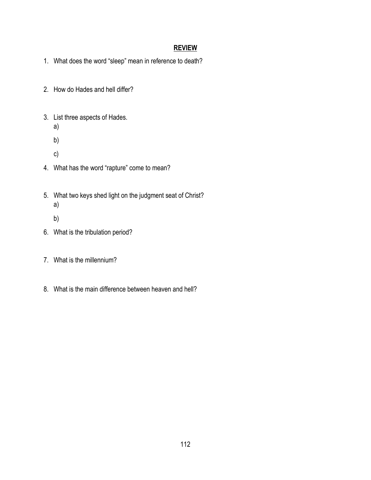## **REVIEW**

- 1. What does the word "sleep" mean in reference to death?
- 2. How do Hades and hell differ?
- 3. List three aspects of Hades.
	- a)
	- b)
	- c)
- 4. What has the word "rapture" come to mean?
- 5. What two keys shed light on the judgment seat of Christ? a)
	- b)
- 6. What is the tribulation period?
- 7. What is the millennium?
- 8. What is the main difference between heaven and hell?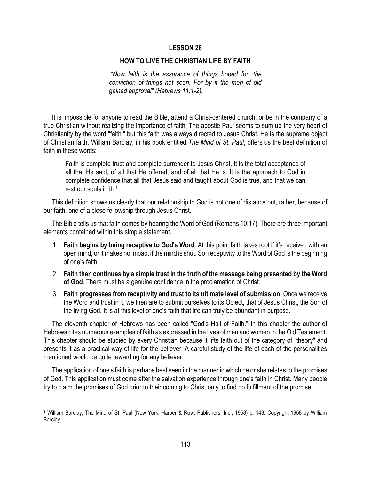#### **HOW TO LIVE THE CHRISTIAN LIFE BY FAITH**

*"Now faith is the assurance of things hoped for, the conviction of things not seen. For by it the men of old gained approval" (Hebrews 11:1-2).*

 It is impossible for anyone to read the Bible, attend a Christ-centered church, or be in the company of a true Christian without realizing the importance of faith. The apostle Paul seems to sum up the very heart of Christianity by the word "faith," but this faith was always directed to Jesus Christ. He is the supreme object of Christian faith. William Barclay, in his book entitled *The Mind of St. Paul*, offers us the best definition of faith in these words:

Faith is complete trust and complete surrender to Jesus Christ. It is the total acceptance of all that He said, of all that He offered, and of all that He is. It is the approach to God in complete confidence that all that Jesus said and taught about God is true, and that we can rest our souls in it. <sup>1</sup>

 This definition shows us clearly that our relationship to God is not one of distance but, rather, because of our faith, one of a close fellowship through Jesus Christ.

 The Bible tells us that faith comes by hearing the Word of God (Romans 10:17). There are three important elements contained within this simple statement.

- 1. **Faith begins by being receptive to God's Word**. At this point faith takes root if it's received with an open mind, or it makes no impact if the mind is shut. So, receptivity to the Word of God is the beginning of one's faith.
- 2. **Faith then continues by a simple trust in the truth of the message being presented by the Word of God**. There must be a genuine confidence in the proclamation of Christ.
- 3. **Faith progresses from receptivity and trust to its ultimate level of submission**. Once we receive the Word and trust in it, we then are to submit ourselves to its Object, that of Jesus Christ, the Son of the living God. It is at this level of one's faith that life can truly be abundant in purpose.

 The eleventh chapter of Hebrews has been called "God's Hall of Faith." In this chapter the author of Hebrews cites numerous examples of faith as expressed in the lives of men and women in the Old Testament. This chapter should be studied by every Christian because it lifts faith out of the category of "theory" and presents it as a practical way of life for the believer. A careful study of the life of each of the personalities mentioned would be quite rewarding for any believer.

 The application of one's faith is perhaps best seen in the manner in which he or she relates to the promises of God. This application must come after the salvation experience through one's faith in Christ. Many people try to claim the promises of God prior to their coming to Christ only to find no fulfillment of the promise.

<sup>1</sup> William Barclay, The Mind of St. Paul (New York: Harper & Row, Publishers, Inc., 1958) p. 143. Copyright 1958 by William Barclay.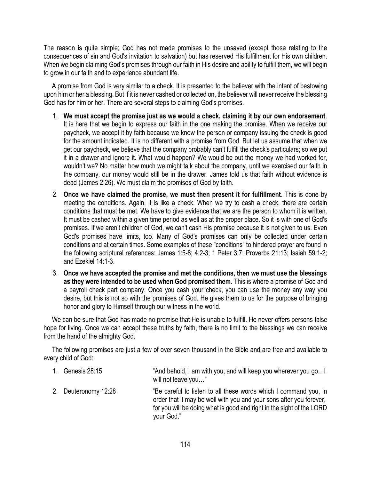The reason is quite simple; God has not made promises to the unsaved (except those relating to the consequences of sin and God's invitation to salvation) but has reserved His fulfillment for His own children. When we begin claiming God's promises through our faith in His desire and ability to fulfill them, we will begin to grow in our faith and to experience abundant life.

 A promise from God is very similar to a check. It is presented to the believer with the intent of bestowing upon him or her a blessing. But if it is never cashed or collected on, the believer will never receive the blessing God has for him or her. There are several steps to claiming God's promises.

- 1. **We must accept the promise just as we would a check, claiming it by our own endorsement**. It is here that we begin to express our faith in the one making the promise. When we receive our paycheck, we accept it by faith because we know the person or company issuing the check is good for the amount indicated. It is no different with a promise from God. But let us assume that when we get our paycheck, we believe that the company probably can't fulfill the check's particulars; so we put it in a drawer and ignore it. What would happen? We would be out the money we had worked for, wouldn't we? No matter how much we might talk about the company, until we exercised our faith in the company, our money would still be in the drawer. James told us that faith without evidence is dead (James 2:26). We must claim the promises of God by faith.
- 2. **Once we have claimed the promise, we must then present it for fulfillment**. This is done by meeting the conditions. Again, it is like a check. When we try to cash a check, there are certain conditions that must be met. We have to give evidence that we are the person to whom it is written. It must be cashed within a given time period as well as at the proper place. So it is with one of God's promises. If we aren't children of God, we can't cash His promise because it is not given to us. Even God's promises have limits, too. Many of God's promises can only be collected under certain conditions and at certain times. Some examples of these "conditions" to hindered prayer are found in the following scriptural references: James 1:5-8; 4:2-3; 1 Peter 3:7; Proverbs 21:13; Isaiah 59:1-2; and Ezekiel 14:1-3.
- 3. **Once we have accepted the promise and met the conditions, then we must use the blessings as they were intended to be used when God promised them**. This is where a promise of God and a payroll check part company. Once you cash your check, you can use the money any way you desire, but this is not so with the promises of God. He gives them to us for the purpose of bringing honor and glory to Himself through our witness in the world.

 We can be sure that God has made no promise that He is unable to fulfill. He never offers persons false hope for living. Once we can accept these truths by faith, there is no limit to the blessings we can receive from the hand of the almighty God.

 The following promises are just a few of over seven thousand in the Bible and are free and available to every child of God:

1. Genesis 28:15 "And behold, I am with you, and will keep you wherever you go…I will not leave you…" 2. Deuteronomy 12:28 "Be careful to listen to all these words which I command you, in order that it may be well with you and your sons after you forever, for you will be doing what is good and right in the sight of the LORD your God."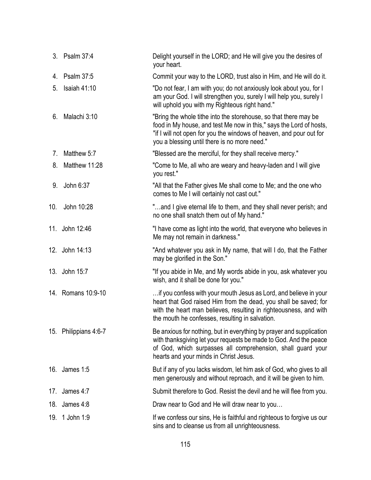|     | 3. Psalm 37:4         | Delight yourself in the LORD; and He will give you the desires of<br>your heart.                                                                                                                                                                               |
|-----|-----------------------|----------------------------------------------------------------------------------------------------------------------------------------------------------------------------------------------------------------------------------------------------------------|
| 4.  | Psalm 37:5            | Commit your way to the LORD, trust also in Him, and He will do it.                                                                                                                                                                                             |
| 5.  | Isaiah $41:10$        | "Do not fear, I am with you; do not anxiously look about you, for I<br>am your God. I will strengthen you, surely I will help you, surely I<br>will uphold you with my Righteous right hand."                                                                  |
| 6.  | Malachi 3:10          | "Bring the whole tithe into the storehouse, so that there may be<br>food in My house, and test Me now in this," says the Lord of hosts,<br>"if I will not open for you the windows of heaven, and pour out for<br>you a blessing until there is no more need." |
| 7.  | Matthew 5:7           | "Blessed are the merciful, for they shall receive mercy."                                                                                                                                                                                                      |
| 8.  | Matthew 11:28         | "Come to Me, all who are weary and heavy-laden and I will give<br>you rest."                                                                                                                                                                                   |
| 9.  | John 6:37             | "All that the Father gives Me shall come to Me; and the one who<br>comes to Me I will certainly not cast out."                                                                                                                                                 |
| 10. | John 10:28            | "and I give eternal life to them, and they shall never perish; and<br>no one shall snatch them out of My hand."                                                                                                                                                |
|     | 11. John 12:46        | "I have come as light into the world, that everyone who believes in<br>Me may not remain in darkness."                                                                                                                                                         |
|     | 12. John 14:13        | "And whatever you ask in My name, that will I do, that the Father<br>may be glorified in the Son."                                                                                                                                                             |
|     | 13. John 15:7         | "If you abide in Me, and My words abide in you, ask whatever you<br>wish, and it shall be done for you."                                                                                                                                                       |
|     | 14. Romans 10:9-10    | if you confess with your mouth Jesus as Lord, and believe in your<br>heart that God raised Him from the dead, you shall be saved; for<br>with the heart man believes, resulting in righteousness, and with<br>the mouth he confesses, resulting in salvation.  |
|     | 15. Philippians 4:6-7 | Be anxious for nothing, but in everything by prayer and supplication<br>with thanksgiving let your requests be made to God. And the peace<br>of God, which surpasses all comprehension, shall guard your<br>hearts and your minds in Christ Jesus.             |
|     | 16. James 1:5         | But if any of you lacks wisdom, let him ask of God, who gives to all<br>men generously and without reproach, and it will be given to him.                                                                                                                      |
| 17. | James 4:7             | Submit therefore to God. Resist the devil and he will flee from you.                                                                                                                                                                                           |
| 18. | James 4:8             | Draw near to God and He will draw near to you                                                                                                                                                                                                                  |
| 19. | 1 John 1:9            | If we confess our sins, He is faithful and righteous to forgive us our<br>sins and to cleanse us from all unrighteousness.                                                                                                                                     |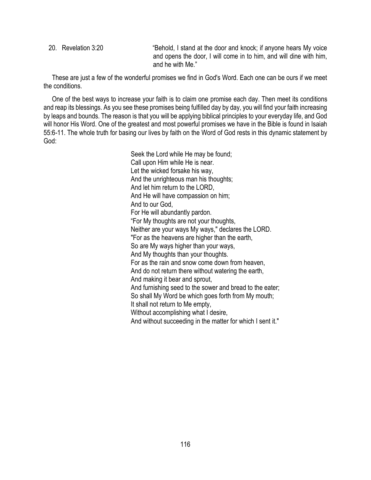20. Revelation 3:20 "Behold, I stand at the door and knock; if anyone hears My voice and opens the door, I will come in to him, and will dine with him, and he with Me."

 These are just a few of the wonderful promises we find in God's Word. Each one can be ours if we meet the conditions.

 One of the best ways to increase your faith is to claim one promise each day. Then meet its conditions and reap its blessings. As you see these promises being fulfilled day by day, you will find your faith increasing by leaps and bounds. The reason is that you will be applying biblical principles to your everyday life, and God will honor His Word. One of the greatest and most powerful promises we have in the Bible is found in Isaiah 55:6-11. The whole truth for basing our lives by faith on the Word of God rests in this dynamic statement by God:

> Seek the Lord while He may be found; Call upon Him while He is near. Let the wicked forsake his way, And the unrighteous man his thoughts; And let him return to the LORD, And He will have compassion on him; And to our God, For He will abundantly pardon. "For My thoughts are not your thoughts, Neither are your ways My ways," declares the LORD. "For as the heavens are higher than the earth, So are My ways higher than your ways, And My thoughts than your thoughts. For as the rain and snow come down from heaven, And do not return there without watering the earth, And making it bear and sprout, And furnishing seed to the sower and bread to the eater; So shall My Word be which goes forth from My mouth; It shall not return to Me empty, Without accomplishing what I desire, And without succeeding in the matter for which I sent it."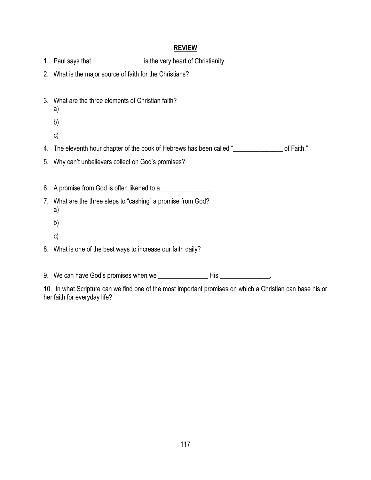#### **REVIEW**

- 1. Paul says that *\_\_\_\_\_\_\_\_\_\_\_\_\_\_\_\_\_\_* is the very heart of Christianity.
- 2. What is the major source of faith for the Christians?
- 3. What are the three elements of Christian faith?
	- a)
	- b)
	- c)
- 4. The eleventh hour chapter of the book of Hebrews has been called "\_\_\_\_\_\_\_\_\_\_\_\_\_\_\_\_\_\_ of Faith."
- 5. Why can't unbelievers collect on God's promises?

6. A promise from God is often likened to a

- 7. What are the three steps to "cashing" a promise from God? a)
	- b)
	- c)
- 8. What is one of the best ways to increase our faith daily?

9. We can have God's promises when we \_\_\_\_\_\_\_\_\_\_\_\_\_\_\_ His \_\_\_\_\_\_\_\_\_\_\_\_\_\_\_.

10. In what Scripture can we find one of the most important promises on which a Christian can base his or her faith for everyday life?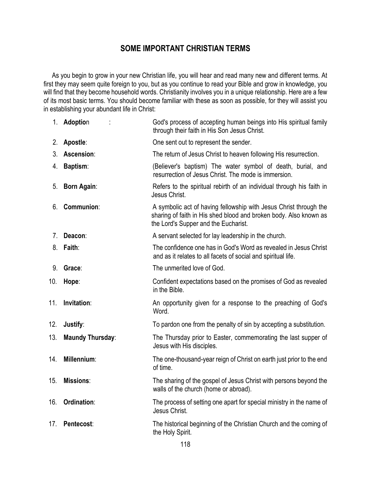# **SOME IMPORTANT CHRISTIAN TERMS**

 As you begin to grow in your new Christian life, you will hear and read many new and different terms. At first they may seem quite foreign to you, but as you continue to read your Bible and grow in knowledge, you will find that they become household words. Christianity involves you in a unique relationship. Here are a few of its most basic terms. You should become familiar with these as soon as possible, for they will assist you in establishing your abundant life in Christ:

|     | 1. Adoption             | God's process of accepting human beings into His spiritual family<br>through their faith in His Son Jesus Christ.                                                              |  |
|-----|-------------------------|--------------------------------------------------------------------------------------------------------------------------------------------------------------------------------|--|
| 2.  | Apostle:                | One sent out to represent the sender.                                                                                                                                          |  |
| 3.  | Ascension:              | The return of Jesus Christ to heaven following His resurrection.                                                                                                               |  |
| 4.  | <b>Baptism:</b>         | (Believer's baptism) The water symbol of death, burial, and<br>resurrection of Jesus Christ. The mode is immersion.                                                            |  |
| 5.  | <b>Born Again:</b>      | Refers to the spiritual rebirth of an individual through his faith in<br>Jesus Christ.                                                                                         |  |
| 6.  | <b>Communion:</b>       | A symbolic act of having fellowship with Jesus Christ through the<br>sharing of faith in His shed blood and broken body. Also known as<br>the Lord's Supper and the Eucharist. |  |
| 7.  | Deacon:                 | A servant selected for lay leadership in the church.                                                                                                                           |  |
| 8.  | Faith:                  | The confidence one has in God's Word as revealed in Jesus Christ<br>and as it relates to all facets of social and spiritual life.                                              |  |
| 9.  | Grace:                  | The unmerited love of God.                                                                                                                                                     |  |
| 10. | Hope:                   | Confident expectations based on the promises of God as revealed<br>in the Bible.                                                                                               |  |
| 11. | Invitation:             | An opportunity given for a response to the preaching of God's<br>Word.                                                                                                         |  |
| 12. | Justify:                | To pardon one from the penalty of sin by accepting a substitution.                                                                                                             |  |
| 13. | <b>Maundy Thursday:</b> | The Thursday prior to Easter, commemorating the last supper of<br>Jesus with His disciples.                                                                                    |  |
| 14. | Millennium:             | The one-thousand-year reign of Christ on earth just prior to the end<br>of time.                                                                                               |  |
| 15. | <b>Missions:</b>        | The sharing of the gospel of Jesus Christ with persons beyond the<br>walls of the church (home or abroad).                                                                     |  |
| 16. | Ordination:             | The process of setting one apart for special ministry in the name of<br>Jesus Christ.                                                                                          |  |
| 17. | Pentecost:              | The historical beginning of the Christian Church and the coming of<br>the Holy Spirit.                                                                                         |  |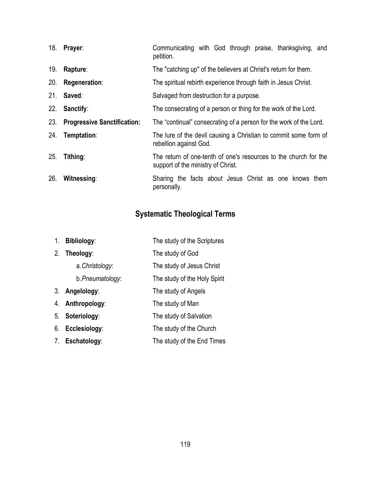| 18. | Prayer:                            | Communicating with God through praise, thanksgiving, and<br>petition.                                  |  |
|-----|------------------------------------|--------------------------------------------------------------------------------------------------------|--|
| 19. | Rapture:                           | The "catching up" of the believers at Christ's return for them.                                        |  |
| 20. | Regeneration:                      | The spiritual rebirth experience through faith in Jesus Christ.                                        |  |
| 21. | Saved:                             | Salvaged from destruction for a purpose.                                                               |  |
| 22. | Sanctify:                          | The consecrating of a person or thing for the work of the Lord.                                        |  |
| 23. | <b>Progressive Sanctification:</b> | The "continual" consecrating of a person for the work of the Lord.                                     |  |
| 24. | Temptation:                        | The lure of the devil causing a Christian to commit some form of<br>rebellion against God.             |  |
| 25. | Tithing:                           | The return of one-tenth of one's resources to the church for the<br>support of the ministry of Christ. |  |
| 26. | Witnessing:                        | Sharing the facts about Jesus Christ as one knows them<br>personally.                                  |  |

# **Systematic Theological Terms**

| 1 <sub>1</sub> | <b>Bibliology:</b> | The study of the Scriptures  |
|----------------|--------------------|------------------------------|
| 2.             | Theology:          | The study of God             |
|                | a. Christology:    | The study of Jesus Christ    |
|                | b. Pneumatology:   | The study of the Holy Spirit |
| 3.             | Angelology:        | The study of Angels          |
| 4.             | Anthropology:      | The study of Man             |
| 5.             | Soteriology:       | The study of Salvation       |
| 6.             | Ecclesiology:      | The study of the Church      |
|                | 7. Eschatology:    | The study of the End Times   |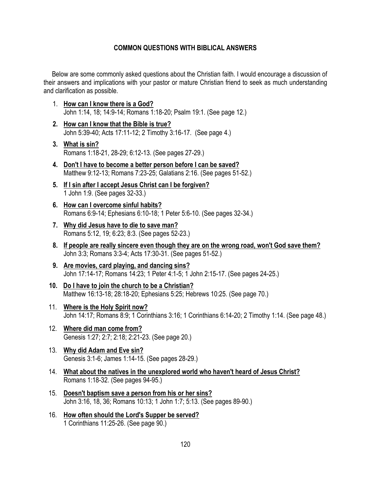#### **COMMON QUESTIONS WITH BIBLICAL ANSWERS**

 Below are some commonly asked questions about the Christian faith. I would encourage a discussion of their answers and implications with your pastor or mature Christian friend to seek as much understanding and clarification as possible.

- 1. **How can I know there is a God?** John 1:14, 18; 14:9-14; Romans 1:18-20; Psalm 19:1. (See page 12.)
- **2. How can I know that the Bible is true?**  John 5:39-40; Acts 17:11-12; 2 Timothy 3:16-17. (See page 4.)
- **3. What is sin?** Romans 1:18-21, 28-29; 6:12-13. (See pages 27-29.)
- **4. Don't I have to become a better person before I can be saved?** Matthew 9:12-13; Romans 7:23-25; Galatians 2:16. (See pages 51-52.)
- **5. If I sin after I accept Jesus Christ can I be forgiven?** 1 John 1:9. (See pages 32-33.)
- **6. How can I overcome sinful habits?** Romans 6:9-14; Ephesians 6:10-18; 1 Peter 5:6-10. (See pages 32-34.)
- **7. Why did Jesus have to die to save man?** Romans 5:12, 19; 6:23; 8:3. (See pages 52-23.)
- **8. If people are really sincere even though they are on the wrong road, won't God save them?** John 3:3; Romans 3:3-4; Acts 17:30-31. (See pages 51-52.)
- **9. Are movies, card playing, and dancing sins?** John 17:14-17; Romans 14:23; 1 Peter 4:1-5; 1 John 2:15-17. (See pages 24-25.)
- **10. Do I have to join the church to be a Christian?** Matthew 16:13-18; 28:18-20; Ephesians 5:25; Hebrews 10:25. (See page 70.)
- 11. **Where is the Holy Spirit now?** John 14:17; Romans 8:9; 1 Corinthians 3:16; 1 Corinthians 6:14-20; 2 Timothy 1:14. (See page 48.)
- 12. **Where did man come from?** Genesis 1:27; 2:7; 2:18; 2:21-23. (See page 20.)
- 13. **Why did Adam and Eve sin?** Genesis 3:1-6; James 1:14-15. (See pages 28-29.)
- 14. **What about the natives in the unexplored world who haven't heard of Jesus Christ?** Romans 1:18-32. (See pages 94-95.)
- 15. **Doesn't baptism save a person from his or her sins?** John 3:16, 18, 36; Romans 10:13; 1 John 1:7; 5:13. (See pages 89-90.)
- 16. **How often should the Lord's Supper be served?** 1 Corinthians 11:25-26. (See page 90.)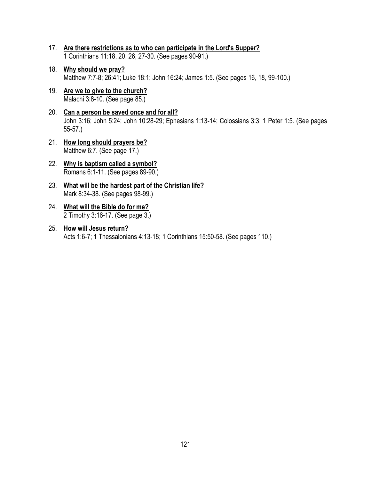- 17. **Are there restrictions as to who can participate in the Lord's Supper?** 1 Corinthians 11:18, 20, 26, 27-30. (See pages 90-91.)
- 18. **Why should we pray?** Matthew 7:7-8; 26:41; Luke 18:1; John 16:24; James 1:5. (See pages 16, 18, 99-100.)
- 19. **Are we to give to the church?** Malachi 3:8-10. (See page 85.)
- 20. **Can a person be saved once and for all?** John 3:16; John 5:24; John 10:28-29; Ephesians 1:13-14; Colossians 3:3; 1 Peter 1:5. (See pages 55-57.)
- 21. **How long should prayers be?** Matthew 6:7. (See page 17.)
- 22. **Why is baptism called a symbol?** Romans 6:1-11. (See pages 89-90.)
- 23. **What will be the hardest part of the Christian life?** Mark 8:34-38. (See pages 98-99.)
- 24. **What will the Bible do for me?** 2 Timothy 3:16-17. (See page 3.)
- 25. **How will Jesus return?** Acts 1:6-7; 1 Thessalonians 4:13-18; 1 Corinthians 15:50-58. (See pages 110.)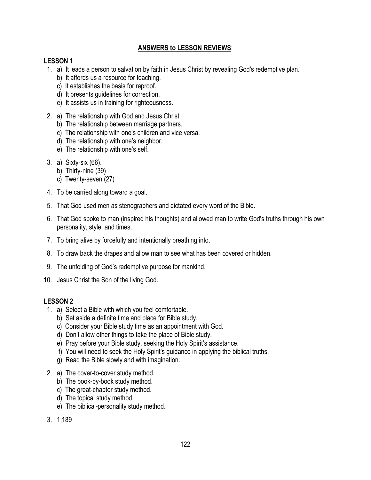## **ANSWERS to LESSON REVIEWS**:

#### **LESSON 1**

- 1. a) It leads a person to salvation by faith in Jesus Christ by revealing God's redemptive plan.
	- b) It affords us a resource for teaching.
	- c) It establishes the basis for reproof.
	- d) It presents guidelines for correction.
	- e) It assists us in training for righteousness.
- 2. a) The relationship with God and Jesus Christ.
	- b) The relationship between marriage partners.
	- c) The relationship with one's children and vice versa.
	- d) The relationship with one's neighbor.
	- e) The relationship with one's self.
- 3. a) Sixty-six (66).
	- b) Thirty-nine (39)
	- c) Twenty-seven (27)
- 4. To be carried along toward a goal.
- 5. That God used men as stenographers and dictated every word of the Bible.
- 6. That God spoke to man (inspired his thoughts) and allowed man to write God's truths through his own personality, style, and times.
- 7. To bring alive by forcefully and intentionally breathing into.
- 8. To draw back the drapes and allow man to see what has been covered or hidden.
- 9. The unfolding of God's redemptive purpose for mankind.
- 10. Jesus Christ the Son of the living God.

- 1. a) Select a Bible with which you feel comfortable.
	- b) Set aside a definite time and place for Bible study.
	- c) Consider your Bible study time as an appointment with God.
	- d) Don't allow other things to take the place of Bible study.
	- e) Pray before your Bible study, seeking the Holy Spirit's assistance.
	- f) You will need to seek the Holy Spirit's guidance in applying the biblical truths.
	- g) Read the Bible slowly and with imagination.
- 2. a) The cover-to-cover study method.
	- b) The book-by-book study method.
	- c) The great-chapter study method.
	- d) The topical study method.
	- e) The biblical-personality study method.
- 3. 1,189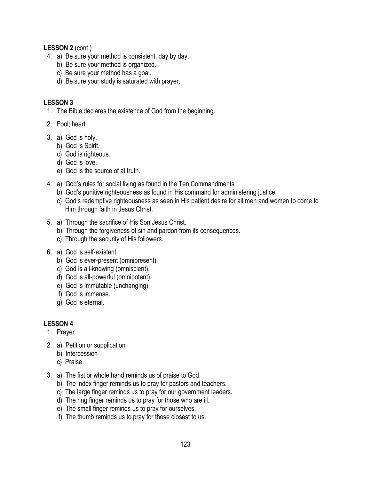**LESSON 2** (cont.)

- 4. a) Be sure your method is consistent, day by day.
	- b) Be sure your method is organized.
	- c) Be sure your method has a goal.
	- d) Be sure your study is saturated with prayer.

## **LESSON 3**

- 1. The Bible declares the existence of God from the beginning.
- 2. Fool; heart
- 3. a) God is holy.
	- b) God is Spirit.
	- c) God is righteous.
	- d) God is love.
	- e) God is the source of al truth.
- 4. a) God's rules for social living as found in the Ten Commandments.
	- b) God's punitive righteousness as found in His command for administering justice.
	- c) God's redemptive righteousness as seen in His patient desire for all men and women to come to Him through faith in Jesus Christ.
- 5. a) Through the sacrifice of His Son Jesus Christ.
	- b) Through the forgiveness of sin and pardon from its consequences.
	- c) Through the security of His followers.
- 6. a) God is self-existent.
	- b) God is ever-present (omnipresent).
	- c) God is all-knowing (omniscient).
	- d) God is all-powerful (omnipotent).
	- e) God is immutable (unchanging).
	- f) God is immense.
	- g) God is eternal.

- 1. Prayer
- 2. a) Petition or supplication
	- b) Intercession
	- c) Praise
- 3. a) The fist or whole hand reminds us of praise to God.
	- b) The index finger reminds us to pray for pastors and teachers.
	- c) The large finger reminds us to pray for our government leaders.
	- d) The ring finger reminds us to pray for those who are ill.
	- e) The small finger reminds us to pray for ourselves.
	- f) The thumb reminds us to pray for those closest to us.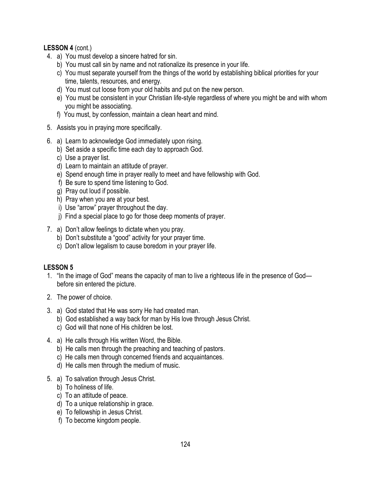## **LESSON 4** (cont.)

- 4. a) You must develop a sincere hatred for sin.
	- b) You must call sin by name and not rationalize its presence in your life.
	- c) You must separate yourself from the things of the world by establishing biblical priorities for your time, talents, resources, and energy.
	- d) You must cut loose from your old habits and put on the new person.
	- e) You must be consistent in your Christian life-style regardless of where you might be and with whom you might be associating.
	- f) You must, by confession, maintain a clean heart and mind.
- 5. Assists you in praying more specifically.
- 6. a) Learn to acknowledge God immediately upon rising.
	- b) Set aside a specific time each day to approach God.
	- c) Use a prayer list.
	- d) Learn to maintain an attitude of prayer.
	- e) Spend enough time in prayer really to meet and have fellowship with God.
	- f) Be sure to spend time listening to God.
	- g) Pray out loud if possible.
	- h) Pray when you are at your best.
	- i) Use "arrow" prayer throughout the day.
	- j) Find a special place to go for those deep moments of prayer.
- 7. a) Don't allow feelings to dictate when you pray.
	- b) Don't substitute a "good" activity for your prayer time.
	- c) Don't allow legalism to cause boredom in your prayer life.

- 1. "In the image of God" means the capacity of man to live a righteous life in the presence of God before sin entered the picture.
- 2. The power of choice.
- 3. a) God stated that He was sorry He had created man.
	- b) God established a way back for man by His love through Jesus Christ.
	- c) God will that none of His children be lost.
- 4. a) He calls through His written Word, the Bible.
	- b) He calls men through the preaching and teaching of pastors.
	- c) He calls men through concerned friends and acquaintances.
	- d) He calls men through the medium of music.
- 5. a) To salvation through Jesus Christ.
	- b) To holiness of life.
	- c) To an attitude of peace.
	- d) To a unique relationship in grace.
	- e) To fellowship in Jesus Christ.
	- f) To become kingdom people.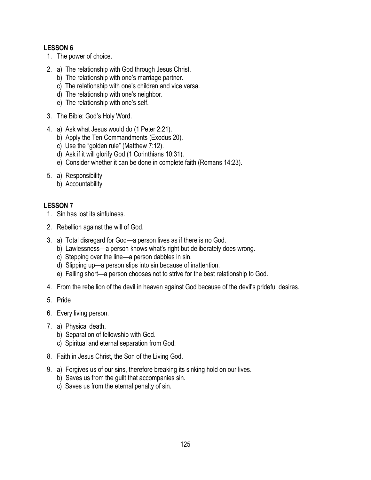- 1. The power of choice.
- 2. a) The relationship with God through Jesus Christ.
	- b) The relationship with one's marriage partner.
	- c) The relationship with one's children and vice versa.
	- d) The relationship with one's neighbor.
	- e) The relationship with one's self.
- 3. The Bible; God's Holy Word.
- 4. a) Ask what Jesus would do (1 Peter 2:21).
	- b) Apply the Ten Commandments (Exodus 20).
	- c) Use the "golden rule" (Matthew 7:12).
	- d) Ask if it will glorify God (1 Corinthians 10:31).
	- e) Consider whether it can be done in complete faith (Romans 14:23).
- 5. a) Responsibility
	- b) Accountability

- 1. Sin has lost its sinfulness.
- 2. Rebellion against the will of God.
- 3. a) Total disregard for God—a person lives as if there is no God.
	- b) Lawlessness—a person knows what's right but deliberately does wrong.
	- c) Stepping over the line—a person dabbles in sin.
	- d) Slipping up—a person slips into sin because of inattention.
	- e) Falling short—a person chooses not to strive for the best relationship to God.
- 4. From the rebellion of the devil in heaven against God because of the devil's prideful desires.
- 5. Pride
- 6. Every living person.
- 7. a) Physical death.
	- b) Separation of fellowship with God.
	- c) Spiritual and eternal separation from God.
- 8. Faith in Jesus Christ, the Son of the Living God.
- 9. a) Forgives us of our sins, therefore breaking its sinking hold on our lives.
	- b) Saves us from the guilt that accompanies sin.
	- c) Saves us from the eternal penalty of sin.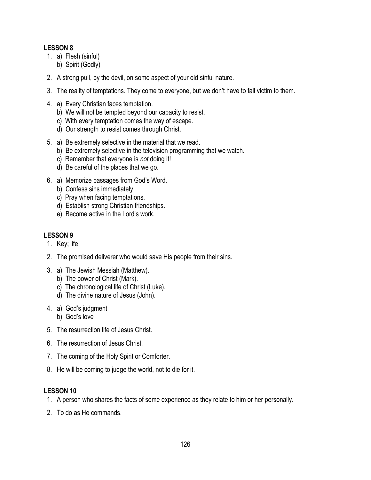- 1. a) Flesh (sinful)
	- b) Spirit (Godly)
- 2. A strong pull, by the devil, on some aspect of your old sinful nature.
- 3. The reality of temptations. They come to everyone, but we don't have to fall victim to them.
- 4. a) Every Christian faces temptation.
	- b) We will not be tempted beyond our capacity to resist.
	- c) With every temptation comes the way of escape.
	- d) Our strength to resist comes through Christ.
- 5. a) Be extremely selective in the material that we read.
	- b) Be extremely selective in the television programming that we watch.
	- c) Remember that everyone is *not* doing it!
	- d) Be careful of the places that we go.
- 6. a) Memorize passages from God's Word.
	- b) Confess sins immediately.
	- c) Pray when facing temptations.
	- d) Establish strong Christian friendships.
	- e) Become active in the Lord's work.

# **LESSON 9**

- 1. Key; life
- 2. The promised deliverer who would save His people from their sins.
- 3. a) The Jewish Messiah (Matthew).
	- b) The power of Christ (Mark).
	- c) The chronological life of Christ (Luke).
	- d) The divine nature of Jesus (John).
- 4. a) God's judgment
	- b) God's love
- 5. The resurrection life of Jesus Christ.
- 6. The resurrection of Jesus Christ.
- 7. The coming of the Holy Spirit or Comforter.
- 8. He will be coming to judge the world, not to die for it.

- 1. A person who shares the facts of some experience as they relate to him or her personally.
- 2. To do as He commands.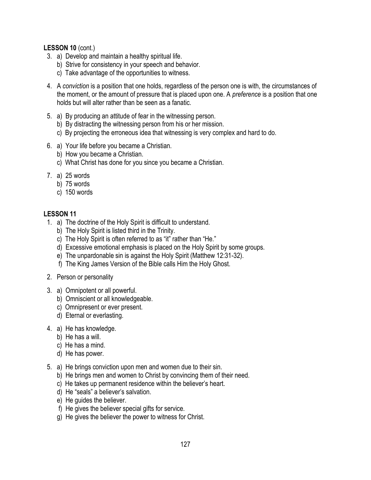#### **LESSON 10** (cont.)

- 3. a) Develop and maintain a healthy spiritual life.
	- b) Strive for consistency in your speech and behavior.
	- c) Take advantage of the opportunities to witness.
- 4. A *conviction* is a position that one holds, regardless of the person one is with, the circumstances of the moment, or the amount of pressure that is placed upon one. A *preference* is a position that one holds but will alter rather than be seen as a fanatic.
- 5. a) By producing an attitude of fear in the witnessing person.
	- b) By distracting the witnessing person from his or her mission.
	- c) By projecting the erroneous idea that witnessing is very complex and hard to do.
- 6. a) Your life before you became a Christian.
	- b) How you became a Christian.
	- c) What Christ has done for you since you became a Christian.
- 7. a) 25 words
	- b) 75 words
	- c) 150 words

- 1. a) The doctrine of the Holy Spirit is difficult to understand.
	- b) The Holy Spirit is listed third in the Trinity.
	- c) The Holy Spirit is often referred to as "it" rather than "He."
	- d) Excessive emotional emphasis is placed on the Holy Spirit by some groups.
	- e) The unpardonable sin is against the Holy Spirit (Matthew 12:31-32).
	- f) The King James Version of the Bible calls Him the Holy Ghost.
- 2. Person or personality
- 3. a) Omnipotent or all powerful.
	- b) Omniscient or all knowledgeable.
	- c) Omnipresent or ever present.
	- d) Eternal or everlasting.
- 4. a) He has knowledge.
	- b) He has a will.
	- c) He has a mind.
	- d) He has power.
- 5. a) He brings conviction upon men and women due to their sin.
	- b) He brings men and women to Christ by convincing them of their need.
	- c) He takes up permanent residence within the believer's heart.
	- d) He "seals" a believer's salvation.
	- e) He guides the believer.
	- f) He gives the believer special gifts for service.
	- g) He gives the believer the power to witness for Christ.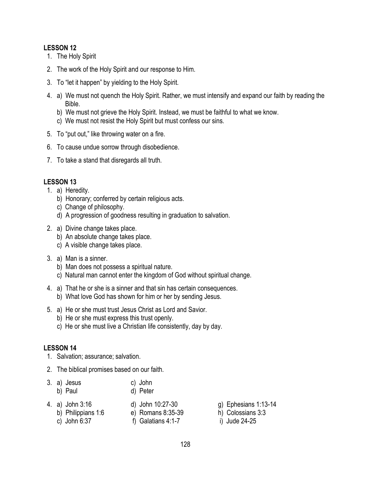- 1. The Holy Spirit
- 2. The work of the Holy Spirit and our response to Him.
- 3. To "let it happen" by yielding to the Holy Spirit.
- 4. a) We must not quench the Holy Spirit. Rather, we must intensify and expand our faith by reading the Bible.
	- b) We must not grieve the Holy Spirit. Instead, we must be faithful to what we know.
	- c) We must not resist the Holy Spirit but must confess our sins.
- 5. To "put out," like throwing water on a fire.
- 6. To cause undue sorrow through disobedience.
- 7. To take a stand that disregards all truth.

# **LESSON 13**

- 1. a) Heredity.
	- b) Honorary; conferred by certain religious acts.
	- c) Change of philosophy.
	- d) A progression of goodness resulting in graduation to salvation.
- 2. a) Divine change takes place.
	- b) An absolute change takes place.
	- c) A visible change takes place.
- 3. a) Man is a sinner.
	- b) Man does not possess a spiritual nature.
	- c) Natural man cannot enter the kingdom of God without spiritual change.
- 4. a) That he or she is a sinner and that sin has certain consequences. b) What love God has shown for him or her by sending Jesus.
- 5. a) He or she must trust Jesus Christ as Lord and Savior.
	- b) He or she must express this trust openly.
	- c) He or she must live a Christian life consistently, day by day.

- 1. Salvation; assurance; salvation.
- 2. The biblical promises based on our faith.
- 3. a) Jesus c) John
	- b) Paul d) Peter
- 4. a) John 3:16 d) John 10:27-30 g) Ephesians 1:13-14
- b) Philippians 1:6 e) Romans 8:35-39 h) Colossians 3:3
	- c) John 6:37 f) Galatians 4:1-7 i) Jude 24-25
- 
- -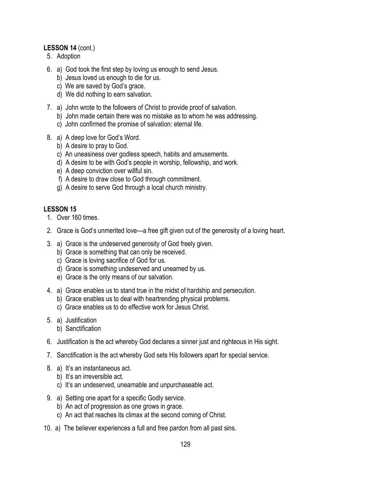## **LESSON 14** (cont.)

- 5. Adoption
- 6. a) God took the first step by loving us enough to send Jesus.
	- b) Jesus loved us enough to die for us.
	- c) We are saved by God's grace.
	- d) We did nothing to earn salvation.
- 7. a) John wrote to the followers of Christ to provide proof of salvation.
	- b) John made certain there was no mistake as to whom he was addressing.
	- c) John confirmed the promise of salvation: eternal life.
- 8. a) A deep love for God's Word.
	- b) A desire to pray to God.
	- c) An uneasiness over godless speech, habits and amusements.
	- d) A desire to be with God's people in worship, fellowship, and work.
	- e) A deep conviction over willful sin.
	- f) A desire to draw close to God through commitment.
	- g) A desire to serve God through a local church ministry.

- 1. Over 160 times.
- 2. Grace is God's unmerited love—a free gift given out of the generosity of a loving heart.
- 3. a) Grace is the undeserved generosity of God freely given.
	- b) Grace is something that can only be received.
	- c) Grace is loving sacrifice of God for us.
	- d) Grace is something undeserved and unearned by us.
	- e) Grace is the only means of our salvation.
- 4. a) Grace enables us to stand true in the midst of hardship and persecution.
	- b) Grace enables us to deal with heartrending physical problems.
	- c) Grace enables us to do effective work for Jesus Christ.
- 5. a) Justification b) Sanctification
- 6. Justification is the act whereby God declares a sinner just and righteous in His sight.
- 7. Sanctification is the act whereby God sets His followers apart for special service.
- 8. a) It's an instantaneous act.
	- b) It's an irreversible act.
	- c) It's an undeserved, unearnable and unpurchaseable act.
- 9. a) Setting one apart for a specific Godly service.
	- b) An act of progression as one grows in grace.
	- c) An act that reaches its climax at the second coming of Christ.
- 10. a) The believer experiences a full and free pardon from all past sins.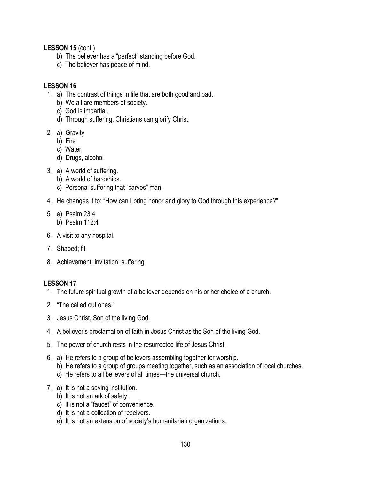**LESSON 15** (cont.)

- b) The believer has a "perfect" standing before God.
- c) The believer has peace of mind.

## **LESSON 16**

- 1. a) The contrast of things in life that are both good and bad.
	- b) We all are members of society.
	- c) God is impartial.
	- d) Through suffering, Christians can glorify Christ.
- 2. a) Gravity
	- b) Fire
	- c) Water
	- d) Drugs, alcohol
- 3. a) A world of suffering.
	- b) A world of hardships.
	- c) Personal suffering that "carves" man.
- 4. He changes it to: "How can I bring honor and glory to God through this experience?"
- 5. a) Psalm 23:4 b) Psalm 112:4
	-
- 6. A visit to any hospital.
- 7. Shaped; fit
- 8. Achievement; invitation; suffering

- 1. The future spiritual growth of a believer depends on his or her choice of a church.
- 2. "The called out ones."
- 3. Jesus Christ, Son of the living God.
- 4. A believer's proclamation of faith in Jesus Christ as the Son of the living God.
- 5. The power of church rests in the resurrected life of Jesus Christ.
- 6. a) He refers to a group of believers assembling together for worship.
	- b) He refers to a group of groups meeting together, such as an association of local churches.
	- c) He refers to all believers of all times—the universal church.
- 7. a) It is not a saving institution.
	- b) It is not an ark of safety.
	- c) It is not a "faucet" of convenience.
	- d) It is not a collection of receivers.
	- e) It is not an extension of society's humanitarian organizations.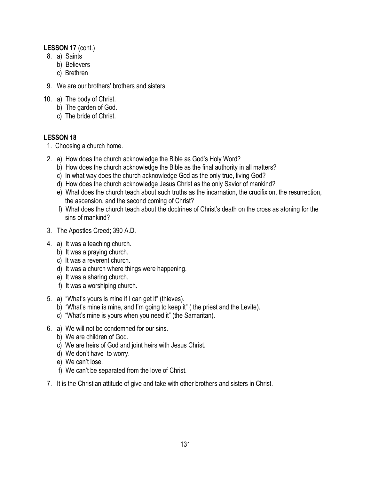#### **LESSON 17** (cont.)

- 8. a) Saints
	- b) Believers
	- c) Brethren
- 9. We are our brothers' brothers and sisters.
- 10. a) The body of Christ.
	- b) The garden of God.
	- c) The bride of Christ.

- 1. Choosing a church home.
- 2. a) How does the church acknowledge the Bible as God's Holy Word?
	- b) How does the church acknowledge the Bible as the final authority in all matters?
	- c) In what way does the church acknowledge God as the only true, living God?
	- d) How does the church acknowledge Jesus Christ as the only Savior of mankind?
	- e) What does the church teach about such truths as the incarnation, the crucifixion, the resurrection, the ascension, and the second coming of Christ?
	- f) What does the church teach about the doctrines of Christ's death on the cross as atoning for the sins of mankind?
- 3. The Apostles Creed; 390 A.D.
- 4. a) It was a teaching church.
	- b) It was a praying church.
	- c) It was a reverent church.
	- d) It was a church where things were happening.
	- e) It was a sharing church.
	- f) It was a worshiping church.
- 5. a) "What's yours is mine if I can get it" (thieves).
	- b) "What's mine is mine, and I'm going to keep it" ( the priest and the Levite).
	- c) "What's mine is yours when you need it" (the Samaritan).
- 6. a) We will not be condemned for our sins.
	- b) We are children of God.
	- c) We are heirs of God and joint heirs with Jesus Christ.
	- d) We don't have to worry.
	- e) We can't lose.
	- f) We can't be separated from the love of Christ.
- 7. It is the Christian attitude of give and take with other brothers and sisters in Christ.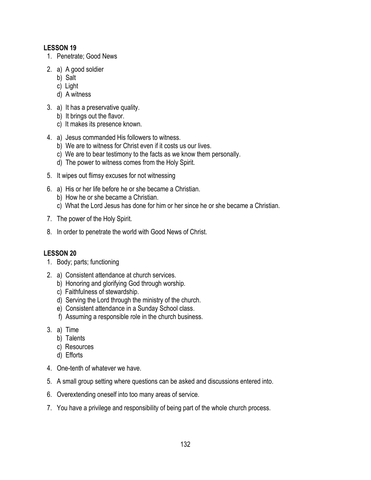- 1. Penetrate; Good News
- 2. a) A good soldier
	- b) Salt
	- c) Light
	- d) A witness
- 3. a) It has a preservative quality.
	- b) It brings out the flavor.
	- c) It makes its presence known.
- 4. a) Jesus commanded His followers to witness.
	- b) We are to witness for Christ even if it costs us our lives.
	- c) We are to bear testimony to the facts as we know them personally.
	- d) The power to witness comes from the Holy Spirit.
- 5. It wipes out flimsy excuses for not witnessing
- 6. a) His or her life before he or she became a Christian.
	- b) How he or she became a Christian.
	- c) What the Lord Jesus has done for him or her since he or she became a Christian.
- 7. The power of the Holy Spirit.
- 8. In order to penetrate the world with Good News of Christ.

- 1. Body; parts; functioning
- 2. a) Consistent attendance at church services.
	- b) Honoring and glorifying God through worship.
	- c) Faithfulness of stewardship.
	- d) Serving the Lord through the ministry of the church.
	- e) Consistent attendance in a Sunday School class.
	- f) Assuming a responsible role in the church business.
- 3. a) Time
	- b) Talents
	- c) Resources
	- d) Efforts
- 4. One-tenth of whatever we have.
- 5. A small group setting where questions can be asked and discussions entered into.
- 6. Overextending oneself into too many areas of service.
- 7. You have a privilege and responsibility of being part of the whole church process.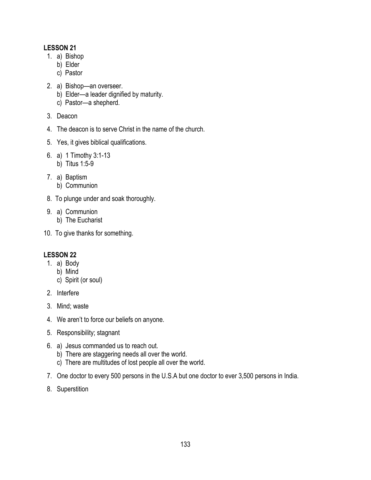- 1. a) Bishop
	- b) Elder
	- c) Pastor
- 2. a) Bishop—an overseer.
	- b) Elder—a leader dignified by maturity.
	- c) Pastor—a shepherd.
- 3. Deacon
- 4. The deacon is to serve Christ in the name of the church.
- 5. Yes, it gives biblical qualifications.
- 6. a) 1 Timothy 3:1-13 b) Titus 1:5-9
- 7. a) Baptism
	- b) Communion
- 8. To plunge under and soak thoroughly.
- 9. a) Communion
	- b) The Eucharist
- 10. To give thanks for something.

- 1. a) Body
	- b) Mind
	- c) Spirit (or soul)
- 2. Interfere
- 3. Mind; waste
- 4. We aren't to force our beliefs on anyone.
- 5. Responsibility; stagnant
- 6. a) Jesus commanded us to reach out.
	- b) There are staggering needs all over the world.
	- c) There are multitudes of lost people all over the world.
- 7. One doctor to every 500 persons in the U.S.A but one doctor to ever 3,500 persons in India.
- 8. Superstition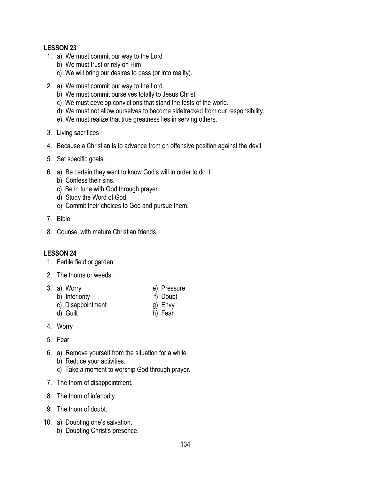- 1. a) We must commit our way to the Lord
	- b) We must trust or rely on Him
	- c) We will bring our desires to pass (or into reality).
- 2. a) We must commit our way to the Lord.
	- b) We must commit ourselves totally to Jesus Christ.
	- c) We must develop convictions that stand the tests of the world.
	- d) We must not allow ourselves to become sidetracked from our responsibility.
	- e) We must realize that true greatness lies in serving others.
- 3. Living sacrifices
- 4. Because a Christian is to advance from on offensive position against the devil.
- 5. Set specific goals.
- 6. a) Be certain they want to know God's will in order to do it.
	- b) Confess their sins.
	- c) Be in tune with God through prayer.
	- d) Study the Word of God.
	- e) Commit their choices to God and pursue them.
- 7. Bible
- 8. Counsel with mature Christian friends.

- 1. Fertile field or garden.
- 2. The thorns or weeds.
- 3. a) Worry e) Pressure
	-
	- b) Inferiority f) Doubt
	- c) Disappointment g) Envy
	- d) Guilt h) Fear
- 4. Worry
- 5. Fear
- 6. a) Remove yourself from the situation for a while. b) Reduce your activities.
	- c) Take a moment to worship God through prayer.
- 7. The thorn of disappointment.
- 8. The thorn of inferiority.
- 9. The thorn of doubt.
- 10. a) Doubting one's salvation. b) Doubting Christ's presence.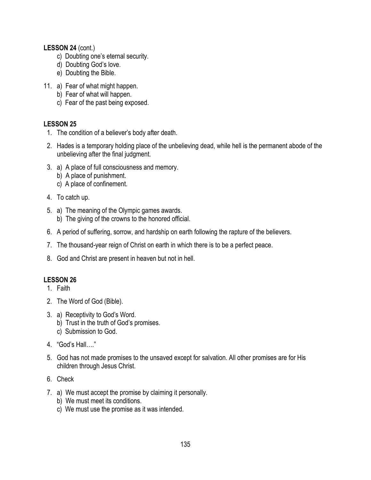#### **LESSON 24** (cont.)

- c) Doubting one's eternal security.
- d) Doubting God's love.
- e) Doubting the Bible.
- 11. a) Fear of what might happen.
	- b) Fear of what will happen.
	- c) Fear of the past being exposed.

## **LESSON 25**

- 1. The condition of a believer's body after death.
- 2. Hades is a temporary holding place of the unbelieving dead, while hell is the permanent abode of the unbelieving after the final judgment.
- 3. a) A place of full consciousness and memory.
	- b) A place of punishment.
	- c) A place of confinement.
- 4. To catch up.
- 5. a) The meaning of the Olympic games awards. b) The giving of the crowns to the honored official.
- 6. A period of suffering, sorrow, and hardship on earth following the rapture of the believers.
- 7. The thousand-year reign of Christ on earth in which there is to be a perfect peace.
- 8. God and Christ are present in heaven but not in hell.

- 1. Faith
- 2. The Word of God (Bible).
- 3. a) Receptivity to God's Word.
	- b) Trust in the truth of God's promises.
	- c) Submission to God.
- 4 "God's Hall "
- 5. God has not made promises to the unsaved except for salvation. All other promises are for His children through Jesus Christ.
- 6. Check
- 7. a) We must accept the promise by claiming it personally.
	- b) We must meet its conditions.
	- c) We must use the promise as it was intended.